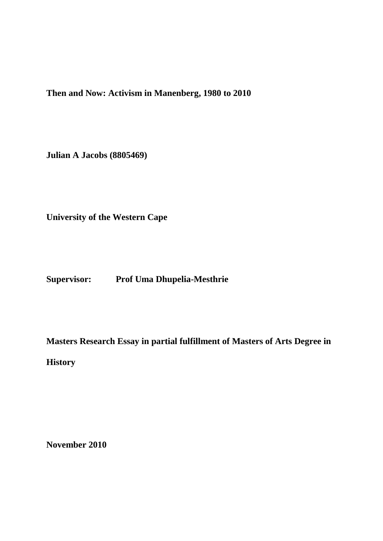**Then and Now: Activism in Manenberg, 1980 to 2010**

**Julian A Jacobs (8805469)**

**University of the Western Cape**

**Supervisor: Prof Uma Dhupelia-Mesthrie**

**Masters Research Essay in partial fulfillment of Masters of Arts Degree in** 

**History**

**November 2010**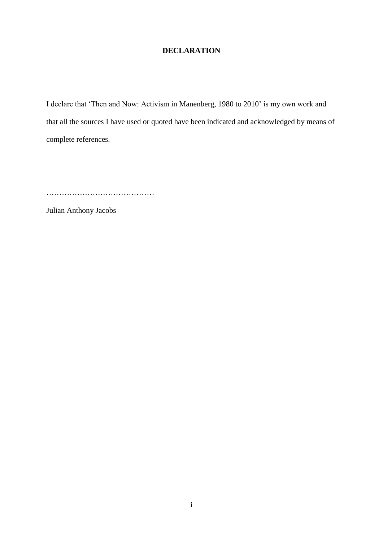# **DECLARATION**

I declare that "Then and Now: Activism in Manenberg, 1980 to 2010" is my own work and that all the sources I have used or quoted have been indicated and acknowledged by means of complete references.

……………………………………

Julian Anthony Jacobs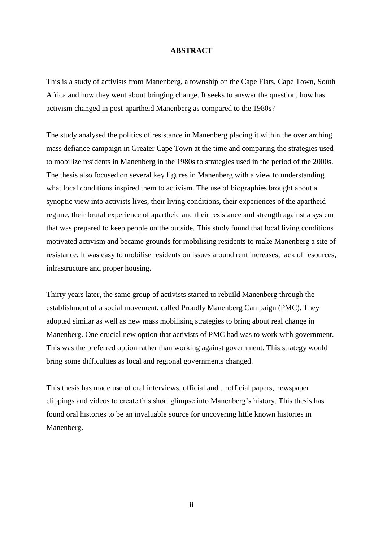#### **ABSTRACT**

This is a study of activists from Manenberg, a township on the Cape Flats, Cape Town, South Africa and how they went about bringing change. It seeks to answer the question, how has activism changed in post-apartheid Manenberg as compared to the 1980s?

The study analysed the politics of resistance in Manenberg placing it within the over arching mass defiance campaign in Greater Cape Town at the time and comparing the strategies used to mobilize residents in Manenberg in the 1980s to strategies used in the period of the 2000s. The thesis also focused on several key figures in Manenberg with a view to understanding what local conditions inspired them to activism. The use of biographies brought about a synoptic view into activists lives, their living conditions, their experiences of the apartheid regime, their brutal experience of apartheid and their resistance and strength against a system that was prepared to keep people on the outside. This study found that local living conditions motivated activism and became grounds for mobilising residents to make Manenberg a site of resistance. It was easy to mobilise residents on issues around rent increases, lack of resources, infrastructure and proper housing.

Thirty years later, the same group of activists started to rebuild Manenberg through the establishment of a social movement, called Proudly Manenberg Campaign (PMC). They adopted similar as well as new mass mobilising strategies to bring about real change in Manenberg. One crucial new option that activists of PMC had was to work with government. This was the preferred option rather than working against government. This strategy would bring some difficulties as local and regional governments changed.

This thesis has made use of oral interviews, official and unofficial papers, newspaper clippings and videos to create this short glimpse into Manenberg"s history. This thesis has found oral histories to be an invaluable source for uncovering little known histories in Manenberg.

ii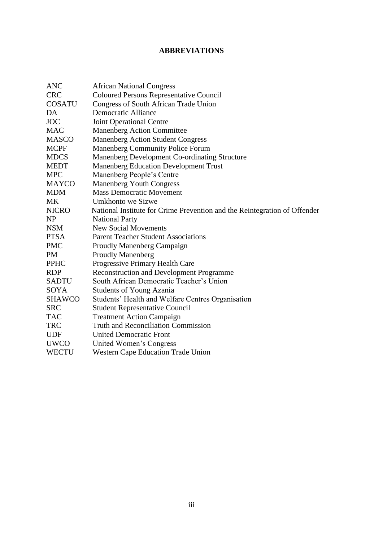# **ABBREVIATIONS**

| <b>ANC</b>    | <b>African National Congress</b>                                          |
|---------------|---------------------------------------------------------------------------|
| <b>CRC</b>    | <b>Coloured Persons Representative Council</b>                            |
| <b>COSATU</b> | <b>Congress of South African Trade Union</b>                              |
| DA            | <b>Democratic Alliance</b>                                                |
| <b>JOC</b>    | <b>Joint Operational Centre</b>                                           |
| <b>MAC</b>    | <b>Manenberg Action Committee</b>                                         |
| <b>MASCO</b>  | <b>Manenberg Action Student Congress</b>                                  |
| <b>MCPF</b>   | <b>Manenberg Community Police Forum</b>                                   |
| <b>MDCS</b>   | Manenberg Development Co-ordinating Structure                             |
| <b>MEDT</b>   | Manenberg Education Development Trust                                     |
| <b>MPC</b>    | Manenberg People's Centre                                                 |
| <b>MAYCO</b>  | <b>Manenberg Youth Congress</b>                                           |
| <b>MDM</b>    | <b>Mass Democratic Movement</b>                                           |
| <b>MK</b>     | Umkhonto we Sizwe                                                         |
| <b>NICRO</b>  | National Institute for Crime Prevention and the Reintegration of Offender |
| <b>NP</b>     | <b>National Party</b>                                                     |
| <b>NSM</b>    | <b>New Social Movements</b>                                               |
| <b>PTSA</b>   | <b>Parent Teacher Student Associations</b>                                |
| <b>PMC</b>    | <b>Proudly Manenberg Campaign</b>                                         |
| <b>PM</b>     | <b>Proudly Manenberg</b>                                                  |
| <b>PPHC</b>   | Progressive Primary Health Care                                           |
| <b>RDP</b>    | <b>Reconstruction and Development Programme</b>                           |
| <b>SADTU</b>  | South African Democratic Teacher's Union                                  |
| SOYA          | <b>Students of Young Azania</b>                                           |
| <b>SHAWCO</b> | Students' Health and Welfare Centres Organisation                         |
| <b>SRC</b>    | <b>Student Representative Council</b>                                     |
| <b>TAC</b>    | <b>Treatment Action Campaign</b>                                          |
| <b>TRC</b>    | <b>Truth and Reconciliation Commission</b>                                |
| <b>UDF</b>    | <b>United Democratic Front</b>                                            |
| <b>UWCO</b>   | United Women's Congress                                                   |
| <b>WECTU</b>  | <b>Western Cape Education Trade Union</b>                                 |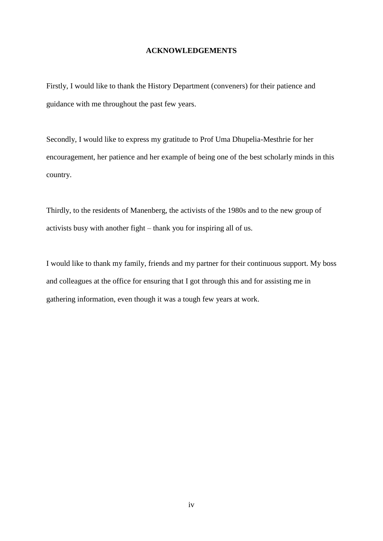# **ACKNOWLEDGEMENTS**

Firstly, I would like to thank the History Department (conveners) for their patience and guidance with me throughout the past few years.

Secondly, I would like to express my gratitude to Prof Uma Dhupelia-Mesthrie for her encouragement, her patience and her example of being one of the best scholarly minds in this country.

Thirdly, to the residents of Manenberg, the activists of the 1980s and to the new group of activists busy with another fight – thank you for inspiring all of us.

I would like to thank my family, friends and my partner for their continuous support. My boss and colleagues at the office for ensuring that I got through this and for assisting me in gathering information, even though it was a tough few years at work.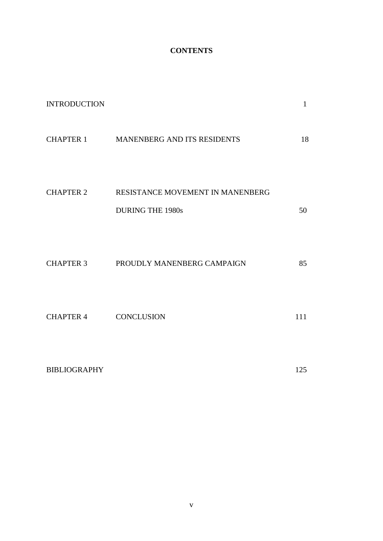# **CONTENTS**

| <b>INTRODUCTION</b> |                                                             | $\mathbf{1}$ |
|---------------------|-------------------------------------------------------------|--------------|
|                     | <b>CHAPTER 1 MANENBERG AND ITS RESIDENTS</b>                | 18           |
| <b>CHAPTER 2</b>    | RESISTANCE MOVEMENT IN MANENBERG<br><b>DURING THE 1980s</b> | 50           |
| <b>CHAPTER 3</b>    | PROUDLY MANENBERG CAMPAIGN                                  | 85           |
| <b>CHAPTER 4</b>    | <b>CONCLUSION</b>                                           | 111          |
| <b>BIBLIOGRAPHY</b> |                                                             | 125          |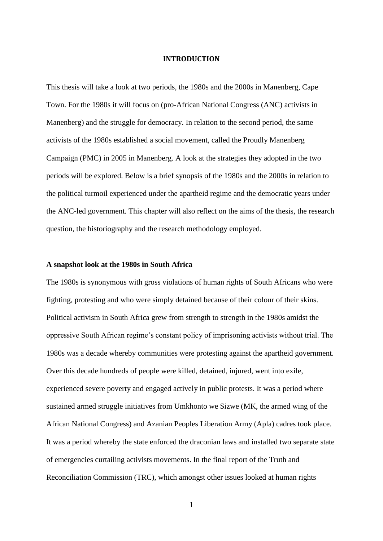#### **INTRODUCTION**

This thesis will take a look at two periods, the 1980s and the 2000s in Manenberg, Cape Town. For the 1980s it will focus on (pro-African National Congress (ANC) activists in Manenberg) and the struggle for democracy. In relation to the second period, the same activists of the 1980s established a social movement, called the Proudly Manenberg Campaign (PMC) in 2005 in Manenberg. A look at the strategies they adopted in the two periods will be explored. Below is a brief synopsis of the 1980s and the 2000s in relation to the political turmoil experienced under the apartheid regime and the democratic years under the ANC-led government. This chapter will also reflect on the aims of the thesis, the research question, the historiography and the research methodology employed.

# **A snapshot look at the 1980s in South Africa**

The 1980s is synonymous with gross violations of human rights of South Africans who were fighting, protesting and who were simply detained because of their colour of their skins. Political activism in South Africa grew from strength to strength in the 1980s amidst the oppressive South African regime"s constant policy of imprisoning activists without trial. The 1980s was a decade whereby communities were protesting against the apartheid government. Over this decade hundreds of people were killed, detained, injured, went into exile, experienced severe poverty and engaged actively in public protests. It was a period where sustained armed struggle initiatives from Umkhonto we Sizwe (MK, the armed wing of the African National Congress) and Azanian Peoples Liberation Army (Apla) cadres took place. It was a period whereby the state enforced the draconian laws and installed two separate state of emergencies curtailing activists movements. In the final report of the Truth and Reconciliation Commission (TRC), which amongst other issues looked at human rights

1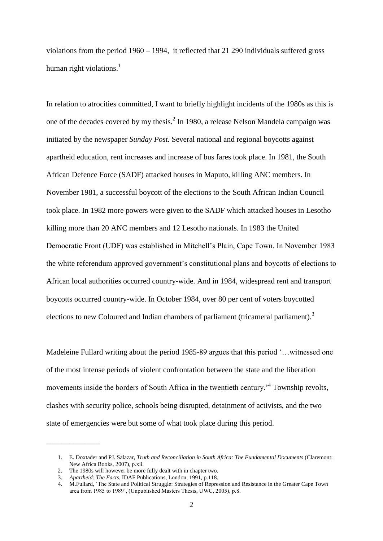violations from the period 1960 – 1994, it reflected that 21 290 individuals suffered gross human right violations. $<sup>1</sup>$ </sup>

In relation to atrocities committed, I want to briefly highlight incidents of the 1980s as this is one of the decades covered by my thesis. $<sup>2</sup>$  In 1980, a release Nelson Mandela campaign was</sup> initiated by the newspaper *Sunday Post.* Several national and regional boycotts against apartheid education, rent increases and increase of bus fares took place. In 1981, the South African Defence Force (SADF) attacked houses in Maputo, killing ANC members. In November 1981, a successful boycott of the elections to the South African Indian Council took place. In 1982 more powers were given to the SADF which attacked houses in Lesotho killing more than 20 ANC members and 12 Lesotho nationals. In 1983 the United Democratic Front (UDF) was established in Mitchell"s Plain, Cape Town. In November 1983 the white referendum approved government"s constitutional plans and boycotts of elections to African local authorities occurred country-wide. And in 1984, widespread rent and transport boycotts occurred country-wide. In October 1984, over 80 per cent of voters boycotted elections to new Coloured and Indian chambers of parliament (tricameral parliament).<sup>3</sup>

Madeleine Fullard writing about the period 1985-89 argues that this period '...witnessed one of the most intense periods of violent confrontation between the state and the liberation movements inside the borders of South Africa in the twentieth century.<sup>4</sup> Township revolts, clashes with security police, schools being disrupted, detainment of activists, and the two state of emergencies were but some of what took place during this period.

\_\_\_\_\_\_\_\_\_\_\_\_\_\_

<sup>1.</sup> E. Doxtader and PJ. Salazar, *Truth and Reconciliation in South Africa: The Fundamental Documents* (Claremont: New Africa Books, 2007), p.xii.

<sup>2.</sup> The 1980s will however be more fully dealt with in chapter two.

<sup>3.</sup> *Apartheid: The Facts*, IDAF Publications, London, 1991, p.118.

<sup>4.</sup> M.Fullard, "The State and Political Struggle: Strategies of Repression and Resistance in the Greater Cape Town area from 1985 to 1989", (Unpublished Masters Thesis, UWC, 2005), p.8.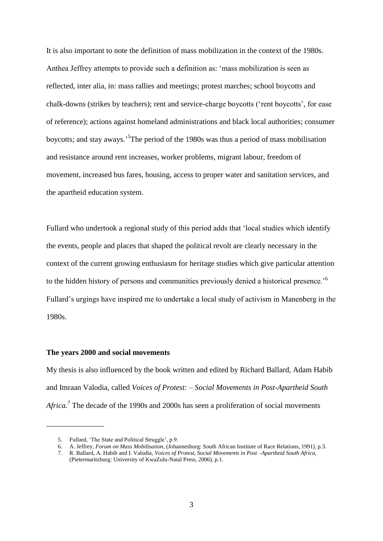It is also important to note the definition of mass mobilization in the context of the 1980s. Anthea Jeffrey attempts to provide such a definition as: "mass mobilization is seen as reflected, inter alia, in: mass rallies and meetings; protest marches; school boycotts and chalk-downs (strikes by teachers); rent and service-charge boycotts ("rent boycotts", for ease of reference); actions against homeland administrations and black local authorities; consumer boycotts; and stay aways.<sup>5</sup>The period of the 1980s was thus a period of mass mobilisation and resistance around rent increases, worker problems, migrant labour, freedom of movement, increased bus fares, housing, access to proper water and sanitation services, and the apartheid education system.

Fullard who undertook a regional study of this period adds that "local studies which identify the events, people and places that shaped the political revolt are clearly necessary in the context of the current growing enthusiasm for heritage studies which give particular attention to the hidden history of persons and communities previously denied a historical presence.<sup>56</sup> Fullard"s urgings have inspired me to undertake a local study of activism in Manenberg in the 1980s.

#### **The years 2000 and social movements**

My thesis is also influenced by the book written and edited by Richard Ballard, Adam Habib and Imraan Valodia, called *Voices of Protest: – Social Movements in Post-Apartheid South*  Africa.<sup>7</sup> The decade of the 1990s and 2000s has seen a proliferation of social movements

\_\_\_\_\_\_\_\_\_\_\_\_\_\_\_

<sup>5.</sup> Fullard, "The State and Political Struggle", p.9.

<sup>6.</sup> A. Jeffrey, *Forum on Mass Mobilisation*, (Johannesburg: South African Institute of Race Relations, 1991), p.3.

<sup>7.</sup> R. Ballard, A. Habib and I. Valodia, *Voices of Protest, Social Movements in Post –Apartheid South Africa,* (Pietermaritzburg: University of KwaZulu-Natal Press, 2006), p.1.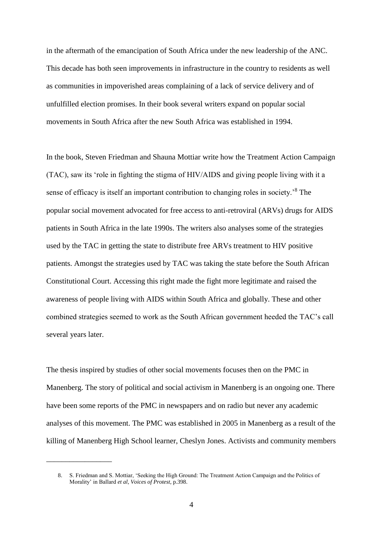in the aftermath of the emancipation of South Africa under the new leadership of the ANC. This decade has both seen improvements in infrastructure in the country to residents as well as communities in impoverished areas complaining of a lack of service delivery and of unfulfilled election promises. In their book several writers expand on popular social movements in South Africa after the new South Africa was established in 1994.

In the book, Steven Friedman and Shauna Mottiar write how the Treatment Action Campaign (TAC), saw its "role in fighting the stigma of HIV/AIDS and giving people living with it a sense of efficacy is itself an important contribution to changing roles in society.<sup>8</sup> The popular social movement advocated for free access to anti-retroviral (ARVs) drugs for AIDS patients in South Africa in the late 1990s. The writers also analyses some of the strategies used by the TAC in getting the state to distribute free ARVs treatment to HIV positive patients. Amongst the strategies used by TAC was taking the state before the South African Constitutional Court. Accessing this right made the fight more legitimate and raised the awareness of people living with AIDS within South Africa and globally. These and other combined strategies seemed to work as the South African government heeded the TAC"s call several years later.

The thesis inspired by studies of other social movements focuses then on the PMC in Manenberg. The story of political and social activism in Manenberg is an ongoing one. There have been some reports of the PMC in newspapers and on radio but never any academic analyses of this movement. The PMC was established in 2005 in Manenberg as a result of the killing of Manenberg High School learner, Cheslyn Jones. Activists and community members

 $\overline{\phantom{a}}$  , where  $\overline{\phantom{a}}$ 

<sup>8.</sup> S. Friedman and S. Mottiar, "Seeking the High Ground: The Treatment Action Campaign and the Politics of Morality" in Ballard *et al*, *Voices of Protest,* p.398.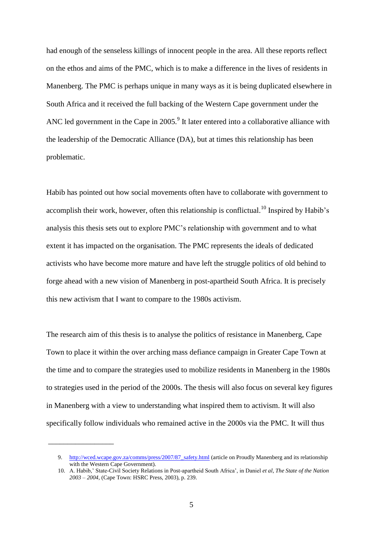had enough of the senseless killings of innocent people in the area. All these reports reflect on the ethos and aims of the PMC, which is to make a difference in the lives of residents in Manenberg. The PMC is perhaps unique in many ways as it is being duplicated elsewhere in South Africa and it received the full backing of the Western Cape government under the ANC led government in the Cape in  $2005$ .<sup>9</sup> It later entered into a collaborative alliance with the leadership of the Democratic Alliance (DA), but at times this relationship has been problematic.

Habib has pointed out how social movements often have to collaborate with government to accomplish their work, however, often this relationship is conflictual.<sup>10</sup> Inspired by Habib's analysis this thesis sets out to explore PMC"s relationship with government and to what extent it has impacted on the organisation. The PMC represents the ideals of dedicated activists who have become more mature and have left the struggle politics of old behind to forge ahead with a new vision of Manenberg in post-apartheid South Africa. It is precisely this new activism that I want to compare to the 1980s activism.

The research aim of this thesis is to analyse the politics of resistance in Manenberg, Cape Town to place it within the over arching mass defiance campaign in Greater Cape Town at the time and to compare the strategies used to mobilize residents in Manenberg in the 1980s to strategies used in the period of the 2000s. The thesis will also focus on several key figures in Manenberg with a view to understanding what inspired them to activism. It will also specifically follow individuals who remained active in the 2000s via the PMC. It will thus

\_\_\_\_\_\_\_\_\_\_\_\_\_\_\_\_\_

<sup>9.</sup> [http://wced.wcape.gov.za/comms/press/2007/87\\_safety.html](http://wced.wcape.gov.za/comms/press/2007/87_safety.html) (article on Proudly Manenberg and its relationship with the Western Cape Government).

<sup>10.</sup> A. Habib," State-Civil Society Relations in Post-apartheid South Africa", in Daniel *et al*, *The State of the Nation 2003 – 2004*, (Cape Town: HSRC Press, 2003), p. 239.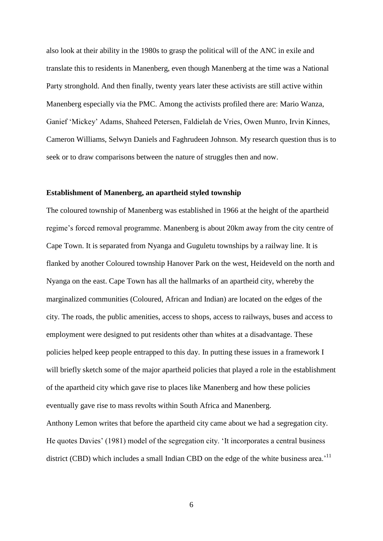also look at their ability in the 1980s to grasp the political will of the ANC in exile and translate this to residents in Manenberg, even though Manenberg at the time was a National Party stronghold. And then finally, twenty years later these activists are still active within Manenberg especially via the PMC. Among the activists profiled there are: Mario Wanza, Ganief "Mickey" Adams, Shaheed Petersen, Faldielah de Vries, Owen Munro, Irvin Kinnes, Cameron Williams, Selwyn Daniels and Faghrudeen Johnson. My research question thus is to seek or to draw comparisons between the nature of struggles then and now.

### **Establishment of Manenberg, an apartheid styled township**

The coloured township of Manenberg was established in 1966 at the height of the apartheid regime's forced removal programme. Manenberg is about 20km away from the city centre of Cape Town. It is separated from Nyanga and Guguletu townships by a railway line. It is flanked by another Coloured township Hanover Park on the west, Heideveld on the north and Nyanga on the east. Cape Town has all the hallmarks of an apartheid city, whereby the marginalized communities (Coloured, African and Indian) are located on the edges of the city. The roads, the public amenities, access to shops, access to railways, buses and access to employment were designed to put residents other than whites at a disadvantage. These policies helped keep people entrapped to this day. In putting these issues in a framework I will briefly sketch some of the major apartheid policies that played a role in the establishment of the apartheid city which gave rise to places like Manenberg and how these policies eventually gave rise to mass revolts within South Africa and Manenberg. Anthony Lemon writes that before the apartheid city came about we had a segregation city. He quotes Davies' (1981) model of the segregation city. 'It incorporates a central business district (CBD) which includes a small Indian CBD on the edge of the white business area.<sup>11</sup>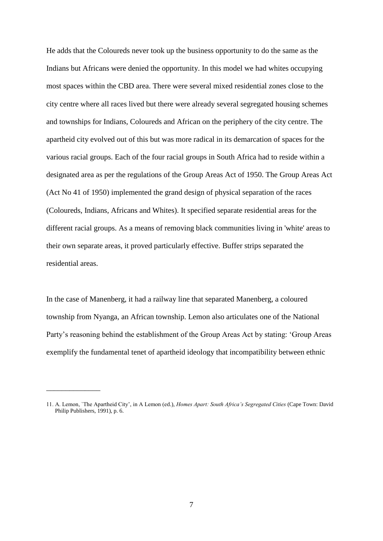He adds that the Coloureds never took up the business opportunity to do the same as the Indians but Africans were denied the opportunity. In this model we had whites occupying most spaces within the CBD area. There were several mixed residential zones close to the city centre where all races lived but there were already several segregated housing schemes and townships for Indians, Coloureds and African on the periphery of the city centre. The apartheid city evolved out of this but was more radical in its demarcation of spaces for the various racial groups. Each of the four racial groups in South Africa had to reside within a designated area as per the regulations of the Group Areas Act of 1950. The Group Areas Act (Act No 41 of 1950) implemented the grand design of physical separation of the races (Coloureds, Indians, Africans and Whites). It specified separate residential areas for the different racial groups. As a means of removing black communities living in 'white' areas to their own separate areas, it proved particularly effective. Buffer strips separated the residential areas.

In the case of Manenberg, it had a railway line that separated Manenberg, a coloured township from Nyanga, an African township. Lemon also articulates one of the National Party"s reasoning behind the establishment of the Group Areas Act by stating: "Group Areas exemplify the fundamental tenet of apartheid ideology that incompatibility between ethnic

\_\_\_\_\_\_\_\_\_\_\_\_\_\_

<sup>11.</sup> A. Lemon, `The Apartheid City", in A Lemon (ed.), *Homes Apart: South Africa's Segregated Cities* (Cape Town: David Philip Publishers, 1991), p. 6.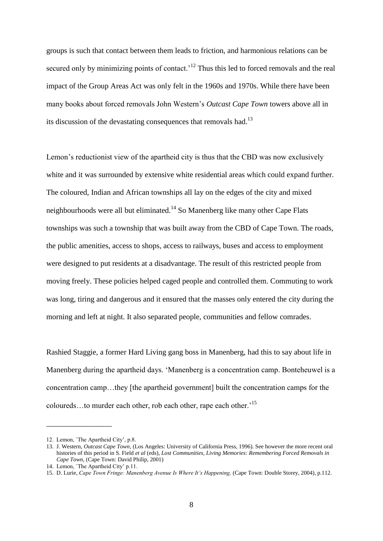groups is such that contact between them leads to friction, and harmonious relations can be secured only by minimizing points of contact.<sup> $12$ </sup> Thus this led to forced removals and the real impact of the Group Areas Act was only felt in the 1960s and 1970s. While there have been many books about forced removals John Western"s *Outcast Cape Town* towers above all in its discussion of the devastating consequences that removals had.<sup>13</sup>

Lemon"s reductionist view of the apartheid city is thus that the CBD was now exclusively white and it was surrounded by extensive white residential areas which could expand further. The coloured, Indian and African townships all lay on the edges of the city and mixed neighbourhoods were all but eliminated.<sup>14</sup> So Manenberg like many other Cape Flats townships was such a township that was built away from the CBD of Cape Town. The roads, the public amenities, access to shops, access to railways, buses and access to employment were designed to put residents at a disadvantage. The result of this restricted people from moving freely. These policies helped caged people and controlled them. Commuting to work was long, tiring and dangerous and it ensured that the masses only entered the city during the morning and left at night. It also separated people, communities and fellow comrades.

Rashied Staggie, a former Hard Living gang boss in Manenberg, had this to say about life in Manenberg during the apartheid days. "Manenberg is a concentration camp. Bonteheuwel is a concentration camp…they [the apartheid government] built the concentration camps for the coloureds…to murder each other, rob each other, rape each other."<sup>15</sup>

\_\_\_\_\_\_\_\_\_\_\_\_\_\_\_\_\_

<sup>12.</sup> Lemon, `The Apartheid City", p.8.

<sup>13.</sup> J. Western, *Outcast Cape Town*, (Los Angeles: University of California Press, 1996). See however the more recent oral histories of this period in S. Field *et al* (eds), *Lost Communities, Living Memories: Remembering Forced Removals in Cape Town,* (Cape Town: David Philip, 2001)

<sup>14.</sup> Lemon, `The Apartheid City" p.11.

<sup>15.</sup> D. Lurie, *Cape Town Fringe: Manenberg Avenue Is Where It's Happening,* (Cape Town: Double Storey, 2004), p.112.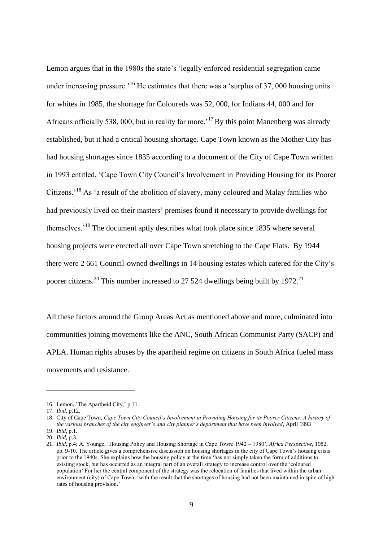Lemon argues that in the 1980s the state's 'legally enforced residential segregation came under increasing pressure.<sup> $16$ </sup> He estimates that there was a 'surplus of 37, 000 housing units for whites in 1985, the shortage for Coloureds was 52, 000, for Indians 44, 000 and for Africans officially 538, 000, but in reality far more.<sup>17</sup> By this point Manenberg was already established, but it had a critical housing shortage. Cape Town known as the Mother City has had housing shortages since 1835 according to a document of the City of Cape Town written in 1993 entitled, "Cape Town City Council"s Involvement in Providing Housing for its Poorer Citizens.<sup>18</sup> As 'a result of the abolition of slavery, many coloured and Malay families who had previously lived on their masters" premises found it necessary to provide dwellings for themselves."<sup>19</sup> The document aptly describes what took place since 1835 where several housing projects were erected all over Cape Town stretching to the Cape Flats. By 1944 there were 2 661 Council-owned dwellings in 14 housing estates which catered for the City"s poorer citizens.<sup>20</sup> This number increased to 27 524 dwellings being built by 1972.<sup>21</sup>

All these factors around the Group Areas Act as mentioned above and more, culminated into communities joining movements like the ANC, South African Communist Party (SACP) and APLA. Human rights abuses by the apartheid regime on citizens in South Africa fueled mass movements and resistance.

\_\_\_\_\_\_\_\_\_\_\_\_\_\_\_\_\_\_\_\_\_\_\_

<sup>16.</sup> Lemon, `The Apartheid City," p.11.

<sup>17.</sup> *Ibid*, p.12.

<sup>18.</sup> City of Cape Town, *Cape Town City Council's Involvement in Providing Housing for its Poorer Citizens: A history of the various branches of the city engineer's and city planner's department that have been involved*, April 1993 19. *Ibid*, p.1.

<sup>20.</sup> *Ibid*, p.3.

<sup>21.</sup> *Ibid*, p.4; A. Younge, "Housing Policy and Housing Shortage in Cape Town: 1942 – 1980", *Africa Perspective*, 1982, pp. 9-10. The article gives a comprehensive discussion on housing shortages in the city of Cape Town"s housing crisis prior to the 1940s. She explains how the housing policy at the time "has not simply taken the form of additions to existing stock, but has occurred as an integral part of an overall strategy to increase control over the "coloured population" For her the central component of the strategy was the relocation of families that lived within the urban environment (city) of Cape Town, "with the result that the shortages of housing had not been maintained in spite of high rates of housing provision."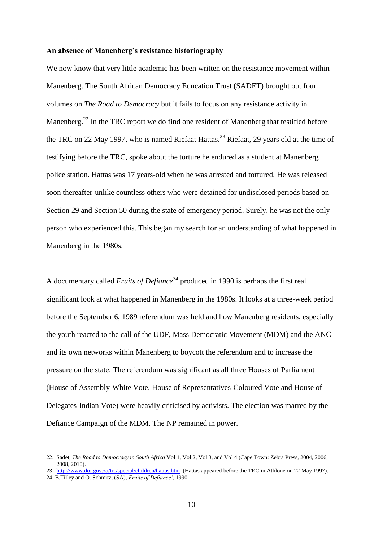#### **An absence of Manenberg's resistance historiography**

We now know that very little academic has been written on the resistance movement within Manenberg. The South African Democracy Education Trust (SADET) brought out four volumes on *The Road to Democracy* but it fails to focus on any resistance activity in Manenberg.<sup>22</sup> In the TRC report we do find one resident of Manenberg that testified before the TRC on 22 May 1997, who is named Riefaat Hattas.<sup>23</sup> Riefaat, 29 years old at the time of testifying before the TRC, spoke about the torture he endured as a student at Manenberg police station. Hattas was 17 years-old when he was arrested and tortured. He was released soon thereafter unlike countless others who were detained for undisclosed periods based on Section 29 and Section 50 during the state of emergency period. Surely, he was not the only person who experienced this. This began my search for an understanding of what happened in Manenberg in the 1980s.

A documentary called *Fruits of Defiance*<sup>24</sup> produced in 1990 is perhaps the first real significant look at what happened in Manenberg in the 1980s. It looks at a three-week period before the September 6, 1989 referendum was held and how Manenberg residents, especially the youth reacted to the call of the UDF, Mass Democratic Movement (MDM) and the ANC and its own networks within Manenberg to boycott the referendum and to increase the pressure on the state. The referendum was significant as all three Houses of Parliament (House of Assembly-White Vote, House of Representatives-Coloured Vote and House of Delegates-Indian Vote) were heavily criticised by activists. The election was marred by the Defiance Campaign of the MDM. The NP remained in power.

\_\_\_\_\_\_\_\_\_\_\_\_\_\_\_\_\_\_

<sup>22.</sup> Sadet, *The Road to Democracy in South Africa* Vol 1, Vol 2, Vol 3, and Vol 4 (Cape Town: Zebra Press, 2004, 2006, 2008, 2010).

<sup>23.</sup> <http://www.doj.gov.za/trc/special/children/hattas.htm>(Hattas appeared before the TRC in Athlone on 22 May 1997). 24. B.Tilley and O. Schmitz, (SA), *Fruits of Defiance'*, 1990.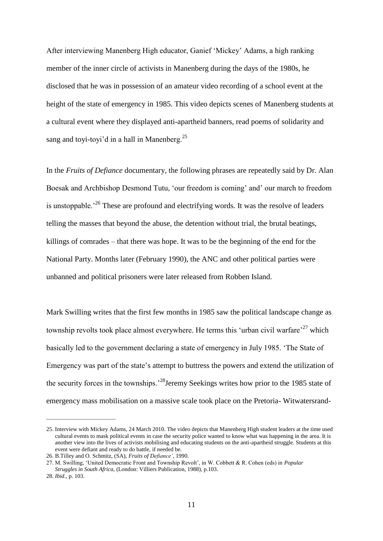After interviewing Manenberg High educator, Ganief "Mickey" Adams, a high ranking member of the inner circle of activists in Manenberg during the days of the 1980s, he disclosed that he was in possession of an amateur video recording of a school event at the height of the state of emergency in 1985. This video depicts scenes of Manenberg students at a cultural event where they displayed anti-apartheid banners, read poems of solidarity and sang and toyi-toyi'd in a hall in Manenberg.<sup>25</sup>

In the *Fruits of Defiance* documentary, the following phrases are repeatedly said by Dr. Alan Boesak and Archbishop Desmond Tutu, "our freedom is coming" and" our march to freedom is unstoppable.<sup> $26$ </sup> These are profound and electrifying words. It was the resolve of leaders telling the masses that beyond the abuse, the detention without trial, the brutal beatings, killings of comrades – that there was hope. It was to be the beginning of the end for the National Party. Months later (February 1990), the ANC and other political parties were unbanned and political prisoners were later released from Robben Island.

Mark Swilling writes that the first few months in 1985 saw the political landscape change as township revolts took place almost everywhere. He terms this 'urban civil warfare'  $27$  which basically led to the government declaring a state of emergency in July 1985. "The State of Emergency was part of the state's attempt to buttress the powers and extend the utilization of the security forces in the townships.<sup>28</sup>Jeremy Seekings writes how prior to the 1985 state of emergency mass mobilisation on a massive scale took place on the Pretoria- Witwatersrand-

\_\_\_\_\_\_\_\_\_\_\_\_\_\_\_\_\_\_\_\_\_\_\_\_\_\_\_

<sup>25.</sup> Interview with Mickey Adams, 24 March 2010. The video depicts that Manenberg High student leaders at the time used cultural events to mask political events in case the security police wanted to know what was happening in the area. It is another view into the lives of activists mobilising and educating students on the anti-apartheid struggle*.* Students at this event were defiant and ready to do battle, if needed be.

<sup>26.</sup> B.Tilley and O. Schmitz, (SA), *Fruits of Defiance'*, 1990.

<sup>27.</sup> M. Swilling, "United Democratic Front and Township Revolt", in W. Cobbett & R. Cohen (eds) in *Popular Struggles in South Africa,* (London: Villiers Publication, 1988), p.103.

<sup>28.</sup> *Ibid.*, p. 103.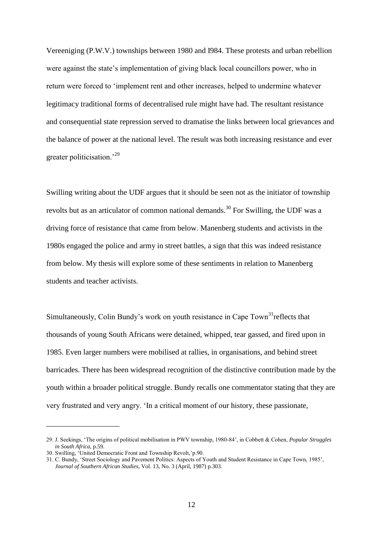Vereeniging (P.W.V.) townships between 1980 and I984. These protests and urban rebellion were against the state"s implementation of giving black local councillors power, who in return were forced to "implement rent and other increases, helped to undermine whatever legitimacy traditional forms of decentralised rule might have had. The resultant resistance and consequential state repression served to dramatise the links between local grievances and the balance of power at the national level. The result was both increasing resistance and ever greater politicisation.<sup>29</sup>

Swilling writing about the UDF argues that it should be seen not as the initiator of township revolts but as an articulator of common national demands.<sup>30</sup> For Swilling, the UDF was a driving force of resistance that came from below. Manenberg students and activists in the 1980s engaged the police and army in street battles, a sign that this was indeed resistance from below. My thesis will explore some of these sentiments in relation to Manenberg students and teacher activists.

Simultaneously, Colin Bundy's work on youth resistance in Cape  $T<sub>own</sub><sup>31</sup>$ reflects that thousands of young South Africans were detained, whipped, tear gassed, and fired upon in 1985. Even larger numbers were mobilised at rallies, in organisations, and behind street barricades. There has been widespread recognition of the distinctive contribution made by the youth within a broader political struggle. Bundy recalls one commentator stating that they are very frustrated and very angry. "In a critical moment of our history, these passionate,

\_\_\_\_\_\_\_\_\_\_\_\_\_\_\_\_\_\_\_

<sup>29.</sup> J. Seekings, "The origins of political mobilisation in PWV township, 1980-84", in Cobbett & Cohen, *Popular Struggles in South Africa,* p.59.

<sup>30.</sup> Swilling, "United Democratic Front and Township Revolt,"p.90.

<sup>31.</sup> C. Bundy, "Street Sociology and Pavement Politics: Aspects of Youth and Student Resistance in Cape Town, 1985",  *Journal of Southern African Studies*, Vol. 13, No. 3 (April, 1987) p.303.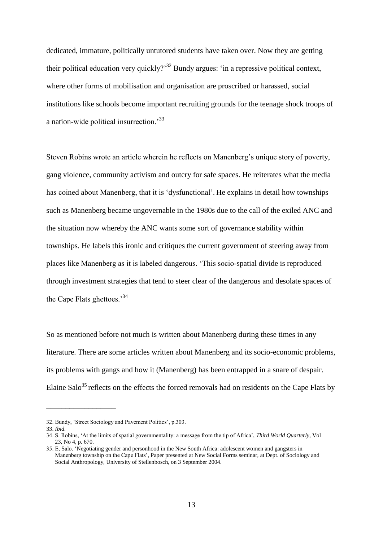dedicated, immature, politically untutored students have taken over. Now they are getting their political education very quickly?<sup>32</sup> Bundy argues: 'in a repressive political context, where other forms of mobilisation and organisation are proscribed or harassed, social institutions like schools become important recruiting grounds for the teenage shock troops of a nation-wide political insurrection.<sup>33</sup>

Steven Robins wrote an article wherein he reflects on Manenberg's unique story of poverty, gang violence, community activism and outcry for safe spaces. He reiterates what the media has coined about Manenberg, that it is "dysfunctional". He explains in detail how townships such as Manenberg became ungovernable in the 1980s due to the call of the exiled ANC and the situation now whereby the ANC wants some sort of governance stability within townships. He labels this ironic and critiques the current government of steering away from places like Manenberg as it is labeled dangerous. "This socio-spatial divide is reproduced through investment strategies that tend to steer clear of the dangerous and desolate spaces of the Cape Flats ghettoes.<sup>34</sup>

So as mentioned before not much is written about Manenberg during these times in any literature. There are some articles written about Manenberg and its socio-economic problems, its problems with gangs and how it (Manenberg) has been entrapped in a snare of despair. Elaine Salo<sup>35</sup> reflects on the effects the forced removals had on residents on the Cape Flats by

\_\_\_\_\_\_\_\_\_\_\_\_\_\_\_\_\_\_

<sup>32.</sup> Bundy, 'Street Sociology and Pavement Politics', p.303.

<sup>33.</sup> *Ibid.*

<sup>34.</sup> S. Robins, "At the limits of spatial governmentality: a message from the tip of Africa", *Third World Quarterly*, Vol 23, No 4, p. 670.

<sup>35.</sup> E, Salo. "Negotiating gender and personhood in the New South Africa: adolescent women and gangsters in Manenberg township on the Cape Flats', Paper presented at New Social Forms seminar, at Dept. of Sociology and Social Anthropology, University of Stellenbosch, on 3 September 2004.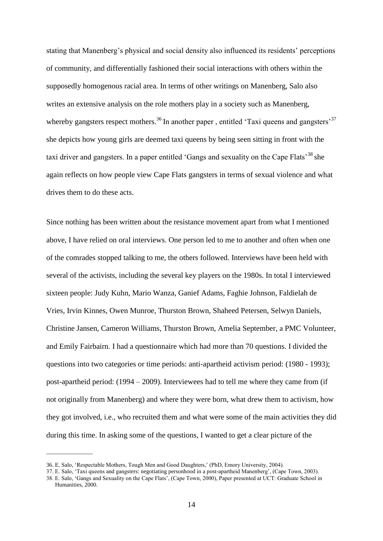stating that Manenberg's physical and social density also influenced its residents' perceptions of community, and differentially fashioned their social interactions with others within the supposedly homogenous racial area. In terms of other writings on Manenberg, Salo also writes an extensive analysis on the role mothers play in a society such as Manenberg, whereby gangsters respect mothers.<sup>36</sup> In another paper, entitled 'Taxi queens and gangsters'<sup>37</sup> she depicts how young girls are deemed taxi queens by being seen sitting in front with the taxi driver and gangsters. In a paper entitled 'Gangs and sexuality on the Cape Flats<sup>38</sup> she again reflects on how people view Cape Flats gangsters in terms of sexual violence and what drives them to do these acts.

Since nothing has been written about the resistance movement apart from what I mentioned above, I have relied on oral interviews. One person led to me to another and often when one of the comrades stopped talking to me, the others followed. Interviews have been held with several of the activists, including the several key players on the 1980s. In total I interviewed sixteen people: Judy Kuhn, Mario Wanza, Ganief Adams, Faghie Johnson, Faldielah de Vries, Irvin Kinnes, Owen Munroe, Thurston Brown, Shaheed Petersen, Selwyn Daniels, Christine Jansen, Cameron Williams, Thurston Brown, Amelia September, a PMC Volunteer, and Emily Fairbairn. I had a questionnaire which had more than 70 questions. I divided the questions into two categories or time periods: anti-apartheid activism period: (1980 - 1993); post-apartheid period: (1994 – 2009). Interviewees had to tell me where they came from (if not originally from Manenberg) and where they were born, what drew them to activism, how they got involved, i.e., who recruited them and what were some of the main activities they did during this time. In asking some of the questions, I wanted to get a clear picture of the

 $\overline{\phantom{a}}$  ,  $\overline{\phantom{a}}$  ,  $\overline{\phantom{a}}$  ,  $\overline{\phantom{a}}$  ,  $\overline{\phantom{a}}$  ,  $\overline{\phantom{a}}$  ,  $\overline{\phantom{a}}$  ,  $\overline{\phantom{a}}$  ,  $\overline{\phantom{a}}$  ,  $\overline{\phantom{a}}$  ,  $\overline{\phantom{a}}$  ,  $\overline{\phantom{a}}$  ,  $\overline{\phantom{a}}$  ,  $\overline{\phantom{a}}$  ,  $\overline{\phantom{a}}$  ,  $\overline{\phantom{a}}$ 

<sup>36.</sup> E. Salo, "Respectable Mothers, Tough Men and Good Daughters," (PhD, Emory University, 2004).

<sup>37.</sup> E. Salo, "Taxi queens and gangsters: negotiating personhood in a post-apartheid Manenberg", (Cape Town, 2003).

<sup>38.</sup> E. Salo, "Gangs and Sexuality on the Cape Flats", (Cape Town, 2000), Paper presented at UCT: Graduate School in Humanities, 2000.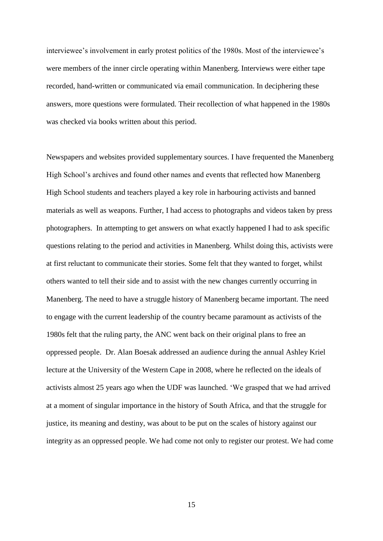interviewee's involvement in early protest politics of the 1980s. Most of the interviewee's were members of the inner circle operating within Manenberg. Interviews were either tape recorded, hand-written or communicated via email communication. In deciphering these answers, more questions were formulated. Their recollection of what happened in the 1980s was checked via books written about this period.

Newspapers and websites provided supplementary sources. I have frequented the Manenberg High School's archives and found other names and events that reflected how Manenberg High School students and teachers played a key role in harbouring activists and banned materials as well as weapons. Further, I had access to photographs and videos taken by press photographers. In attempting to get answers on what exactly happened I had to ask specific questions relating to the period and activities in Manenberg. Whilst doing this, activists were at first reluctant to communicate their stories. Some felt that they wanted to forget, whilst others wanted to tell their side and to assist with the new changes currently occurring in Manenberg. The need to have a struggle history of Manenberg became important. The need to engage with the current leadership of the country became paramount as activists of the 1980s felt that the ruling party, the ANC went back on their original plans to free an oppressed people. Dr. Alan Boesak addressed an audience during the annual Ashley Kriel lecture at the University of the Western Cape in 2008, where he reflected on the ideals of activists almost 25 years ago when the UDF was launched. "We grasped that we had arrived at a moment of singular importance in the history of South Africa, and that the struggle for justice, its meaning and destiny, was about to be put on the scales of history against our integrity as an oppressed people. We had come not only to register our protest. We had come

15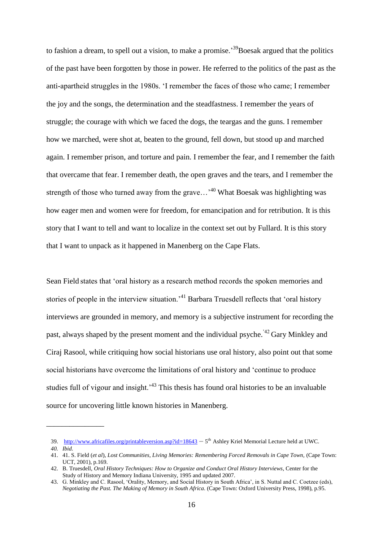to fashion a dream, to spell out a vision, to make a promise.<sup>39</sup>Boesak argued that the politics of the past have been forgotten by those in power. He referred to the politics of the past as the anti-apartheid struggles in the 1980s. "I remember the faces of those who came; I remember the joy and the songs, the determination and the steadfastness. I remember the years of struggle; the courage with which we faced the dogs, the teargas and the guns. I remember how we marched, were shot at, beaten to the ground, fell down, but stood up and marched again. I remember prison, and torture and pain. I remember the fear, and I remember the faith that overcame that fear. I remember death, the open graves and the tears, and I remember the strength of those who turned away from the grave...<sup>40</sup> What Boesak was highlighting was how eager men and women were for freedom, for emancipation and for retribution. It is this story that I want to tell and want to localize in the context set out by Fullard. It is this story that I want to unpack as it happened in Manenberg on the Cape Flats.

Sean Field states that "oral history as a research method records the spoken memories and stories of people in the interview situation.<sup>41</sup> Barbara Truesdell reflects that 'oral history interviews are grounded in memory, and memory is a subjective instrument for recording the past, always shaped by the present moment and the individual psyche.<sup>'42</sup> Gary Minkley and Ciraj Rasool, while critiquing how social historians use oral history, also point out that some social historians have overcome the limitations of oral history and "continue to produce studies full of vigour and insight.<sup> $43$ </sup> This thesis has found oral histories to be an invaluable source for uncovering little known histories in Manenberg.

\_\_\_\_\_\_\_\_\_\_\_\_\_\_\_

<sup>39.</sup> <http://www.africafiles.org/printableversion.asp?id=18643> – 5<sup>th</sup> Ashley Kriel Memorial Lecture held at UWC.

*<sup>40.</sup> Ibid.*

<sup>41.</sup> 41. S. Field (*et al*), *Lost Communities, Living Memories: Remembering Forced Removals in Cape Town,* (Cape Town: UCT, 2001), p.169.

<sup>42.</sup> B. Truesdell, *Oral History Techniques: How to Organize and Conduct Oral History Interviews*, Center for the Study of History and Memory Indiana University, 1995 and updated 2007.

<sup>43.</sup> G. Minkley and C. Rasool, "Orality, Memory, and Social History in South Africa", in S. Nuttal and C. Coetzee (eds), *Negotiating the Past. The Making of Memory in South Africa*. (Cape Town: Oxford University Press, 1998), p.95.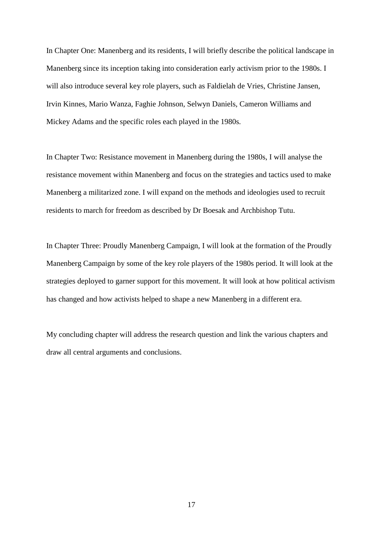In Chapter One: Manenberg and its residents, I will briefly describe the political landscape in Manenberg since its inception taking into consideration early activism prior to the 1980s. I will also introduce several key role players, such as Faldielah de Vries, Christine Jansen, Irvin Kinnes, Mario Wanza, Faghie Johnson, Selwyn Daniels, Cameron Williams and Mickey Adams and the specific roles each played in the 1980s*.*

In Chapter Two: Resistance movement in Manenberg during the 1980s, I will analyse the resistance movement within Manenberg and focus on the strategies and tactics used to make Manenberg a militarized zone. I will expand on the methods and ideologies used to recruit residents to march for freedom as described by Dr Boesak and Archbishop Tutu.

In Chapter Three: Proudly Manenberg Campaign, I will look at the formation of the Proudly Manenberg Campaign by some of the key role players of the 1980s period. It will look at the strategies deployed to garner support for this movement. It will look at how political activism has changed and how activists helped to shape a new Manenberg in a different era.

My concluding chapter will address the research question and link the various chapters and draw all central arguments and conclusions.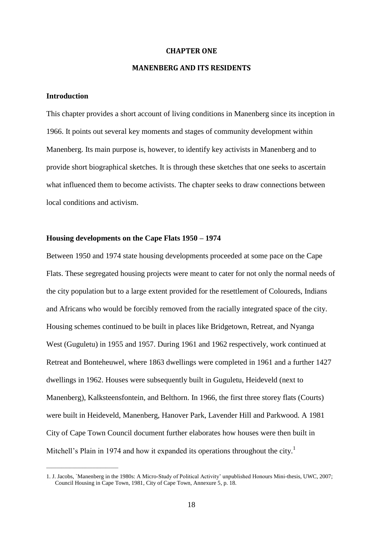#### **CHAPTER ONE**

### **MANENBERG AND ITS RESIDENTS**

## **Introduction**

\_\_\_\_\_\_\_\_\_\_\_\_\_\_\_\_\_\_\_\_\_\_\_\_\_\_\_\_

This chapter provides a short account of living conditions in Manenberg since its inception in 1966. It points out several key moments and stages of community development within Manenberg. Its main purpose is, however, to identify key activists in Manenberg and to provide short biographical sketches. It is through these sketches that one seeks to ascertain what influenced them to become activists. The chapter seeks to draw connections between local conditions and activism.

# **Housing developments on the Cape Flats 1950 – 1974**

Between 1950 and 1974 state housing developments proceeded at some pace on the Cape Flats. These segregated housing projects were meant to cater for not only the normal needs of the city population but to a large extent provided for the resettlement of Coloureds, Indians and Africans who would be forcibly removed from the racially integrated space of the city. Housing schemes continued to be built in places like Bridgetown, Retreat, and Nyanga West (Guguletu) in 1955 and 1957. During 1961 and 1962 respectively, work continued at Retreat and Bonteheuwel, where 1863 dwellings were completed in 1961 and a further 1427 dwellings in 1962. Houses were subsequently built in Guguletu, Heideveld (next to Manenberg), Kalksteensfontein, and Belthorn. In 1966, the first three storey flats (Courts) were built in Heideveld, Manenberg, Hanover Park, Lavender Hill and Parkwood. A 1981 City of Cape Town Council document further elaborates how houses were then built in Mitchell's Plain in 1974 and how it expanded its operations throughout the city.<sup>1</sup>

<sup>1.</sup> J. Jacobs, `Manenberg in the 1980s: A Micro-Study of Political Activity" unpublished Honours Mini-thesis, UWC, 2007; Council Housing in Cape Town, 1981, City of Cape Town, Annexure 5, p. 18.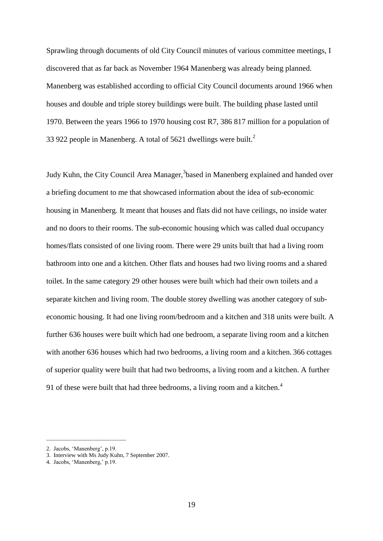Sprawling through documents of old City Council minutes of various committee meetings, I discovered that as far back as November 1964 Manenberg was already being planned. Manenberg was established according to official City Council documents around 1966 when houses and double and triple storey buildings were built. The building phase lasted until 1970. Between the years 1966 to 1970 housing cost R7, 386 817 million for a population of 33 922 people in Manenberg. A total of 5621 dwellings were built.<sup>2</sup>

Judy Kuhn, the City Council Area Manager,<sup>3</sup>based in Manenberg explained and handed over a briefing document to me that showcased information about the idea of sub-economic housing in Manenberg. It meant that houses and flats did not have ceilings, no inside water and no doors to their rooms. The sub-economic housing which was called dual occupancy homes/flats consisted of one living room. There were 29 units built that had a living room bathroom into one and a kitchen. Other flats and houses had two living rooms and a shared toilet. In the same category 29 other houses were built which had their own toilets and a separate kitchen and living room. The double storey dwelling was another category of subeconomic housing. It had one living room/bedroom and a kitchen and 318 units were built. A further 636 houses were built which had one bedroom, a separate living room and a kitchen with another 636 houses which had two bedrooms, a living room and a kitchen. 366 cottages of superior quality were built that had two bedrooms, a living room and a kitchen. A further 91 of these were built that had three bedrooms, a living room and a kitchen.<sup>4</sup>

\_\_\_\_\_\_\_\_\_\_\_\_\_\_\_\_\_\_\_\_\_\_\_\_\_\_\_\_\_\_\_

<sup>2.</sup> Jacobs, "Manenberg", p.19.

<sup>3.</sup> Interview with Ms Judy Kuhn, 7 September 2007.

<sup>4.</sup> Jacobs, "Manenberg," p.19.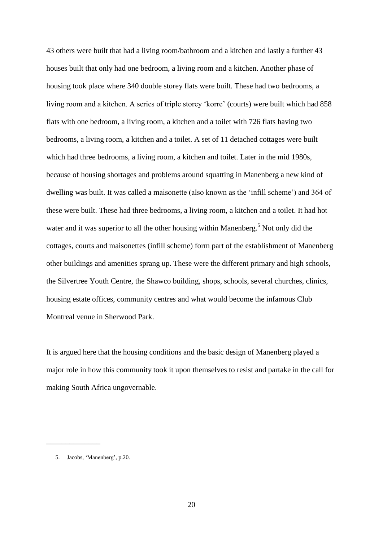43 others were built that had a living room/bathroom and a kitchen and lastly a further 43 houses built that only had one bedroom, a living room and a kitchen. Another phase of housing took place where 340 double storey flats were built. These had two bedrooms, a living room and a kitchen. A series of triple storey 'korre' (courts) were built which had 858 flats with one bedroom, a living room, a kitchen and a toilet with 726 flats having two bedrooms, a living room, a kitchen and a toilet. A set of 11 detached cottages were built which had three bedrooms, a living room, a kitchen and toilet. Later in the mid 1980s, because of housing shortages and problems around squatting in Manenberg a new kind of dwelling was built. It was called a maisonette (also known as the "infill scheme") and 364 of these were built. These had three bedrooms, a living room, a kitchen and a toilet. It had hot water and it was superior to all the other housing within Manenberg.<sup>5</sup> Not only did the cottages, courts and maisonettes (infill scheme) form part of the establishment of Manenberg other buildings and amenities sprang up. These were the different primary and high schools, the Silvertree Youth Centre, the Shawco building, shops, schools, several churches, clinics, housing estate offices, community centres and what would become the infamous Club Montreal venue in Sherwood Park.

It is argued here that the housing conditions and the basic design of Manenberg played a major role in how this community took it upon themselves to resist and partake in the call for making South Africa ungovernable.

\_\_\_\_\_\_\_\_\_\_\_\_\_\_

<sup>5.</sup> Jacobs, 'Manenberg', p.20.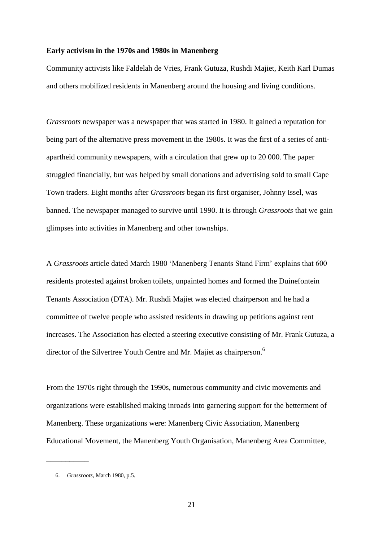#### **Early activism in the 1970s and 1980s in Manenberg**

Community activists like Faldelah de Vries, Frank Gutuza, Rushdi Majiet, Keith Karl Dumas and others mobilized residents in Manenberg around the housing and living conditions.

*Grassroots* newspaper was a newspaper that was started in 1980. It gained a reputation for being part of the alternative press movement in the 1980s. It was the first of a series of antiapartheid community newspapers, with a circulation that grew up to 20 000. The paper struggled financially, but was helped by small donations and advertising sold to small Cape Town traders. Eight months after *Grassroots* began its first organiser, Johnny Issel, was banned. The newspaper managed to survive until 1990. It is through *Grassroots* that we gain glimpses into activities in Manenberg and other townships.

A *Grassroots* article dated March 1980 "Manenberg Tenants Stand Firm" explains that 600 residents protested against broken toilets, unpainted homes and formed the Duinefontein Tenants Association (DTA). Mr. Rushdi Majiet was elected chairperson and he had a committee of twelve people who assisted residents in drawing up petitions against rent increases. The Association has elected a steering executive consisting of Mr. Frank Gutuza, a director of the Silvertree Youth Centre and Mr. Majiet as chairperson.<sup>6</sup>

From the 1970s right through the 1990s, numerous community and civic movements and organizations were established making inroads into garnering support for the betterment of Manenberg. These organizations were: Manenberg Civic Association, Manenberg Educational Movement, the Manenberg Youth Organisation, Manenberg Area Committee,

 $\overline{\phantom{a}}$ 

<sup>6.</sup> *Grassroots*, March 1980, p.5.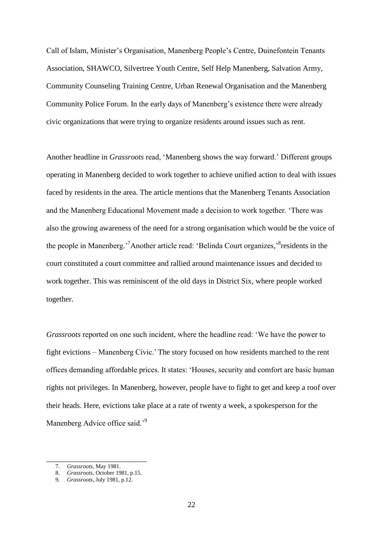Call of Islam, Minister"s Organisation, Manenberg People"s Centre, Duinefontein Tenants Association, SHAWCO, Silvertree Youth Centre, Self Help Manenberg, Salvation Army, Community Counseling Training Centre, Urban Renewal Organisation and the Manenberg Community Police Forum. In the early days of Manenberg's existence there were already civic organizations that were trying to organize residents around issues such as rent.

Another headline in *Grassroots* read, "Manenberg shows the way forward." Different groups operating in Manenberg decided to work together to achieve unified action to deal with issues faced by residents in the area. The article mentions that the Manenberg Tenants Association and the Manenberg Educational Movement made a decision to work together. "There was also the growing awareness of the need for a strong organisation which would be the voice of the people in Manenberg.<sup>7</sup> Another article read: 'Belinda Court organizes,<sup>8</sup> residents in the court constituted a court committee and rallied around maintenance issues and decided to work together. This was reminiscent of the old days in District Six, where people worked together.

*Grassroots* reported on one such incident, where the headline read: "We have the power to fight evictions – Manenberg Civic." The story focused on how residents marched to the rent offices demanding affordable prices. It states: "Houses, security and comfort are basic human rights not privileges. In Manenberg, however, people have to fight to get and keep a roof over their heads. Here, evictions take place at a rate of twenty a week, a spokesperson for the Manenberg Advice office said.<sup>'9</sup>

\_\_\_\_\_\_\_\_\_\_\_\_\_\_\_\_\_\_\_\_\_\_\_\_\_\_

<sup>7.</sup> *Grassroots*, May 1981.

<sup>8.</sup> *Grassroots*, October 1981, p.15.

<sup>9.</sup> *Grassroots*, July 1981, p.12.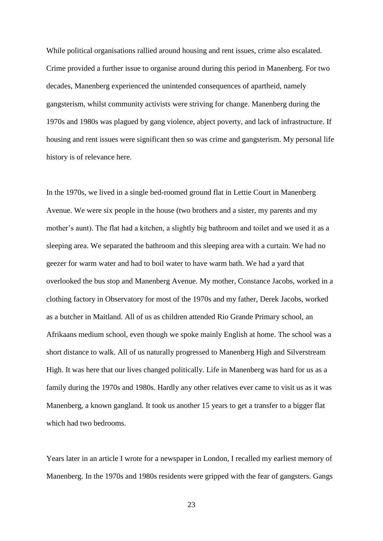While political organisations rallied around housing and rent issues, crime also escalated. Crime provided a further issue to organise around during this period in Manenberg. For two decades, Manenberg experienced the unintended consequences of apartheid, namely gangsterism, whilst community activists were striving for change. Manenberg during the 1970s and 1980s was plagued by gang violence, abject poverty, and lack of infrastructure. If housing and rent issues were significant then so was crime and gangsterism. My personal life history is of relevance here.

In the 1970s, we lived in a single bed-roomed ground flat in Lettie Court in Manenberg Avenue. We were six people in the house (two brothers and a sister, my parents and my mother's aunt). The flat had a kitchen, a slightly big bathroom and toilet and we used it as a sleeping area. We separated the bathroom and this sleeping area with a curtain. We had no geezer for warm water and had to boil water to have warm bath. We had a yard that overlooked the bus stop and Manenberg Avenue. My mother, Constance Jacobs, worked in a clothing factory in Observatory for most of the 1970s and my father, Derek Jacobs, worked as a butcher in Maitland. All of us as children attended Rio Grande Primary school, an Afrikaans medium school, even though we spoke mainly English at home. The school was a short distance to walk. All of us naturally progressed to Manenberg High and Silverstream High. It was here that our lives changed politically. Life in Manenberg was hard for us as a family during the 1970s and 1980s. Hardly any other relatives ever came to visit us as it was Manenberg, a known gangland. It took us another 15 years to get a transfer to a bigger flat which had two bedrooms.

Years later in an article I wrote for a newspaper in London, I recalled my earliest memory of Manenberg. In the 1970s and 1980s residents were gripped with the fear of gangsters. Gangs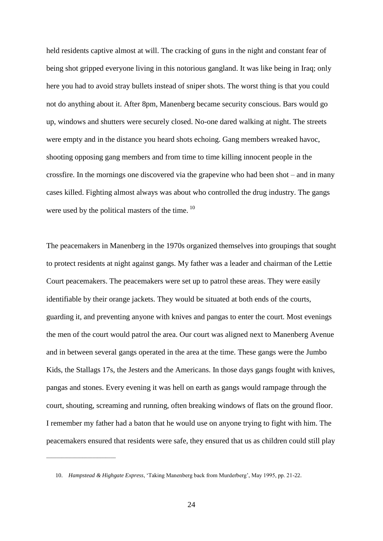held residents captive almost at will. The cracking of guns in the night and constant fear of being shot gripped everyone living in this notorious gangland. It was like being in Iraq; only here you had to avoid stray bullets instead of sniper shots. The worst thing is that you could not do anything about it. After 8pm, Manenberg became security conscious. Bars would go up, windows and shutters were securely closed. No-one dared walking at night. The streets were empty and in the distance you heard shots echoing. Gang members wreaked havoc, shooting opposing gang members and from time to time killing innocent people in the crossfire. In the mornings one discovered via the grapevine who had been shot – and in many cases killed. Fighting almost always was about who controlled the drug industry. The gangs were used by the political masters of the time. <sup>10</sup>

The peacemakers in Manenberg in the 1970s organized themselves into groupings that sought to protect residents at night against gangs. My father was a leader and chairman of the Lettie Court peacemakers. The peacemakers were set up to patrol these areas. They were easily identifiable by their orange jackets. They would be situated at both ends of the courts, guarding it, and preventing anyone with knives and pangas to enter the court. Most evenings the men of the court would patrol the area. Our court was aligned next to Manenberg Avenue and in between several gangs operated in the area at the time. These gangs were the Jumbo Kids, the Stallags 17s, the Jesters and the Americans. In those days gangs fought with knives, pangas and stones. Every evening it was hell on earth as gangs would rampage through the court, shouting, screaming and running, often breaking windows of flats on the ground floor. I remember my father had a baton that he would use on anyone trying to fight with him. The peacemakers ensured that residents were safe, they ensured that us as children could still play

\_\_\_\_\_\_\_\_\_\_\_\_\_\_\_\_\_\_\_\_\_\_\_\_\_\_\_

<sup>10.</sup> *Hampstead & Highgate Express*, "Taking Manenberg back from Murderberg", May 1995, pp. 21-22.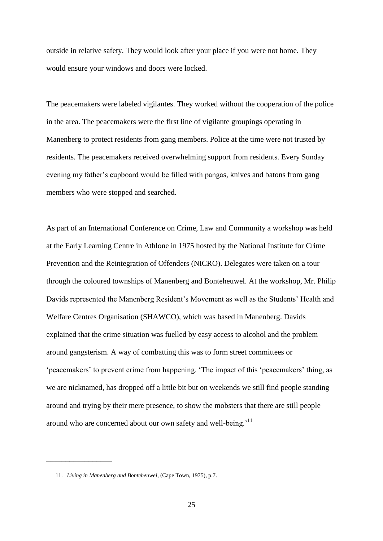outside in relative safety. They would look after your place if you were not home. They would ensure your windows and doors were locked.

The peacemakers were labeled vigilantes. They worked without the cooperation of the police in the area. The peacemakers were the first line of vigilante groupings operating in Manenberg to protect residents from gang members. Police at the time were not trusted by residents. The peacemakers received overwhelming support from residents. Every Sunday evening my father"s cupboard would be filled with pangas, knives and batons from gang members who were stopped and searched.

As part of an International Conference on Crime, Law and Community a workshop was held at the Early Learning Centre in Athlone in 1975 hosted by the National Institute for Crime Prevention and the Reintegration of Offenders (NICRO). Delegates were taken on a tour through the coloured townships of Manenberg and Bonteheuwel. At the workshop, Mr. Philip Davids represented the Manenberg Resident"s Movement as well as the Students" Health and Welfare Centres Organisation (SHAWCO), which was based in Manenberg. Davids explained that the crime situation was fuelled by easy access to alcohol and the problem around gangsterism. A way of combatting this was to form street committees or "peacemakers" to prevent crime from happening. "The impact of this "peacemakers" thing, as we are nicknamed, has dropped off a little bit but on weekends we still find people standing around and trying by their mere presence, to show the mobsters that there are still people around who are concerned about our own safety and well-being.<sup>'11</sup>

 $\overline{\phantom{a}}$  , where  $\overline{\phantom{a}}$ 

<sup>11.</sup> *Living in Manenberg and Bonteheuwel*, (Cape Town, 1975), p.7.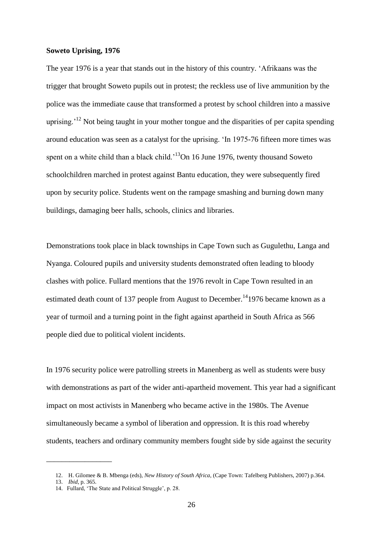#### **Soweto Uprising, 1976**

The year 1976 is a year that stands out in the history of this country. "Afrikaans was the trigger that brought Soweto pupils out in protest; the reckless use of live ammunition by the police was the immediate cause that transformed a protest by school children into a massive uprising.<sup> $12$ </sup> Not being taught in your mother tongue and the disparities of per capita spending around education was seen as a catalyst for the uprising. "In 1975-76 fifteen more times was spent on a white child than a black child.<sup>13</sup>On 16 June 1976, twenty thousand Soweto schoolchildren marched in protest against Bantu education, they were subsequently fired upon by security police. Students went on the rampage smashing and burning down many buildings, damaging beer halls, schools, clinics and libraries.

Demonstrations took place in black townships in Cape Town such as Gugulethu, Langa and Nyanga. Coloured pupils and university students demonstrated often leading to bloody clashes with police. Fullard mentions that the 1976 revolt in Cape Town resulted in an estimated death count of 137 people from August to December.<sup>14</sup>1976 became known as a year of turmoil and a turning point in the fight against apartheid in South Africa as 566 people died due to political violent incidents.

In 1976 security police were patrolling streets in Manenberg as well as students were busy with demonstrations as part of the wider anti-apartheid movement. This year had a significant impact on most activists in Manenberg who became active in the 1980s. The Avenue simultaneously became a symbol of liberation and oppression. It is this road whereby students, teachers and ordinary community members fought side by side against the security

 $\overline{\phantom{a}}$  , where  $\overline{\phantom{a}}$ 

<sup>12.</sup> H. Gilomee & B. Mbenga (eds), *New History of South Africa*, (Cape Town: Tafelberg Publishers, 2007) p.364.

<sup>13.</sup> *Ibid*, p. 365.

<sup>14.</sup> Fullard, 'The State and Political Struggle', p. 28.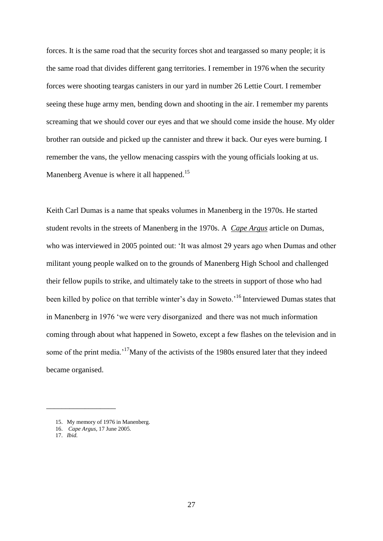forces. It is the same road that the security forces shot and teargassed so many people; it is the same road that divides different gang territories. I remember in 1976 when the security forces were shooting teargas canisters in our yard in number 26 Lettie Court. I remember seeing these huge army men, bending down and shooting in the air. I remember my parents screaming that we should cover our eyes and that we should come inside the house. My older brother ran outside and picked up the cannister and threw it back. Our eyes were burning. I remember the vans, the yellow menacing casspirs with the young officials looking at us. Manenberg Avenue is where it all happened.<sup>15</sup>

Keith Carl Dumas is a name that speaks volumes in Manenberg in the 1970s. He started student revolts in the streets of Manenberg in the 1970s. A *Cape Argus* article on Dumas, who was interviewed in 2005 pointed out: "It was almost 29 years ago when Dumas and other militant young people walked on to the grounds of Manenberg High School and challenged their fellow pupils to strike, and ultimately take to the streets in support of those who had been killed by police on that terrible winter's day in Soweto.<sup>16</sup> Interviewed Dumas states that in Manenberg in 1976 "we were very disorganized and there was not much information coming through about what happened in Soweto, except a few flashes on the television and in some of the print media.<sup>17</sup>Many of the activists of the 1980s ensured later that they indeed became organised.

\_\_\_\_\_\_\_\_\_\_\_\_\_\_\_\_\_\_

<sup>15.</sup> My memory of 1976 in Manenberg.

<sup>16.</sup> *Cape Argus*, 17 June 2005.

<sup>17.</sup> *Ibid.*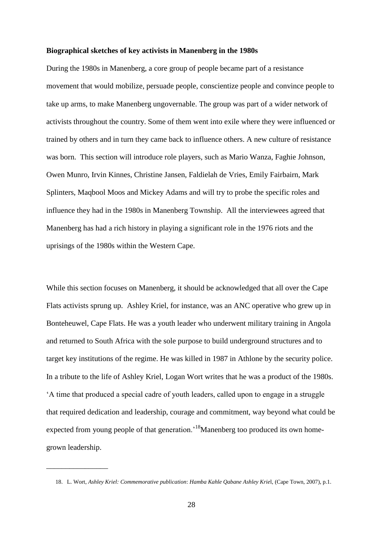#### **Biographical sketches of key activists in Manenberg in the 1980s**

During the 1980s in Manenberg, a core group of people became part of a resistance movement that would mobilize, persuade people, conscientize people and convince people to take up arms, to make Manenberg ungovernable. The group was part of a wider network of activists throughout the country. Some of them went into exile where they were influenced or trained by others and in turn they came back to influence others. A new culture of resistance was born. This section will introduce role players, such as Mario Wanza, Faghie Johnson, Owen Munro, Irvin Kinnes, Christine Jansen, Faldielah de Vries, Emily Fairbairn, Mark Splinters, Maqbool Moos and Mickey Adams and will try to probe the specific roles and influence they had in the 1980s in Manenberg Township. All the interviewees agreed that Manenberg has had a rich history in playing a significant role in the 1976 riots and the uprisings of the 1980s within the Western Cape.

While this section focuses on Manenberg, it should be acknowledged that all over the Cape Flats activists sprung up. Ashley Kriel, for instance, was an ANC operative who grew up in Bonteheuwel, Cape Flats. He was a youth leader who underwent military training in Angola and returned to South Africa with the sole purpose to build underground structures and to target key institutions of the regime. He was killed in 1987 in Athlone by the security police. In a tribute to the life of Ashley Kriel, Logan Wort writes that he was a product of the 1980s. "A time that produced a special cadre of youth leaders, called upon to engage in a struggle that required dedication and leadership, courage and commitment, way beyond what could be expected from young people of that generation.<sup>18</sup>Manenberg too produced its own homegrown leadership.

\_\_\_\_\_\_\_\_\_\_\_\_\_\_\_\_

<sup>18.</sup> L. Wort, *Ashley Kriel: Commemorative publication*: *Hamba Kahle Qabane Ashley Krie*l, (Cape Town, 2007), p.1.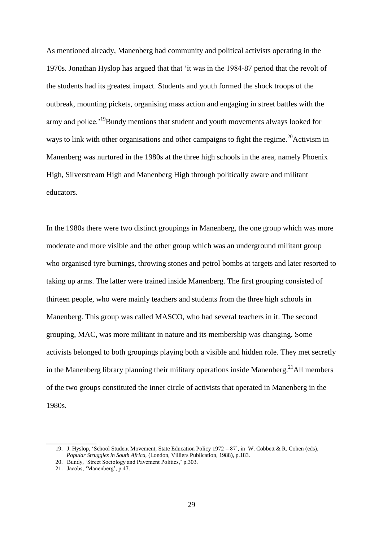As mentioned already, Manenberg had community and political activists operating in the 1970s. Jonathan Hyslop has argued that that "it was in the 1984-87 period that the revolt of the students had its greatest impact. Students and youth formed the shock troops of the outbreak, mounting pickets, organising mass action and engaging in street battles with the army and police.<sup>19</sup>Bundy mentions that student and youth movements always looked for ways to link with other organisations and other campaigns to fight the regime.<sup>20</sup>Activism in Manenberg was nurtured in the 1980s at the three high schools in the area, namely Phoenix High, Silverstream High and Manenberg High through politically aware and militant educators.

In the 1980s there were two distinct groupings in Manenberg, the one group which was more moderate and more visible and the other group which was an underground militant group who organised tyre burnings, throwing stones and petrol bombs at targets and later resorted to taking up arms. The latter were trained inside Manenberg. The first grouping consisted of thirteen people, who were mainly teachers and students from the three high schools in Manenberg. This group was called MASCO, who had several teachers in it. The second grouping, MAC, was more militant in nature and its membership was changing. Some activists belonged to both groupings playing both a visible and hidden role. They met secretly in the Manenberg library planning their military operations inside Manenberg.<sup>21</sup>All members of the two groups constituted the inner circle of activists that operated in Manenberg in the 1980s.

\_\_\_\_\_\_\_\_\_\_\_\_\_

<sup>19.</sup> J. Hyslop, "School Student Movement, State Education Policy 1972 – 87", in W. Cobbett & R. Cohen (eds),  *Popular Struggles in South Africa,* (London, Villiers Publication, 1988), p.183.

<sup>20.</sup> Bundy, "Street Sociology and Pavement Politics," p.303.

<sup>21.</sup> Jacobs, "Manenberg", p.47.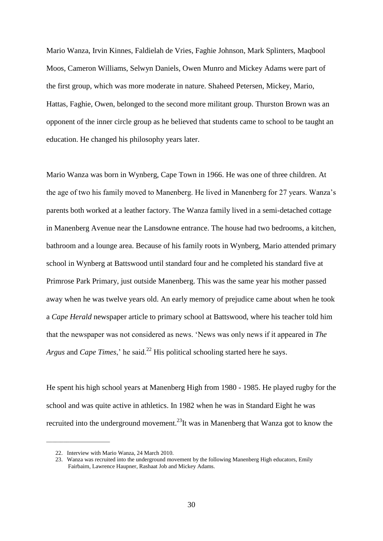Mario Wanza, Irvin Kinnes, Faldielah de Vries, Faghie Johnson, Mark Splinters, Maqbool Moos, Cameron Williams, Selwyn Daniels, Owen Munro and Mickey Adams were part of the first group, which was more moderate in nature. Shaheed Petersen, Mickey, Mario, Hattas, Faghie, Owen, belonged to the second more militant group. Thurston Brown was an opponent of the inner circle group as he believed that students came to school to be taught an education. He changed his philosophy years later.

Mario Wanza was born in Wynberg, Cape Town in 1966. He was one of three children. At the age of two his family moved to Manenberg. He lived in Manenberg for 27 years. Wanza"s parents both worked at a leather factory. The Wanza family lived in a semi-detached cottage in Manenberg Avenue near the Lansdowne entrance. The house had two bedrooms, a kitchen, bathroom and a lounge area. Because of his family roots in Wynberg, Mario attended primary school in Wynberg at Battswood until standard four and he completed his standard five at Primrose Park Primary, just outside Manenberg. This was the same year his mother passed away when he was twelve years old. An early memory of prejudice came about when he took a *Cape Herald* newspaper article to primary school at Battswood, where his teacher told him that the newspaper was not considered as news. "News was only news if it appeared in *The Argus* and *Cape Times*,' he said.<sup>22</sup> His political schooling started here he says.

He spent his high school years at Manenberg High from 1980 - 1985. He played rugby for the school and was quite active in athletics. In 1982 when he was in Standard Eight he was recruited into the underground movement.<sup>23</sup>It was in Manenberg that Wanza got to know the

\_\_\_\_\_\_\_\_\_\_\_\_\_\_\_\_\_\_\_\_\_\_

<sup>22.</sup> Interview with Mario Wanza, 24 March 2010.

<sup>23.</sup> Wanza was recruited into the underground movement by the following Manenberg High educators, Emily Fairbairn, Lawrence Haupner, Rashaat Job and Mickey Adams.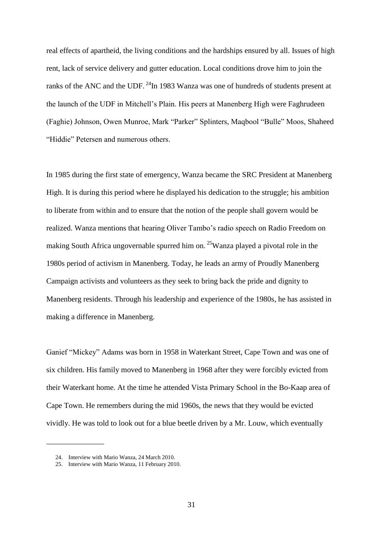real effects of apartheid, the living conditions and the hardships ensured by all. Issues of high rent, lack of service delivery and gutter education. Local conditions drove him to join the ranks of the ANC and the UDF.  $^{24}$ In 1983 Wanza was one of hundreds of students present at the launch of the UDF in Mitchell"s Plain. His peers at Manenberg High were Faghrudeen (Faghie) Johnson, Owen Munroe, Mark "Parker" Splinters, Maqbool "Bulle" Moos, Shaheed "Hiddie" Petersen and numerous others.

In 1985 during the first state of emergency, Wanza became the SRC President at Manenberg High. It is during this period where he displayed his dedication to the struggle; his ambition to liberate from within and to ensure that the notion of the people shall govern would be realized. Wanza mentions that hearing Oliver Tambo"s radio speech on Radio Freedom on making South Africa ungovernable spurred him on.  $^{25}$ Wanza played a pivotal role in the 1980s period of activism in Manenberg. Today, he leads an army of Proudly Manenberg Campaign activists and volunteers as they seek to bring back the pride and dignity to Manenberg residents. Through his leadership and experience of the 1980s, he has assisted in making a difference in Manenberg.

Ganief "Mickey" Adams was born in 1958 in Waterkant Street, Cape Town and was one of six children. His family moved to Manenberg in 1968 after they were forcibly evicted from their Waterkant home. At the time he attended Vista Primary School in the Bo-Kaap area of Cape Town. He remembers during the mid 1960s, the news that they would be evicted vividly. He was told to look out for a blue beetle driven by a Mr. Louw, which eventually

\_\_\_\_\_\_\_\_\_\_\_\_\_\_\_

<sup>24.</sup> Interview with Mario Wanza, 24 March 2010.

<sup>25.</sup> Interview with Mario Wanza, 11 February 2010.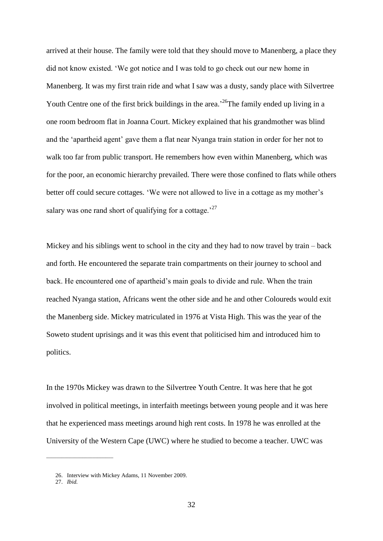arrived at their house. The family were told that they should move to Manenberg, a place they did not know existed. "We got notice and I was told to go check out our new home in Manenberg. It was my first train ride and what I saw was a dusty, sandy place with Silvertree Youth Centre one of the first brick buildings in the area.<sup>26</sup>The family ended up living in a one room bedroom flat in Joanna Court. Mickey explained that his grandmother was blind and the 'apartheid agent' gave them a flat near Nyanga train station in order for her not to walk too far from public transport. He remembers how even within Manenberg, which was for the poor, an economic hierarchy prevailed. There were those confined to flats while others better off could secure cottages. 'We were not allowed to live in a cottage as my mother's salary was one rand short of qualifying for a cottage.<sup>27</sup>

Mickey and his siblings went to school in the city and they had to now travel by train – back and forth. He encountered the separate train compartments on their journey to school and back. He encountered one of apartheid"s main goals to divide and rule. When the train reached Nyanga station, Africans went the other side and he and other Coloureds would exit the Manenberg side. Mickey matriculated in 1976 at Vista High. This was the year of the Soweto student uprisings and it was this event that politicised him and introduced him to politics.

In the 1970s Mickey was drawn to the Silvertree Youth Centre. It was here that he got involved in political meetings, in interfaith meetings between young people and it was here that he experienced mass meetings around high rent costs. In 1978 he was enrolled at the University of the Western Cape (UWC) where he studied to become a teacher. UWC was

\_\_\_\_\_\_\_\_\_\_\_\_\_\_\_\_\_\_\_\_\_\_\_\_\_\_

<sup>26.</sup> Interview with Mickey Adams, 11 November 2009.

<sup>27.</sup> *Ibid.*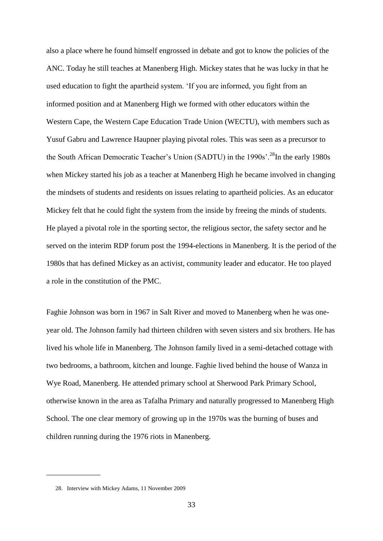also a place where he found himself engrossed in debate and got to know the policies of the ANC. Today he still teaches at Manenberg High. Mickey states that he was lucky in that he used education to fight the apartheid system. "If you are informed, you fight from an informed position and at Manenberg High we formed with other educators within the Western Cape, the Western Cape Education Trade Union (WECTU), with members such as Yusuf Gabru and Lawrence Haupner playing pivotal roles. This was seen as a precursor to the South African Democratic Teacher's Union (SADTU) in the 1990s'.<sup>28</sup>In the early 1980s when Mickey started his job as a teacher at Manenberg High he became involved in changing the mindsets of students and residents on issues relating to apartheid policies. As an educator Mickey felt that he could fight the system from the inside by freeing the minds of students. He played a pivotal role in the sporting sector, the religious sector, the safety sector and he served on the interim RDP forum post the 1994-elections in Manenberg. It is the period of the 1980s that has defined Mickey as an activist, community leader and educator. He too played a role in the constitution of the PMC.

Faghie Johnson was born in 1967 in Salt River and moved to Manenberg when he was oneyear old. The Johnson family had thirteen children with seven sisters and six brothers. He has lived his whole life in Manenberg. The Johnson family lived in a semi-detached cottage with two bedrooms, a bathroom, kitchen and lounge. Faghie lived behind the house of Wanza in Wye Road, Manenberg. He attended primary school at Sherwood Park Primary School, otherwise known in the area as Tafalha Primary and naturally progressed to Manenberg High School. The one clear memory of growing up in the 1970s was the burning of buses and children running during the 1976 riots in Manenberg.

 $\overline{\phantom{a}}$  , where  $\overline{\phantom{a}}$ 

<sup>28.</sup> Interview with Mickey Adams, 11 November 2009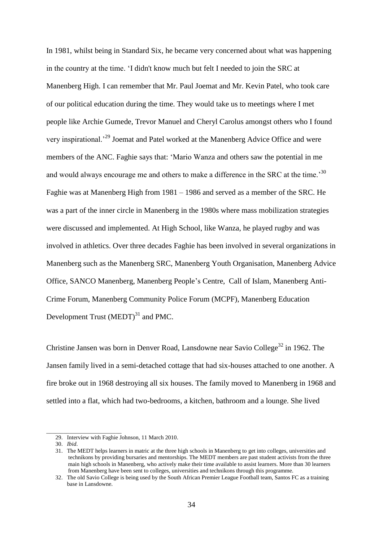In 1981, whilst being in Standard Six, he became very concerned about what was happening in the country at the time. "I didn't know much but felt I needed to join the SRC at Manenberg High. I can remember that Mr. Paul Joemat and Mr. Kevin Patel, who took care of our political education during the time. They would take us to meetings where I met people like Archie Gumede, Trevor Manuel and Cheryl Carolus amongst others who I found very inspirational."<sup>29</sup> Joemat and Patel worked at the Manenberg Advice Office and were members of the ANC. Faghie says that: "Mario Wanza and others saw the potential in me and would always encourage me and others to make a difference in the SRC at the time.<sup>30</sup> Faghie was at Manenberg High from 1981 – 1986 and served as a member of the SRC. He was a part of the inner circle in Manenberg in the 1980s where mass mobilization strategies were discussed and implemented. At High School, like Wanza, he played rugby and was involved in athletics. Over three decades Faghie has been involved in several organizations in Manenberg such as the Manenberg SRC, Manenberg Youth Organisation, Manenberg Advice Office, SANCO Manenberg, Manenberg People"s Centre, Call of Islam, Manenberg Anti-Crime Forum, Manenberg Community Police Forum (MCPF), Manenberg Education Development Trust  $(MEDT)^{31}$  and PMC.

Christine Jansen was born in Denver Road, Lansdowne near Savio College<sup>32</sup> in 1962. The Jansen family lived in a semi-detached cottage that had six-houses attached to one another. A fire broke out in 1968 destroying all six houses. The family moved to Manenberg in 1968 and settled into a flat, which had two-bedrooms, a kitchen, bathroom and a lounge. She lived

 $\_$ 

<sup>29.</sup> Interview with Faghie Johnson, 11 March 2010.

<sup>30.</sup> *Ibid*.

<sup>31.</sup> The MEDT helps learners in matric at the three high schools in Manenberg to get into colleges, universities and technikons by providing bursaries and mentorships. The MEDT members are past student activists from the three main high schools in Manenberg, who actively make their time available to assist learners. More than 30 learners from Manenberg have been sent to colleges, universities and technikons through this programme.

<sup>32.</sup> The old Savio College is being used by the South African Premier League Football team, Santos FC as a training base in Lansdowne.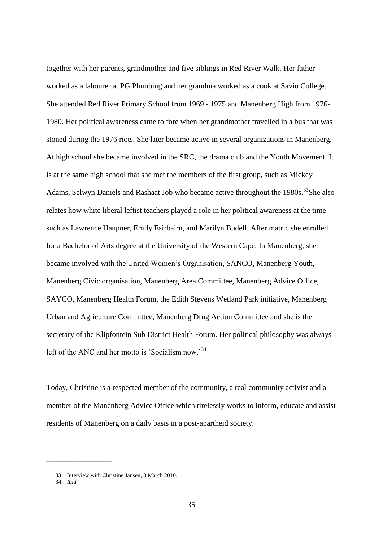together with her parents, grandmother and five siblings in Red River Walk. Her father worked as a labourer at PG Plumbing and her grandma worked as a cook at Savio College. She attended Red River Primary School from 1969 - 1975 and Manenberg High from 1976- 1980. Her political awareness came to fore when her grandmother travelled in a bus that was stoned during the 1976 riots. She later became active in several organizations in Manenberg. At high school she became involved in the SRC, the drama club and the Youth Movement. It is at the same high school that she met the members of the first group, such as Mickey Adams, Selwyn Daniels and Rashaat Job who became active throughout the 1980s.<sup>33</sup>She also relates how white liberal leftist teachers played a role in her political awareness at the time such as Lawrence Haupner, Emily Fairbairn, and Marilyn Budell. After matric she enrolled for a Bachelor of Arts degree at the University of the Western Cape. In Manenberg, she became involved with the United Women"s Organisation, SANCO, Manenberg Youth, Manenberg Civic organisation, Manenberg Area Committee, Manenberg Advice Office, SAYCO, Manenberg Health Forum, the Edith Stevens Wetland Park initiative, Manenberg Urban and Agriculture Committee, Manenberg Drug Action Committee and she is the secretary of the Klipfontein Sub District Health Forum. Her political philosophy was always left of the ANC and her motto is 'Socialism now.'<sup>34</sup>

Today, Christine is a respected member of the community, a real community activist and a member of the Manenberg Advice Office which tirelessly works to inform, educate and assist residents of Manenberg on a daily basis in a post-apartheid society.

 $\overline{\phantom{a}}$  , where  $\overline{\phantom{a}}$ 

<sup>33.</sup> Interview with Christine Jansen, 8 March 2010.

<sup>34.</sup> *Ibid.*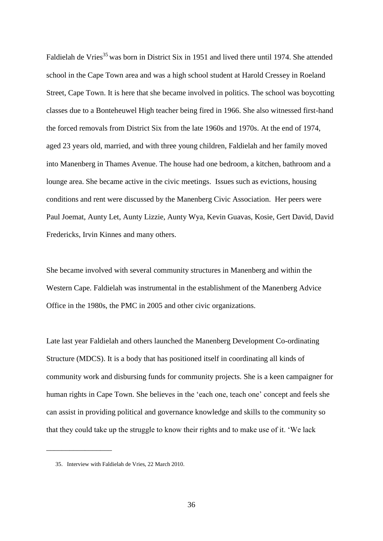Faldielah de Vries<sup>35</sup> was born in District Six in 1951 and lived there until 1974. She attended school in the Cape Town area and was a high school student at Harold Cressey in Roeland Street, Cape Town. It is here that she became involved in politics. The school was boycotting classes due to a Bonteheuwel High teacher being fired in 1966. She also witnessed first-hand the forced removals from District Six from the late 1960s and 1970s. At the end of 1974, aged 23 years old, married, and with three young children, Faldielah and her family moved into Manenberg in Thames Avenue. The house had one bedroom, a kitchen, bathroom and a lounge area. She became active in the civic meetings. Issues such as evictions, housing conditions and rent were discussed by the Manenberg Civic Association. Her peers were Paul Joemat, Aunty Let, Aunty Lizzie, Aunty Wya, Kevin Guavas, Kosie, Gert David, David Fredericks, Irvin Kinnes and many others.

She became involved with several community structures in Manenberg and within the Western Cape. Faldielah was instrumental in the establishment of the Manenberg Advice Office in the 1980s, the PMC in 2005 and other civic organizations.

Late last year Faldielah and others launched the Manenberg Development Co-ordinating Structure (MDCS). It is a body that has positioned itself in coordinating all kinds of community work and disbursing funds for community projects. She is a keen campaigner for human rights in Cape Town. She believes in the 'each one, teach one' concept and feels she can assist in providing political and governance knowledge and skills to the community so that they could take up the struggle to know their rights and to make use of it. "We lack

 $\overline{\phantom{a}}$  , where  $\overline{\phantom{a}}$ 

<sup>35.</sup> Interview with Faldielah de Vries, 22 March 2010.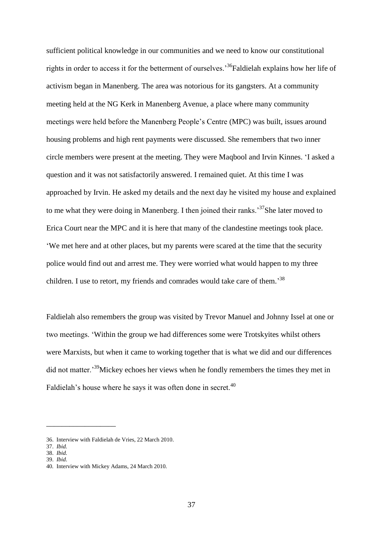sufficient political knowledge in our communities and we need to know our constitutional rights in order to access it for the betterment of ourselves.<sup>36</sup>Faldielah explains how her life of activism began in Manenberg. The area was notorious for its gangsters. At a community meeting held at the NG Kerk in Manenberg Avenue, a place where many community meetings were held before the Manenberg People"s Centre (MPC) was built, issues around housing problems and high rent payments were discussed. She remembers that two inner circle members were present at the meeting. They were Maqbool and Irvin Kinnes. "I asked a question and it was not satisfactorily answered. I remained quiet. At this time I was approached by Irvin. He asked my details and the next day he visited my house and explained to me what they were doing in Manenberg. I then joined their ranks.<sup>37</sup>She later moved to Erica Court near the MPC and it is here that many of the clandestine meetings took place. "We met here and at other places, but my parents were scared at the time that the security police would find out and arrest me. They were worried what would happen to my three children. I use to retort, my friends and comrades would take care of them.<sup>38</sup>

Faldielah also remembers the group was visited by Trevor Manuel and Johnny Issel at one or two meetings. "Within the group we had differences some were Trotskyites whilst others were Marxists, but when it came to working together that is what we did and our differences did not matter.<sup>39</sup>Mickey echoes her views when he fondly remembers the times they met in Faldielah's house where he says it was often done in secret.<sup>40</sup>

\_\_\_\_\_\_\_\_\_\_\_\_\_\_\_\_\_\_

<sup>36.</sup> Interview with Faldielah de Vries, 22 March 2010.

<sup>37.</sup> *Ibid.*

<sup>38.</sup> *Ibid.* 39. *Ibid*.

<sup>40</sup>*.* Interview with Mickey Adams, 24 March 2010*.*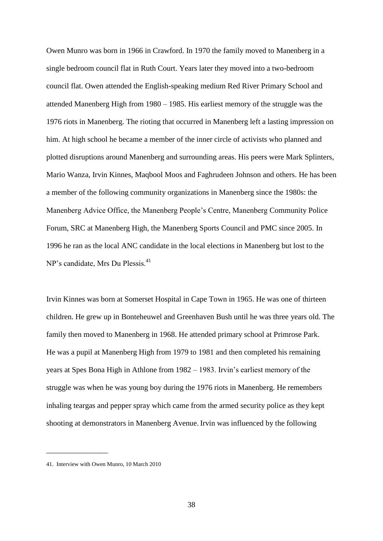Owen Munro was born in 1966 in Crawford. In 1970 the family moved to Manenberg in a single bedroom council flat in Ruth Court. Years later they moved into a two-bedroom council flat. Owen attended the English-speaking medium Red River Primary School and attended Manenberg High from 1980 – 1985. His earliest memory of the struggle was the 1976 riots in Manenberg. The rioting that occurred in Manenberg left a lasting impression on him. At high school he became a member of the inner circle of activists who planned and plotted disruptions around Manenberg and surrounding areas. His peers were Mark Splinters, Mario Wanza, Irvin Kinnes, Maqbool Moos and Faghrudeen Johnson and others. He has been a member of the following community organizations in Manenberg since the 1980s: the Manenberg Advice Office, the Manenberg People"s Centre, Manenberg Community Police Forum, SRC at Manenberg High, the Manenberg Sports Council and PMC since 2005. In 1996 he ran as the local ANC candidate in the local elections in Manenberg but lost to the NP's candidate, Mrs Du Plessis.<sup>41</sup>

Irvin Kinnes was born at Somerset Hospital in Cape Town in 1965. He was one of thirteen children. He grew up in Bonteheuwel and Greenhaven Bush until he was three years old. The family then moved to Manenberg in 1968. He attended primary school at Primrose Park. He was a pupil at Manenberg High from 1979 to 1981 and then completed his remaining years at Spes Bona High in Athlone from 1982 – 1983. Irvin"s earliest memory of the struggle was when he was young boy during the 1976 riots in Manenberg. He remembers inhaling teargas and pepper spray which came from the armed security police as they kept shooting at demonstrators in Manenberg Avenue. Irvin was influenced by the following

\_\_\_\_\_\_\_\_\_\_\_\_\_\_\_\_

<sup>41.</sup> Interview with Owen Munro, 10 March 2010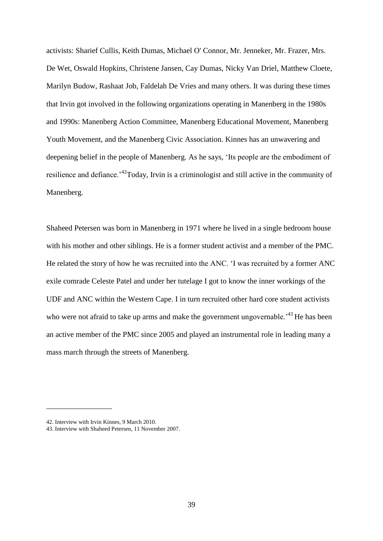activists: Sharief Cullis, Keith Dumas, Michael O' Connor, Mr. Jenneker, Mr. Frazer, Mrs. De Wet, Oswald Hopkins, Christene Jansen, Cay Dumas, Nicky Van Driel, Matthew Cloete, Marilyn Budow, Rashaat Job, Faldelah De Vries and many others. It was during these times that Irvin got involved in the following organizations operating in Manenberg in the 1980s and 1990s: Manenberg Action Committee, Manenberg Educational Movement, Manenberg Youth Movement, and the Manenberg Civic Association. Kinnes has an unwavering and deepening belief in the people of Manenberg. As he says, "Its people are the embodiment of resilience and defiance.<sup>\*42</sup>Today, Irvin is a criminologist and still active in the community of Manenberg.

Shaheed Petersen was born in Manenberg in 1971 where he lived in a single bedroom house with his mother and other siblings. He is a former student activist and a member of the PMC. He related the story of how he was recruited into the ANC. "I was recruited by a former ANC exile comrade Celeste Patel and under her tutelage I got to know the inner workings of the UDF and ANC within the Western Cape. I in turn recruited other hard core student activists who were not afraid to take up arms and make the government ungovernable.<sup>43</sup> He has been an active member of the PMC since 2005 and played an instrumental role in leading many a mass march through the streets of Manenberg.

\_\_\_\_\_\_\_\_\_\_\_\_\_\_\_\_\_

<sup>42.</sup> Interview with Irvin Kinnes, 9 March 2010.

<sup>43.</sup> Interview with Shaheed Petersen, 11 November 2007.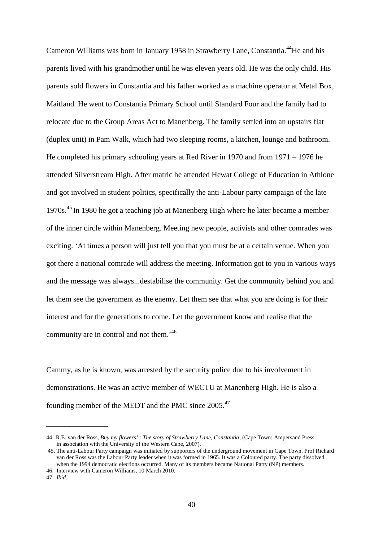Cameron Williams was born in January 1958 in Strawberry Lane, Constantia.<sup>44</sup>He and his parents lived with his grandmother until he was eleven years old. He was the only child. His parents sold flowers in Constantia and his father worked as a machine operator at Metal Box, Maitland. He went to Constantia Primary School until Standard Four and the family had to relocate due to the Group Areas Act to Manenberg. The family settled into an upstairs flat (duplex unit) in Pam Walk, which had two sleeping rooms, a kitchen, lounge and bathroom. He completed his primary schooling years at Red River in 1970 and from 1971 – 1976 he attended Silverstream High. After matric he attended Hewat College of Education in Athlone and got involved in student politics, specifically the anti-Labour party campaign of the late 1970s.<sup>45</sup> In 1980 he got a teaching job at Manenberg High where he later became a member of the inner circle within Manenberg. Meeting new people, activists and other comrades was exciting. "At times a person will just tell you that you must be at a certain venue. When you got there a national comrade will address the meeting. Information got to you in various ways and the message was always...destabilise the community. Get the community behind you and let them see the government as the enemy. Let them see that what you are doing is for their interest and for the generations to come. Let the government know and realise that the community are in control and not them.<sup>46</sup>

Cammy, as he is known, was arrested by the security police due to his involvement in demonstrations. He was an active member of WECTU at Manenberg High. He is also a founding member of the MEDT and the PMC since 2005.<sup>47</sup>

\_\_\_\_\_\_\_\_\_\_\_\_\_\_\_\_

<sup>44.</sup> R.E. van der Ross, *Buy my flowers! : The story of Strawberry Lane, Constantia*, (Cape Town: Ampersand Press in association with the University of the Western Cape, 2007).

<sup>45.</sup> The anti-Labour Party campaign was initiated by supporters of the underground movement in Cape Town. Prof Richard van der Ross was the Labour Party leader when it was formed in 1965. It was a Coloured party. The party dissolved when the 1994 democratic elections occurred. Many of its members became National Party (NP) members.

<sup>46.</sup> Interview with Cameron Williams, 10 March 2010.

<sup>47.</sup> *Ibid*.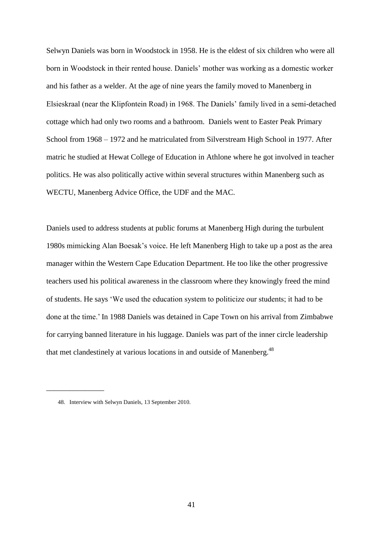Selwyn Daniels was born in Woodstock in 1958. He is the eldest of six children who were all born in Woodstock in their rented house. Daniels" mother was working as a domestic worker and his father as a welder. At the age of nine years the family moved to Manenberg in Elsieskraal (near the Klipfontein Road) in 1968. The Daniels" family lived in a semi-detached cottage which had only two rooms and a bathroom. Daniels went to Easter Peak Primary School from 1968 – 1972 and he matriculated from Silverstream High School in 1977. After matric he studied at Hewat College of Education in Athlone where he got involved in teacher politics. He was also politically active within several structures within Manenberg such as WECTU, Manenberg Advice Office, the UDF and the MAC.

Daniels used to address students at public forums at Manenberg High during the turbulent 1980s mimicking Alan Boesak"s voice. He left Manenberg High to take up a post as the area manager within the Western Cape Education Department. He too like the other progressive teachers used his political awareness in the classroom where they knowingly freed the mind of students. He says "We used the education system to politicize our students; it had to be done at the time." In 1988 Daniels was detained in Cape Town on his arrival from Zimbabwe for carrying banned literature in his luggage. Daniels was part of the inner circle leadership that met clandestinely at various locations in and outside of Manenberg.<sup>48</sup>

\_\_\_\_\_\_\_\_\_\_\_\_\_\_\_

<sup>48.</sup> Interview with Selwyn Daniels, 13 September 2010.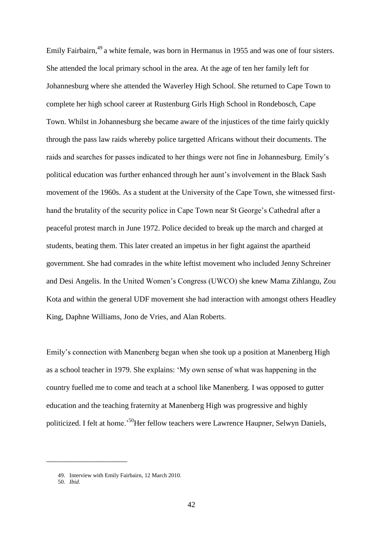Emily Fairbairn,<sup>49</sup> a white female, was born in Hermanus in 1955 and was one of four sisters. She attended the local primary school in the area. At the age of ten her family left for Johannesburg where she attended the Waverley High School. She returned to Cape Town to complete her high school career at Rustenburg Girls High School in Rondebosch, Cape Town. Whilst in Johannesburg she became aware of the injustices of the time fairly quickly through the pass law raids whereby police targetted Africans without their documents. The raids and searches for passes indicated to her things were not fine in Johannesburg. Emily"s political education was further enhanced through her aunt"s involvement in the Black Sash movement of the 1960s. As a student at the University of the Cape Town, she witnessed firsthand the brutality of the security police in Cape Town near St George's Cathedral after a peaceful protest march in June 1972. Police decided to break up the march and charged at students, beating them. This later created an impetus in her fight against the apartheid government. She had comrades in the white leftist movement who included Jenny Schreiner and Desi Angelis. In the United Women"s Congress (UWCO) she knew Mama Zihlangu, Zou Kota and within the general UDF movement she had interaction with amongst others Headley King, Daphne Williams, Jono de Vries, and Alan Roberts.

Emily"s connection with Manenberg began when she took up a position at Manenberg High as a school teacher in 1979. She explains: "My own sense of what was happening in the country fuelled me to come and teach at a school like Manenberg. I was opposed to gutter education and the teaching fraternity at Manenberg High was progressive and highly politicized. I felt at home.<sup>50</sup>Her fellow teachers were Lawrence Haupner, Selwyn Daniels,

\_\_\_\_\_\_\_\_\_\_\_\_\_\_\_\_\_\_\_\_\_

<sup>49.</sup> Interview with Emily Fairbairn, 12 March 2010.

<sup>50.</sup> *Ibid*.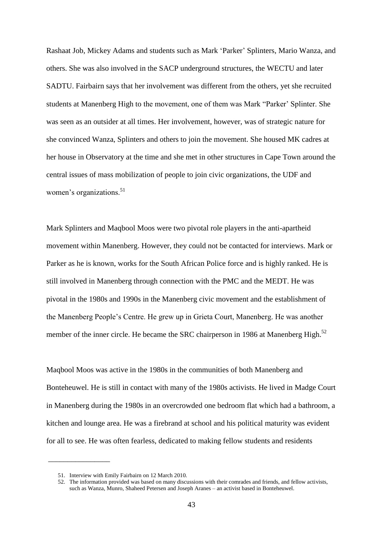Rashaat Job, Mickey Adams and students such as Mark "Parker" Splinters, Mario Wanza, and others. She was also involved in the SACP underground structures, the WECTU and later SADTU. Fairbairn says that her involvement was different from the others, yet she recruited students at Manenberg High to the movement, one of them was Mark "Parker" Splinter. She was seen as an outsider at all times. Her involvement, however, was of strategic nature for she convinced Wanza, Splinters and others to join the movement. She housed MK cadres at her house in Observatory at the time and she met in other structures in Cape Town around the central issues of mass mobilization of people to join civic organizations, the UDF and women's organizations. $51$ 

Mark Splinters and Maqbool Moos were two pivotal role players in the anti-apartheid movement within Manenberg. However, they could not be contacted for interviews. Mark or Parker as he is known, works for the South African Police force and is highly ranked. He is still involved in Manenberg through connection with the PMC and the MEDT. He was pivotal in the 1980s and 1990s in the Manenberg civic movement and the establishment of the Manenberg People"s Centre. He grew up in Grieta Court, Manenberg. He was another member of the inner circle. He became the SRC chairperson in 1986 at Manenberg High.<sup>52</sup>

Maqbool Moos was active in the 1980s in the communities of both Manenberg and Bonteheuwel. He is still in contact with many of the 1980s activists. He lived in Madge Court in Manenberg during the 1980s in an overcrowded one bedroom flat which had a bathroom, a kitchen and lounge area. He was a firebrand at school and his political maturity was evident for all to see. He was often fearless, dedicated to making fellow students and residents

 $\overline{\phantom{a}}$  , where  $\overline{\phantom{a}}$ 

<sup>51.</sup> Interview with Emily Fairbairn on 12 March 2010.

<sup>52.</sup> The information provided was based on many discussions with their comrades and friends, and fellow activists, such as Wanza, Munro, Shaheed Petersen and Joseph Aranes – an activist based in Bonteheuwel.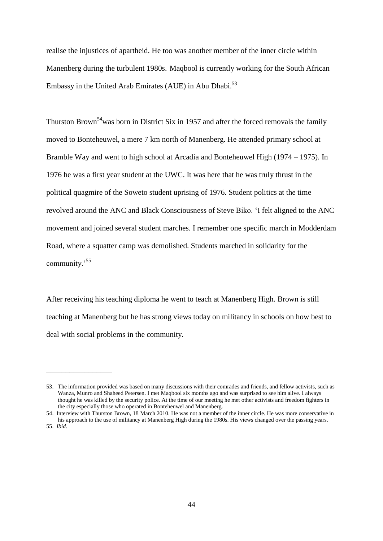realise the injustices of apartheid. He too was another member of the inner circle within Manenberg during the turbulent 1980s. Maqbool is currently working for the South African Embassy in the United Arab Emirates (AUE) in Abu Dhabi.<sup>53</sup>

Thurston Brown<sup>54</sup>was born in District Six in 1957 and after the forced removals the family moved to Bonteheuwel, a mere 7 km north of Manenberg. He attended primary school at Bramble Way and went to high school at Arcadia and Bonteheuwel High (1974 – 1975). In 1976 he was a first year student at the UWC. It was here that he was truly thrust in the political quagmire of the Soweto student uprising of 1976. Student politics at the time revolved around the ANC and Black Consciousness of Steve Biko. "I felt aligned to the ANC movement and joined several student marches. I remember one specific march in Modderdam Road, where a squatter camp was demolished. Students marched in solidarity for the community.<sup>55</sup>

After receiving his teaching diploma he went to teach at Manenberg High. Brown is still teaching at Manenberg but he has strong views today on militancy in schools on how best to deal with social problems in the community.

\_\_\_\_\_\_\_\_\_\_\_\_\_\_\_\_\_

<sup>53.</sup> The information provided was based on many discussions with their comrades and friends, and fellow activists, such as Wanza, Munro and Shaheed Petersen. I met Maqbool six months ago and was surprised to see him alive. I always thought he was killed by the security police. At the time of our meeting he met other activists and freedom fighters in the city especially those who operated in Bonteheuwel and Manenberg.

<sup>54.</sup> Interview with Thurston Brown, 18 March 2010. He was not a member of the inner circle. He was more conservative in his approach to the use of militancy at Manenberg High during the 1980s. His views changed over the passing years. 55. *Ibid.*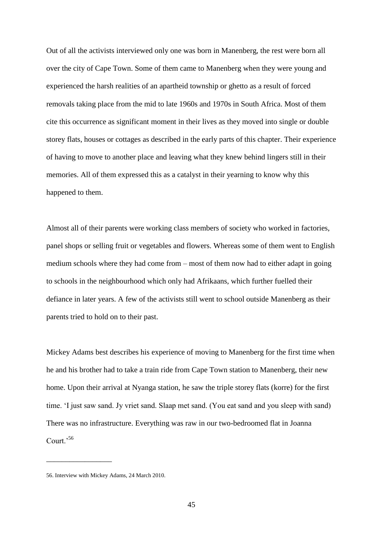Out of all the activists interviewed only one was born in Manenberg, the rest were born all over the city of Cape Town. Some of them came to Manenberg when they were young and experienced the harsh realities of an apartheid township or ghetto as a result of forced removals taking place from the mid to late 1960s and 1970s in South Africa. Most of them cite this occurrence as significant moment in their lives as they moved into single or double storey flats, houses or cottages as described in the early parts of this chapter. Their experience of having to move to another place and leaving what they knew behind lingers still in their memories. All of them expressed this as a catalyst in their yearning to know why this happened to them.

Almost all of their parents were working class members of society who worked in factories, panel shops or selling fruit or vegetables and flowers. Whereas some of them went to English medium schools where they had come from – most of them now had to either adapt in going to schools in the neighbourhood which only had Afrikaans, which further fuelled their defiance in later years. A few of the activists still went to school outside Manenberg as their parents tried to hold on to their past.

Mickey Adams best describes his experience of moving to Manenberg for the first time when he and his brother had to take a train ride from Cape Town station to Manenberg, their new home. Upon their arrival at Nyanga station, he saw the triple storey flats (korre) for the first time. "I just saw sand. Jy vriet sand. Slaap met sand. (You eat sand and you sleep with sand) There was no infrastructure. Everything was raw in our two-bedroomed flat in Joanna Court.'56

 $\overline{\phantom{a}}$  , where  $\overline{\phantom{a}}$ 

<sup>56.</sup> Interview with Mickey Adams, 24 March 2010.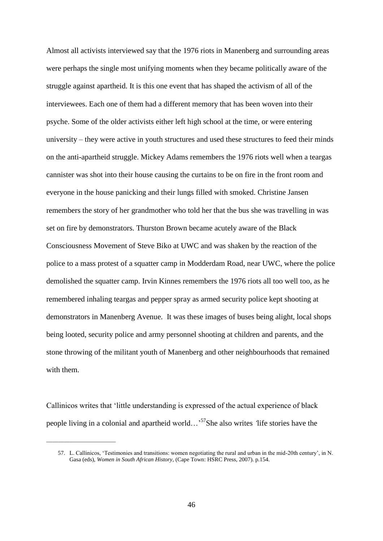Almost all activists interviewed say that the 1976 riots in Manenberg and surrounding areas were perhaps the single most unifying moments when they became politically aware of the struggle against apartheid. It is this one event that has shaped the activism of all of the interviewees. Each one of them had a different memory that has been woven into their psyche. Some of the older activists either left high school at the time, or were entering university – they were active in youth structures and used these structures to feed their minds on the anti-apartheid struggle. Mickey Adams remembers the 1976 riots well when a teargas cannister was shot into their house causing the curtains to be on fire in the front room and everyone in the house panicking and their lungs filled with smoked. Christine Jansen remembers the story of her grandmother who told her that the bus she was travelling in was set on fire by demonstrators. Thurston Brown became acutely aware of the Black Consciousness Movement of Steve Biko at UWC and was shaken by the reaction of the police to a mass protest of a squatter camp in Modderdam Road, near UWC, where the police demolished the squatter camp. Irvin Kinnes remembers the 1976 riots all too well too, as he remembered inhaling teargas and pepper spray as armed security police kept shooting at demonstrators in Manenberg Avenue. It was these images of buses being alight, local shops being looted, security police and army personnel shooting at children and parents, and the stone throwing of the militant youth of Manenberg and other neighbourhoods that remained with them.

Callinicos writes that "little understanding is expressed of the actual experience of black people living in a colonial and apartheid world…"<sup>57</sup>She also writes *'*life stories have the

\_\_\_\_\_\_\_\_\_\_\_\_\_\_\_\_\_\_\_\_\_\_\_\_

<sup>57.</sup> L. Callinicos, 'Testimonies and transitions: women negotiating the rural and urban in the mid-20th century', in N. Gasa (eds), *Women in South African History*, (Cape Town: HSRC Press, 2007). p.154.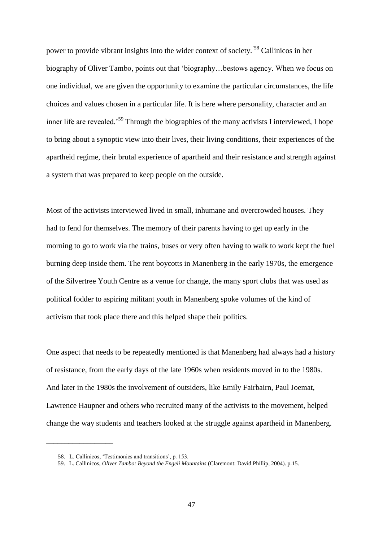power to provide vibrant insights into the wider context of society."58 Callinicos in her biography of Oliver Tambo, points out that "biography…bestows agency. When we focus on one individual, we are given the opportunity to examine the particular circumstances, the life choices and values chosen in a particular life. It is here where personality, character and an inner life are revealed.<sup>59</sup> Through the biographies of the many activists I interviewed, I hope to bring about a synoptic view into their lives, their living conditions, their experiences of the apartheid regime, their brutal experience of apartheid and their resistance and strength against a system that was prepared to keep people on the outside.

Most of the activists interviewed lived in small, inhumane and overcrowded houses. They had to fend for themselves. The memory of their parents having to get up early in the morning to go to work via the trains, buses or very often having to walk to work kept the fuel burning deep inside them. The rent boycotts in Manenberg in the early 1970s, the emergence of the Silvertree Youth Centre as a venue for change, the many sport clubs that was used as political fodder to aspiring militant youth in Manenberg spoke volumes of the kind of activism that took place there and this helped shape their politics.

One aspect that needs to be repeatedly mentioned is that Manenberg had always had a history of resistance, from the early days of the late 1960s when residents moved in to the 1980s. And later in the 1980s the involvement of outsiders, like Emily Fairbairn, Paul Joemat, Lawrence Haupner and others who recruited many of the activists to the movement, helped change the way students and teachers looked at the struggle against apartheid in Manenberg.

\_\_\_\_\_\_\_\_\_\_\_\_\_\_\_\_\_\_

<sup>58.</sup> L. Callinicos, "Testimonies and transitions", p. 153.

<sup>59.</sup> L. Callinicos, *Oliver Tambo: Beyond the Engeli Mountains* (Claremont: David Phillip, 2004). p.15.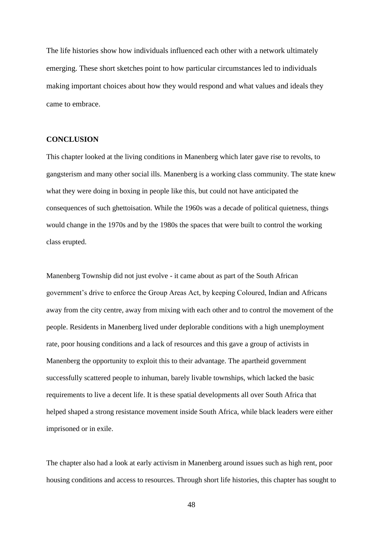The life histories show how individuals influenced each other with a network ultimately emerging. These short sketches point to how particular circumstances led to individuals making important choices about how they would respond and what values and ideals they came to embrace.

### **CONCLUSION**

This chapter looked at the living conditions in Manenberg which later gave rise to revolts, to gangsterism and many other social ills. Manenberg is a working class community. The state knew what they were doing in boxing in people like this, but could not have anticipated the consequences of such ghettoisation. While the 1960s was a decade of political quietness, things would change in the 1970s and by the 1980s the spaces that were built to control the working class erupted.

Manenberg Township did not just evolve - it came about as part of the South African government"s drive to enforce the Group Areas Act, by keeping Coloured, Indian and Africans away from the city centre, away from mixing with each other and to control the movement of the people. Residents in Manenberg lived under deplorable conditions with a high unemployment rate, poor housing conditions and a lack of resources and this gave a group of activists in Manenberg the opportunity to exploit this to their advantage. The apartheid government successfully scattered people to inhuman, barely livable townships, which lacked the basic requirements to live a decent life. It is these spatial developments all over South Africa that helped shaped a strong resistance movement inside South Africa, while black leaders were either imprisoned or in exile.

The chapter also had a look at early activism in Manenberg around issues such as high rent, poor housing conditions and access to resources. Through short life histories, this chapter has sought to

48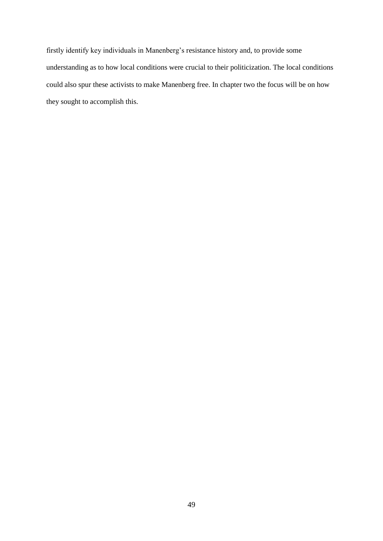firstly identify key individuals in Manenberg's resistance history and, to provide some understanding as to how local conditions were crucial to their politicization. The local conditions could also spur these activists to make Manenberg free. In chapter two the focus will be on how they sought to accomplish this.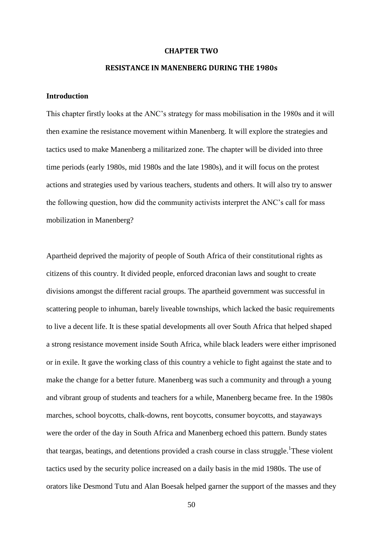#### **CHAPTER TWO**

# **RESISTANCE IN MANENBERG DURING THE 1980s**

# **Introduction**

This chapter firstly looks at the ANC"s strategy for mass mobilisation in the 1980s and it will then examine the resistance movement within Manenberg. It will explore the strategies and tactics used to make Manenberg a militarized zone. The chapter will be divided into three time periods (early 1980s, mid 1980s and the late 1980s), and it will focus on the protest actions and strategies used by various teachers, students and others. It will also try to answer the following question, how did the community activists interpret the ANC"s call for mass mobilization in Manenberg?

Apartheid deprived the majority of people of South Africa of their constitutional rights as citizens of this country. It divided people, enforced draconian laws and sought to create divisions amongst the different racial groups. The apartheid government was successful in scattering people to inhuman, barely liveable townships, which lacked the basic requirements to live a decent life. It is these spatial developments all over South Africa that helped shaped a strong resistance movement inside South Africa, while black leaders were either imprisoned or in exile. It gave the working class of this country a vehicle to fight against the state and to make the change for a better future. Manenberg was such a community and through a young and vibrant group of students and teachers for a while, Manenberg became free. In the 1980s marches, school boycotts, chalk-downs, rent boycotts, consumer boycotts, and stayaways were the order of the day in South Africa and Manenberg echoed this pattern. Bundy states that teargas, beatings, and detentions provided a crash course in class struggle.<sup>1</sup>These violent tactics used by the security police increased on a daily basis in the mid 1980s. The use of orators like Desmond Tutu and Alan Boesak helped garner the support of the masses and they

50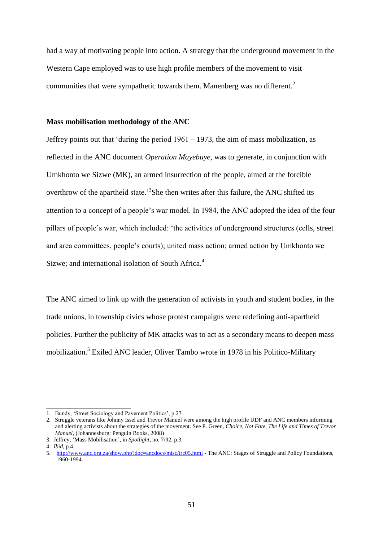had a way of motivating people into action. A strategy that the underground movement in the Western Cape employed was to use high profile members of the movement to visit communities that were sympathetic towards them. Manenberg was no different.<sup>2</sup>

### **Mass mobilisation methodology of the ANC**

Jeffrey points out that 'during the period  $1961 - 1973$ , the aim of mass mobilization, as reflected in the ANC document *Operation Mayebuye*, was to generate, in conjunction with Umkhonto we Sizwe (MK), an armed insurrection of the people, aimed at the forcible overthrow of the apartheid state.<sup>3</sup>She then writes after this failure, the ANC shifted its attention to a concept of a people"s war model. In 1984, the ANC adopted the idea of the four pillars of people"s war, which included: "the activities of underground structures (cells, street and area committees, people"s courts); united mass action; armed action by Umkhonto we Sizwe; and international isolation of South Africa.<sup>4</sup>

The ANC aimed to link up with the generation of activists in youth and student bodies, in the trade unions, in township civics whose protest campaigns were redefining anti-apartheid policies. Further the publicity of MK attacks was to act as a secondary means to deepen mass mobilization.<sup>5</sup> Exiled ANC leader, Oliver Tambo wrote in 1978 in his Politico-Military

\_\_\_\_\_\_\_\_\_\_\_\_\_\_\_\_\_\_\_\_\_\_

<sup>1.</sup> Bundy, "Street Sociology and Pavement Politics", p.27.

<sup>2.</sup> Struggle veterans like Johnny Issel and Trevor Manuel were among the high profile UDF and ANC members informing and alerting activists about the strategies of the movement. See P. Green, *Choice, Not Fate, The Life and Times of Trevor Manuel,* (Johannesburg: Penguin Books, 2008)

<sup>3.</sup> Jeffrey, "Mass Mobilisation", in *Spotlight*, no. 7/92, p.3.

<sup>4.</sup> *Ibid*, p.4.

<sup>5.</sup> <http://www.anc.org.za/show.php?doc=ancdocs/misc/trc05.html> - The ANC: Stages of Struggle and Policy Foundations, 1960-1994.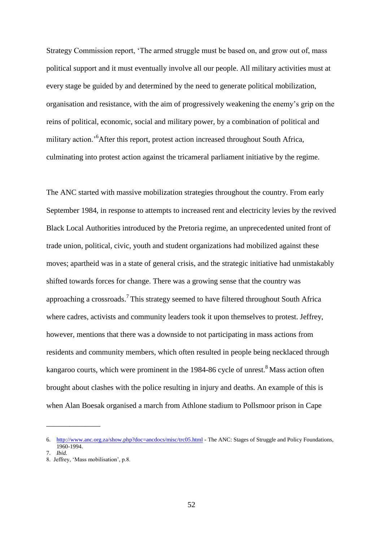Strategy Commission report, "The armed struggle must be based on, and grow out of, mass political support and it must eventually involve all our people. All military activities must at every stage be guided by and determined by the need to generate political mobilization, organisation and resistance, with the aim of progressively weakening the enemy"s grip on the reins of political, economic, social and military power, by a combination of political and military action."<sup>6</sup>After this report, protest action increased throughout South Africa, culminating into protest action against the tricameral parliament initiative by the regime.

The ANC started with massive mobilization strategies throughout the country. From early September 1984, in response to attempts to increased rent and electricity levies by the revived Black Local Authorities introduced by the Pretoria regime, an unprecedented united front of trade union, political, civic, youth and student organizations had mobilized against these moves; apartheid was in a state of general crisis, and the strategic initiative had unmistakably shifted towards forces for change. There was a growing sense that the country was approaching a crossroads.<sup>7</sup>This strategy seemed to have filtered throughout South Africa where cadres, activists and community leaders took it upon themselves to protest. Jeffrey, however, mentions that there was a downside to not participating in mass actions from residents and community members, which often resulted in people being necklaced through kangaroo courts, which were prominent in the 1984-86 cycle of unrest. $8$  Mass action often brought about clashes with the police resulting in injury and deaths. An example of this is when Alan Boesak organised a march from Athlone stadium to Pollsmoor prison in Cape

\_\_\_\_\_\_\_\_\_\_\_\_\_\_

<sup>6.</sup> <http://www.anc.org.za/show.php?doc=ancdocs/misc/trc05.html> - The ANC: Stages of Struggle and Policy Foundations, 1960-1994.

<sup>7.</sup> *Ibid.*

<sup>8.</sup> Jeffrey, "Mass mobilisation", p.8.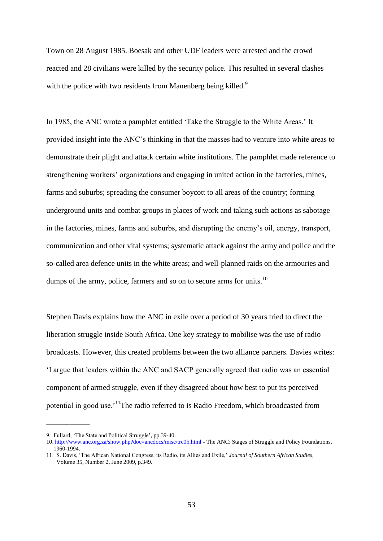Town on 28 August 1985. Boesak and other UDF leaders were arrested and the crowd reacted and 28 civilians were killed by the security police. This resulted in several clashes with the police with two residents from Manenberg being killed.<sup>9</sup>

In 1985, the ANC wrote a pamphlet entitled 'Take the Struggle to the White Areas.' It provided insight into the ANC"s thinking in that the masses had to venture into white areas to demonstrate their plight and attack certain white institutions. The pamphlet made reference to strengthening workers" organizations and engaging in united action in the factories, mines, farms and suburbs; spreading the consumer boycott to all areas of the country; forming underground units and combat groups in places of work and taking such actions as sabotage in the factories, mines, farms and suburbs, and disrupting the enemy's oil, energy, transport, communication and other vital systems; systematic attack against the army and police and the so-called area defence units in the white areas; and well-planned raids on the armouries and dumps of the army, police, farmers and so on to secure arms for units.<sup>10</sup>

Stephen Davis explains how the ANC in exile over a period of 30 years tried to direct the liberation struggle inside South Africa. One key strategy to mobilise was the use of radio broadcasts. However, this created problems between the two alliance partners. Davies writes: "I argue that leaders within the ANC and SACP generally agreed that radio was an essential component of armed struggle, even if they disagreed about how best to put its perceived potential in good use.<sup>11</sup>The radio referred to is Radio Freedom, which broadcasted from

\_\_\_\_\_\_\_\_\_\_\_\_\_\_\_

<sup>9.</sup> Fullard, 'The State and Political Struggle', pp.39-40.

<sup>10.</sup> <http://www.anc.org.za/show.php?doc=ancdocs/misc/trc05.html> - The ANC: Stages of Struggle and Policy Foundations, 1960-1994.

<sup>11.</sup> S. Davis, "The African National Congress, its Radio, its Allies and Exile," *Journal of Southern African Studies*, Volume 35, Number 2, June 2009, p.349.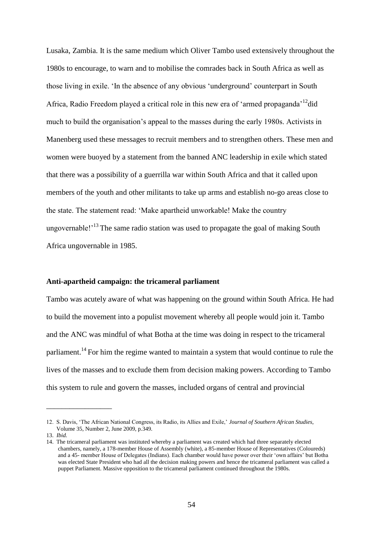Lusaka, Zambia. It is the same medium which Oliver Tambo used extensively throughout the 1980s to encourage, to warn and to mobilise the comrades back in South Africa as well as those living in exile. "In the absence of any obvious "underground" counterpart in South Africa, Radio Freedom played a critical role in this new era of 'armed propaganda'<sup>12</sup>did much to build the organisation"s appeal to the masses during the early 1980s. Activists in Manenberg used these messages to recruit members and to strengthen others. These men and women were buoyed by a statement from the banned ANC leadership in exile which stated that there was a possibility of a guerrilla war within South Africa and that it called upon members of the youth and other militants to take up arms and establish no-go areas close to the state. The statement read: "Make apartheid unworkable! Make the country ungovernable!<sup> $13$ </sup>The same radio station was used to propagate the goal of making South Africa ungovernable in 1985.

# **Anti-apartheid campaign: the tricameral parliament**

Tambo was acutely aware of what was happening on the ground within South Africa. He had to build the movement into a populist movement whereby all people would join it. Tambo and the ANC was mindful of what Botha at the time was doing in respect to the tricameral parliament.<sup>14</sup> For him the regime wanted to maintain a system that would continue to rule the lives of the masses and to exclude them from decision making powers. According to Tambo this system to rule and govern the masses, included organs of central and provincial

\_\_\_\_\_\_\_\_\_\_\_\_\_\_\_\_\_

<sup>12.</sup> S. Davis, "The African National Congress, its Radio, its Allies and Exile," *Journal of Southern African Studies*, Volume 35, Number 2, June 2009, p.349.

<sup>13.</sup> *Ibid.*

<sup>14.</sup> The tricameral parliament was instituted whereby a parliament was created which had three separately elected chambers, namely, a 178-member House of Assembly (white), a 85-member House of Representatives (Coloureds) and a 45- member House of Delegates (Indians). Each chamber would have power over their "own affairs" but Botha was elected State President who had all the decision making powers and hence the tricameral parliament was called a puppet Parliament. Massive opposition to the tricameral parliament continued throughout the 1980s.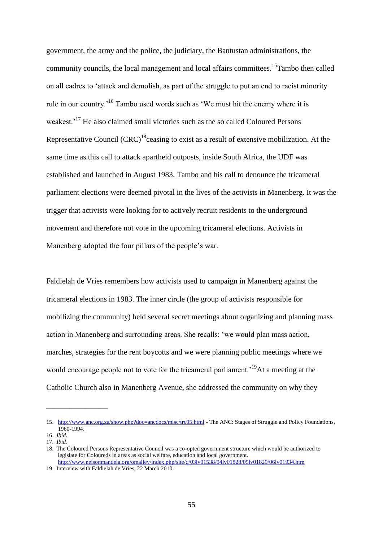government, the army and the police, the judiciary, the Bantustan administrations, the community councils, the local management and local affairs committees.<sup>15</sup>Tambo then called on all cadres to "attack and demolish, as part of the struggle to put an end to racist minority rule in our country.<sup>16</sup> Tambo used words such as 'We must hit the enemy where it is weakest.<sup>17</sup> He also claimed small victories such as the so called Coloured Persons Representative Council  $(CRC)^{18}$ ceasing to exist as a result of extensive mobilization. At the same time as this call to attack apartheid outposts, inside South Africa, the UDF was established and launched in August 1983. Tambo and his call to denounce the tricameral parliament elections were deemed pivotal in the lives of the activists in Manenberg. It was the trigger that activists were looking for to actively recruit residents to the underground movement and therefore not vote in the upcoming tricameral elections. Activists in Manenberg adopted the four pillars of the people's war.

Faldielah de Vries remembers how activists used to campaign in Manenberg against the tricameral elections in 1983. The inner circle (the group of activists responsible for mobilizing the community) held several secret meetings about organizing and planning mass action in Manenberg and surrounding areas. She recalls: "we would plan mass action, marches, strategies for the rent boycotts and we were planning public meetings where we would encourage people not to vote for the tricameral parliament.<sup>19</sup>At a meeting at the Catholic Church also in Manenberg Avenue, she addressed the community on why they

\_\_\_\_\_\_\_\_\_\_\_\_\_\_\_\_

<sup>15.</sup> <http://www.anc.org.za/show.php?doc=ancdocs/misc/trc05.html> - The ANC: Stages of Struggle and Policy Foundations, 1960-1994.

<sup>16.</sup> *Ibid*. 17. *Ibid.*

<sup>18.</sup> The Coloured Persons Representative Council was a co-opted government structure which would be authorized to legislate for Coloureds in areas as social welfare, education and local government. <http://www.nelsonmandela.org/omalley/index.php/site/q/03lv01538/04lv01828/05lv01829/06lv01934.htm>

<sup>19.</sup> Interview with Faldielah de Vries, 22 March 2010.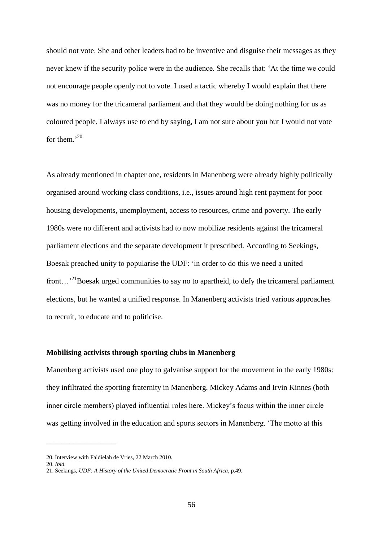should not vote. She and other leaders had to be inventive and disguise their messages as they never knew if the security police were in the audience. She recalls that: "At the time we could not encourage people openly not to vote. I used a tactic whereby I would explain that there was no money for the tricameral parliament and that they would be doing nothing for us as coloured people. I always use to end by saying, I am not sure about you but I would not vote for them $^{,20}$ 

As already mentioned in chapter one, residents in Manenberg were already highly politically organised around working class conditions, i.e., issues around high rent payment for poor housing developments, unemployment, access to resources, crime and poverty. The early 1980s were no different and activists had to now mobilize residents against the tricameral parliament elections and the separate development it prescribed. According to Seekings, Boesak preached unity to popularise the UDF: "in order to do this we need a united front...<sup>21</sup>Boesak urged communities to say no to apartheid, to defy the tricameral parliament elections, but he wanted a unified response. In Manenberg activists tried various approaches to recruit, to educate and to politicise.

### **Mobilising activists through sporting clubs in Manenberg**

Manenberg activists used one ploy to galvanise support for the movement in the early 1980s: they infiltrated the sporting fraternity in Manenberg. Mickey Adams and Irvin Kinnes (both inner circle members) played influential roles here. Mickey"s focus within the inner circle was getting involved in the education and sports sectors in Manenberg. "The motto at this

\_\_\_\_\_\_\_\_\_\_\_\_\_\_\_\_\_\_

<sup>20.</sup> Interview with Faldielah de Vries, 22 March 2010.

<sup>20.</sup> *Ibid.*

<sup>21.</sup> Seekings, *UDF: A History of the United Democratic Front in South Africa*, p.49.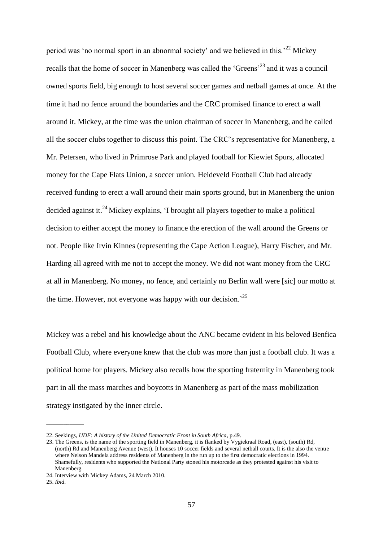period was 'no normal sport in an abnormal society' and we believed in this.<sup> $22$ </sup> Mickey recalls that the home of soccer in Manenberg was called the 'Greens'<sup>23</sup> and it was a council owned sports field, big enough to host several soccer games and netball games at once. At the time it had no fence around the boundaries and the CRC promised finance to erect a wall around it. Mickey, at the time was the union chairman of soccer in Manenberg, and he called all the soccer clubs together to discuss this point. The CRC"s representative for Manenberg, a Mr. Petersen, who lived in Primrose Park and played football for Kiewiet Spurs, allocated money for the Cape Flats Union, a soccer union. Heideveld Football Club had already received funding to erect a wall around their main sports ground, but in Manenberg the union decided against it.<sup>24</sup> Mickey explains, 'I brought all players together to make a political decision to either accept the money to finance the erection of the wall around the Greens or not. People like Irvin Kinnes (representing the Cape Action League), Harry Fischer, and Mr. Harding all agreed with me not to accept the money. We did not want money from the CRC at all in Manenberg. No money, no fence, and certainly no Berlin wall were [sic] our motto at the time. However, not everyone was happy with our decision.<sup>25</sup>

Mickey was a rebel and his knowledge about the ANC became evident in his beloved Benfica Football Club, where everyone knew that the club was more than just a football club. It was a political home for players. Mickey also recalls how the sporting fraternity in Manenberg took part in all the mass marches and boycotts in Manenberg as part of the mass mobilization strategy instigated by the inner circle.

\_\_\_\_\_\_\_\_\_\_\_\_\_

<sup>22.</sup> Seekings, *UDF: A history of the United Democratic Front in South Africa*, p.49.

<sup>23.</sup> The Greens, is the name of the sporting field in Manenberg, it is flanked by Vygiekraal Road, (east), (south) Rd, (north) Rd and Manenberg Avenue (west). It houses 10 soccer fields and several netball courts. It is the also the venue where Nelson Mandela address residents of Manenberg in the run up to the first democratic elections in 1994. Shamefully, residents who supported the National Party stoned his motorcade as they protested against his visit to Manenberg.

<sup>24.</sup> Interview with Mickey Adams, 24 March 2010.

<sup>25.</sup> *Ibid*.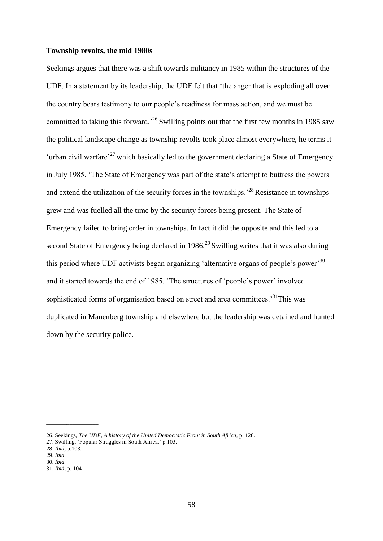# **Township revolts, the mid 1980s**

Seekings argues that there was a shift towards militancy in 1985 within the structures of the UDF. In a statement by its leadership, the UDF felt that "the anger that is exploding all over the country bears testimony to our people"s readiness for mass action, and we must be committed to taking this forward.<sup>26</sup> Swilling points out that the first few months in 1985 saw the political landscape change as township revolts took place almost everywhere, he terms it 'urban civil warfare<sup>, 27</sup> which basically led to the government declaring a State of Emergency in July 1985. "The State of Emergency was part of the state"s attempt to buttress the powers and extend the utilization of the security forces in the townships.<sup> $28$ </sup>Resistance in townships grew and was fuelled all the time by the security forces being present. The State of Emergency failed to bring order in townships. In fact it did the opposite and this led to a second State of Emergency being declared in 1986.<sup>29</sup> Swilling writes that it was also during this period where UDF activists began organizing 'alternative organs of people's power<sup>30</sup> and it started towards the end of 1985. 'The structures of 'people's power' involved sophisticated forms of organisation based on street and area committees.<sup>31</sup>This was duplicated in Manenberg township and elsewhere but the leadership was detained and hunted down by the security police.

\_\_\_\_\_\_\_\_\_\_\_\_\_\_\_\_\_\_

<sup>26.</sup> Seekings, *The UDF, A history of the United Democratic Front in South Africa*, p. 128.

<sup>27.</sup> Swilling, "Popular Struggles in South Africa," p.103.

<sup>28.</sup> *Ibid*, p.103.

<sup>29.</sup> *Ibid.*

<sup>30.</sup> *Ibid.*

<sup>31.</sup> *Ibid*, p. 104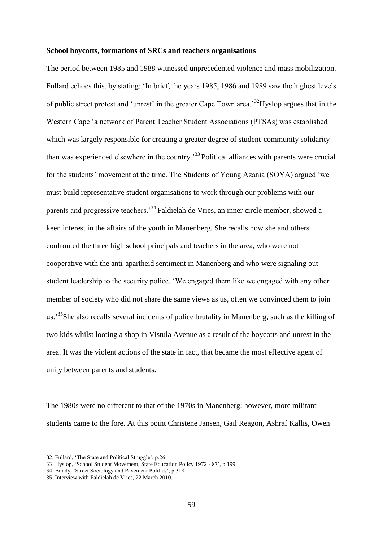### **School boycotts, formations of SRCs and teachers organisations**

The period between 1985 and 1988 witnessed unprecedented violence and mass mobilization. Fullard echoes this, by stating: "In brief, the years 1985, 1986 and 1989 saw the highest levels of public street protest and 'unrest' in the greater Cape Town area.<sup>32</sup>Hyslop argues that in the Western Cape "a network of Parent Teacher Student Associations (PTSAs) was established which was largely responsible for creating a greater degree of student-community solidarity than was experienced elsewhere in the country.<sup>33</sup> Political alliances with parents were crucial for the students" movement at the time. The Students of Young Azania (SOYA) argued "we must build representative student organisations to work through our problems with our parents and progressive teachers.<sup>34</sup>Faldielah de Vries, an inner circle member, showed a keen interest in the affairs of the youth in Manenberg. She recalls how she and others confronted the three high school principals and teachers in the area, who were not cooperative with the anti-apartheid sentiment in Manenberg and who were signaling out student leadership to the security police. "We engaged them like we engaged with any other member of society who did not share the same views as us, often we convinced them to join us.<sup>35</sup>She also recalls several incidents of police brutality in Manenberg, such as the killing of two kids whilst looting a shop in Vistula Avenue as a result of the boycotts and unrest in the area. It was the violent actions of the state in fact, that became the most effective agent of unity between parents and students.

The 1980s were no different to that of the 1970s in Manenberg; however, more militant students came to the fore. At this point Christene Jansen, Gail Reagon, Ashraf Kallis, Owen

\_\_\_\_\_\_\_\_\_\_\_\_\_\_\_\_

<sup>32.</sup> Fullard, 'The State and Political Struggle', p.26.

<sup>33.</sup> Hyslop, "School Student Movement, State Education Policy 1972 - 87", p.199.

<sup>34.</sup> Bundy, "Street Sociology and Pavement Politics", p.318.

<sup>35.</sup> Interview with Faldielah de Vries, 22 March 2010.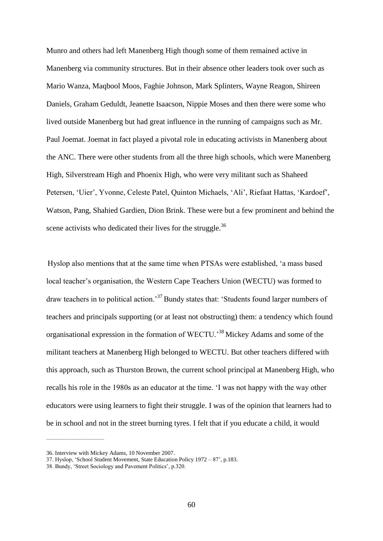Munro and others had left Manenberg High though some of them remained active in Manenberg via community structures. But in their absence other leaders took over such as Mario Wanza, Maqbool Moos, Faghie Johnson, Mark Splinters, Wayne Reagon, Shireen Daniels, Graham Geduldt, Jeanette Isaacson, Nippie Moses and then there were some who lived outside Manenberg but had great influence in the running of campaigns such as Mr. Paul Joemat. Joemat in fact played a pivotal role in educating activists in Manenberg about the ANC. There were other students from all the three high schools, which were Manenberg High, Silverstream High and Phoenix High, who were very militant such as Shaheed Petersen, 'Uier', Yvonne, Celeste Patel, Quinton Michaels, 'Ali', Riefaat Hattas, 'Kardoef', Watson, Pang, Shahied Gardien, Dion Brink. These were but a few prominent and behind the scene activists who dedicated their lives for the struggle.<sup>36</sup>

Hyslop also mentions that at the same time when PTSAs were established, "a mass based local teacher"s organisation, the Western Cape Teachers Union (WECTU) was formed to draw teachers in to political action.<sup>37</sup> Bundy states that: 'Students found larger numbers of teachers and principals supporting (or at least not obstructing) them: a tendency which found organisational expression in the formation of WECTU."<sup>38</sup>Mickey Adams and some of the militant teachers at Manenberg High belonged to WECTU. But other teachers differed with this approach, such as Thurston Brown, the current school principal at Manenberg High, who recalls his role in the 1980s as an educator at the time. "I was not happy with the way other educators were using learners to fight their struggle. I was of the opinion that learners had to be in school and not in the street burning tyres. I felt that if you educate a child, it would

\_\_\_\_\_\_\_\_\_\_\_\_\_\_\_\_\_\_\_\_\_\_\_\_\_\_\_\_\_\_

<sup>36.</sup> Interview with Mickey Adams, 10 November 2007.

<sup>37.</sup> Hyslop, "School Student Movement, State Education Policy 1972 – 87", p.183.

<sup>38.</sup> Bundy, "Street Sociology and Pavement Politics", p.320.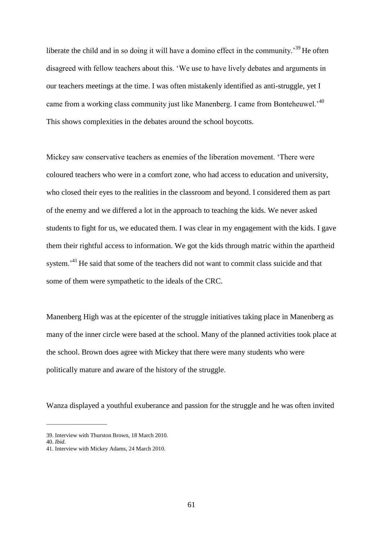liberate the child and in so doing it will have a domino effect in the community.<sup>39</sup>He often disagreed with fellow teachers about this. "We use to have lively debates and arguments in our teachers meetings at the time. I was often mistakenly identified as anti-struggle, yet I came from a working class community just like Manenberg. I came from Bonteheuwel.<sup>40</sup> This shows complexities in the debates around the school boycotts.

Mickey saw conservative teachers as enemies of the liberation movement. "There were coloured teachers who were in a comfort zone, who had access to education and university, who closed their eyes to the realities in the classroom and beyond. I considered them as part of the enemy and we differed a lot in the approach to teaching the kids. We never asked students to fight for us, we educated them. I was clear in my engagement with the kids. I gave them their rightful access to information. We got the kids through matric within the apartheid system.<sup>31</sup>He said that some of the teachers did not want to commit class suicide and that some of them were sympathetic to the ideals of the CRC.

Manenberg High was at the epicenter of the struggle initiatives taking place in Manenberg as many of the inner circle were based at the school. Many of the planned activities took place at the school. Brown does agree with Mickey that there were many students who were politically mature and aware of the history of the struggle.

Wanza displayed a youthful exuberance and passion for the struggle and he was often invited

 $\overline{\phantom{a}}$  , we can consider the constraint of  $\overline{\phantom{a}}$ 

<sup>39.</sup> Interview with Thurston Brown, 18 March 2010.

<sup>40.</sup> *Ibid.*

<sup>41.</sup> Interview with Mickey Adams, 24 March 2010.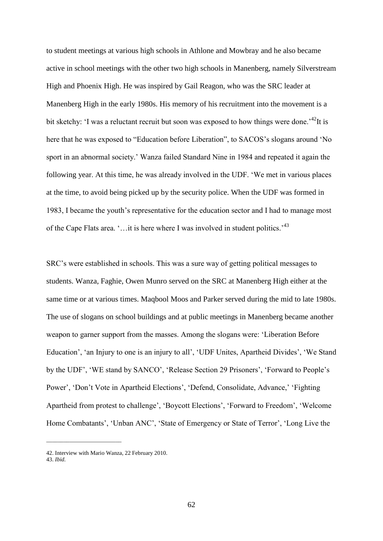to student meetings at various high schools in Athlone and Mowbray and he also became active in school meetings with the other two high schools in Manenberg, namely Silverstream High and Phoenix High. He was inspired by Gail Reagon, who was the SRC leader at Manenberg High in the early 1980s. His memory of his recruitment into the movement is a bit sketchy: 'I was a reluctant recruit but soon was exposed to how things were done.<sup>42</sup>It is here that he was exposed to "Education before Liberation", to SACOS's slogans around 'No sport in an abnormal society." Wanza failed Standard Nine in 1984 and repeated it again the following year. At this time, he was already involved in the UDF. "We met in various places at the time, to avoid being picked up by the security police. When the UDF was formed in 1983, I became the youth"s representative for the education sector and I had to manage most of the Cape Flats area. "…it is here where I was involved in student politics."<sup>43</sup>

SRC"s were established in schools. This was a sure way of getting political messages to students. Wanza, Faghie, Owen Munro served on the SRC at Manenberg High either at the same time or at various times. Maqbool Moos and Parker served during the mid to late 1980s. The use of slogans on school buildings and at public meetings in Manenberg became another weapon to garner support from the masses. Among the slogans were: "Liberation Before Education', 'an Injury to one is an injury to all', 'UDF Unites, Apartheid Divides', 'We Stand by the UDF", "WE stand by SANCO", "Release Section 29 Prisoners", "Forward to People"s Power', 'Don't Vote in Apartheid Elections', 'Defend, Consolidate, Advance,' 'Fighting Apartheid from protest to challenge", "Boycott Elections", "Forward to Freedom", "Welcome Home Combatants', 'Unban ANC', 'State of Emergency or State of Terror', 'Long Live the

\_\_\_\_\_\_\_\_\_\_\_\_\_\_\_\_\_\_\_\_\_\_\_\_\_\_

<sup>42.</sup> Interview with Mario Wanza, 22 February 2010.

<sup>43.</sup> *Ibid.*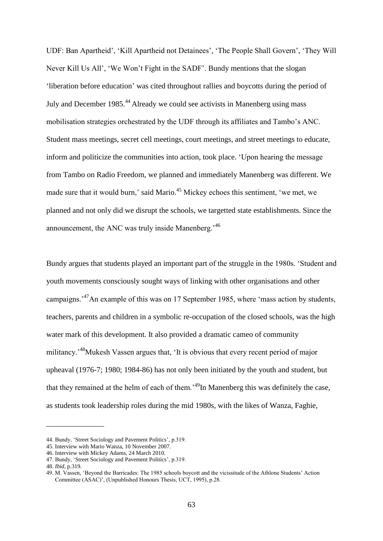UDF: Ban Apartheid", "Kill Apartheid not Detainees", "The People Shall Govern", "They Will Never Kill Us All", "We Won"t Fight in the SADF". Bundy mentions that the slogan "liberation before education" was cited throughout rallies and boycotts during the period of July and December 1985.<sup>44</sup> Already we could see activists in Manenberg using mass mobilisation strategies orchestrated by the UDF through its affiliates and Tambo"s ANC. Student mass meetings, secret cell meetings, court meetings, and street meetings to educate, inform and politicize the communities into action, took place. "Upon hearing the message from Tambo on Radio Freedom, we planned and immediately Manenberg was different. We made sure that it would burn,' said Mario.<sup>45</sup> Mickey echoes this sentiment, 'we met, we planned and not only did we disrupt the schools, we targetted state establishments. Since the announcement, the ANC was truly inside Manenberg.<sup>46</sup>

Bundy argues that students played an important part of the struggle in the 1980s. "Student and youth movements consciously sought ways of linking with other organisations and other campaigns.<sup>47</sup>An example of this was on 17 September 1985, where 'mass action by students, teachers, parents and children in a symbolic re-occupation of the closed schools, was the high water mark of this development. It also provided a dramatic cameo of community militancy.<sup>48</sup>Mukesh Vassen argues that, 'It is obvious that every recent period of major upheaval (1976-7; 1980; 1984-86) has not only been initiated by the youth and student, but that they remained at the helm of each of them.<sup>49</sup>In Manenberg this was definitely the case, as students took leadership roles during the mid 1980s, with the likes of Wanza, Faghie,

\_\_\_\_\_\_\_\_\_\_\_\_\_\_\_

<sup>44.</sup> Bundy, 'Street Sociology and Pavement Politics', p.319.

<sup>45.</sup> Interview with Mario Wanza, 10 November 2007.

<sup>46.</sup> Interview with Mickey Adams, 24 March 2010.

<sup>47.</sup> Bundy, "Street Sociology and Pavement Politics", p.319.

<sup>48.</sup> *Ibid*, p.319.

<sup>49.</sup> M. Vassen, "Beyond the Barricades: The 1985 schools boycott and the vicissitude of the Athlone Students" Action Committee (ASAC)", (Unpublished Honours Thesis, UCT, 1995), p.28.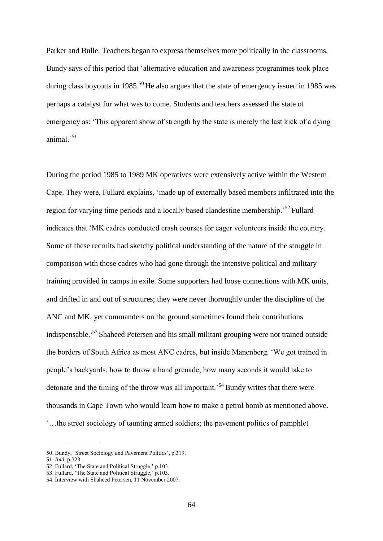Parker and Bulle. Teachers began to express themselves more politically in the classrooms. Bundy says of this period that "alternative education and awareness programmes took place during class boycotts in 1985.<sup>50</sup> He also argues that the state of emergency issued in 1985 was perhaps a catalyst for what was to come. Students and teachers assessed the state of emergency as: "This apparent show of strength by the state is merely the last kick of a dying animal $^{51}$ 

During the period 1985 to 1989 MK operatives were extensively active within the Western Cape. They were, Fullard explains, "made up of externally based members infiltrated into the region for varying time periods and a locally based clandestine membership.<sup>52</sup> Fullard indicates that "MK cadres conducted crash courses for eager volunteers inside the country. Some of these recruits had sketchy political understanding of the nature of the struggle in comparison with those cadres who had gone through the intensive political and military training provided in camps in exile. Some supporters had loose connections with MK units, and drifted in and out of structures; they were never thoroughly under the discipline of the ANC and MK, yet commanders on the ground sometimes found their contributions indispensable.<sup>53</sup> Shaheed Petersen and his small militant grouping were not trained outside the borders of South Africa as most ANC cadres, but inside Manenberg. "We got trained in people"s backyards, how to throw a hand grenade, how many seconds it would take to detonate and the timing of the throw was all important.<sup>54</sup> Bundy writes that there were thousands in Cape Town who would learn how to make a petrol bomb as mentioned above. "…the street sociology of taunting armed soldiers; the pavement politics of pamphlet

 $\frac{1}{2}$  ,  $\frac{1}{2}$  ,  $\frac{1}{2}$  ,  $\frac{1}{2}$  ,  $\frac{1}{2}$  ,  $\frac{1}{2}$  ,  $\frac{1}{2}$  ,  $\frac{1}{2}$  ,  $\frac{1}{2}$  ,  $\frac{1}{2}$  ,  $\frac{1}{2}$  ,  $\frac{1}{2}$  ,  $\frac{1}{2}$  ,  $\frac{1}{2}$  ,  $\frac{1}{2}$  ,  $\frac{1}{2}$  ,  $\frac{1}{2}$  ,  $\frac{1}{2}$  ,  $\frac{1$ 

<sup>50.</sup> Bundy, "Street Sociology and Pavement Politics", p.319.

<sup>51.</sup> *Ibid*, p.323.

<sup>52.</sup> Fullard, 'The State and Political Struggle,' p.103.

<sup>53.</sup> Fullard, 'The State and Political Struggle,' p.103.

<sup>54.</sup> Interview with Shaheed Petersen, 11 November 2007.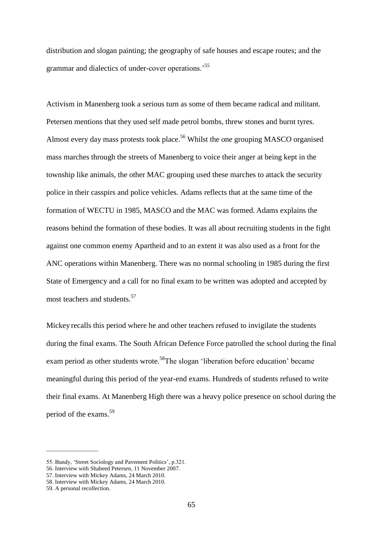distribution and slogan painting; the geography of safe houses and escape routes; and the grammar and dialectics of under-cover operations.<sup>55</sup>

Activism in Manenberg took a serious turn as some of them became radical and militant. Petersen mentions that they used self made petrol bombs, threw stones and burnt tyres. Almost every day mass protests took place.<sup>56</sup> Whilst the one grouping MASCO organised mass marches through the streets of Manenberg to voice their anger at being kept in the township like animals, the other MAC grouping used these marches to attack the security police in their casspirs and police vehicles. Adams reflects that at the same time of the formation of WECTU in 1985, MASCO and the MAC was formed. Adams explains the reasons behind the formation of these bodies. It was all about recruiting students in the fight against one common enemy Apartheid and to an extent it was also used as a front for the ANC operations within Manenberg. There was no normal schooling in 1985 during the first State of Emergency and a call for no final exam to be written was adopted and accepted by most teachers and students.<sup>57</sup>

Mickey recalls this period where he and other teachers refused to invigilate the students during the final exams. The South African Defence Force patrolled the school during the final exam period as other students wrote.<sup>58</sup>The slogan 'liberation before education' became meaningful during this period of the year-end exams. Hundreds of students refused to write their final exams. At Manenberg High there was a heavy police presence on school during the period of the exams.<sup>59</sup>

57. Interview with Mickey Adams, 24 March 2010.

 $\frac{1}{2}$  ,  $\frac{1}{2}$  ,  $\frac{1}{2}$  ,  $\frac{1}{2}$  ,  $\frac{1}{2}$  ,  $\frac{1}{2}$  ,  $\frac{1}{2}$  ,  $\frac{1}{2}$  ,  $\frac{1}{2}$  ,  $\frac{1}{2}$  ,  $\frac{1}{2}$  ,  $\frac{1}{2}$  ,  $\frac{1}{2}$  ,  $\frac{1}{2}$  ,  $\frac{1}{2}$  ,  $\frac{1}{2}$  ,  $\frac{1}{2}$  ,  $\frac{1}{2}$  ,  $\frac{1$ 

<sup>55.</sup> Bundy, "Street Sociology and Pavement Politics", p.321.

<sup>56.</sup> Interview with Shaheed Petersen, 11 November 2007.

<sup>58.</sup> Interview with Mickey Adams, 24 March 2010.

<sup>59.</sup> A personal recollection.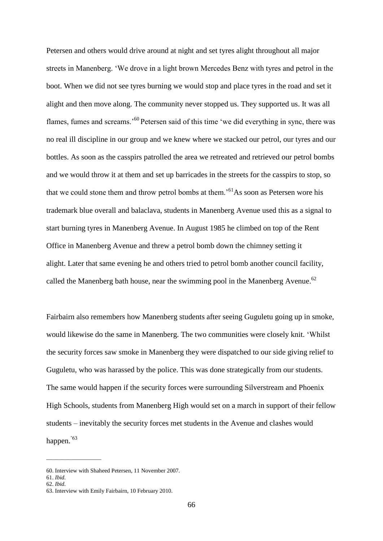Petersen and others would drive around at night and set tyres alight throughout all major streets in Manenberg. "We drove in a light brown Mercedes Benz with tyres and petrol in the boot. When we did not see tyres burning we would stop and place tyres in the road and set it alight and then move along. The community never stopped us. They supported us. It was all flames, fumes and screams.<sup>'60</sup> Petersen said of this time 'we did everything in sync, there was no real ill discipline in our group and we knew where we stacked our petrol, our tyres and our bottles. As soon as the casspirs patrolled the area we retreated and retrieved our petrol bombs and we would throw it at them and set up barricades in the streets for the casspirs to stop, so that we could stone them and throw petrol bombs at them.<sup>'61</sup>As soon as Petersen wore his trademark blue overall and balaclava, students in Manenberg Avenue used this as a signal to start burning tyres in Manenberg Avenue. In August 1985 he climbed on top of the Rent Office in Manenberg Avenue and threw a petrol bomb down the chimney setting it alight. Later that same evening he and others tried to petrol bomb another council facility, called the Manenberg bath house, near the swimming pool in the Manenberg Avenue.<sup>62</sup>

Fairbairn also remembers how Manenberg students after seeing Guguletu going up in smoke, would likewise do the same in Manenberg. The two communities were closely knit. "Whilst the security forces saw smoke in Manenberg they were dispatched to our side giving relief to Guguletu, who was harassed by the police. This was done strategically from our students. The same would happen if the security forces were surrounding Silverstream and Phoenix High Schools, students from Manenberg High would set on a march in support of their fellow students – inevitably the security forces met students in the Avenue and clashes would happen.<sup>'63</sup>

\_\_\_\_\_\_\_\_\_\_\_\_\_\_\_\_\_\_\_

<sup>60.</sup> Interview with Shaheed Petersen, 11 November 2007.

<sup>61.</sup> *Ibid.*

<sup>62.</sup> *Ibid.*

<sup>63.</sup> Interview with Emily Fairbairn, 10 February 2010.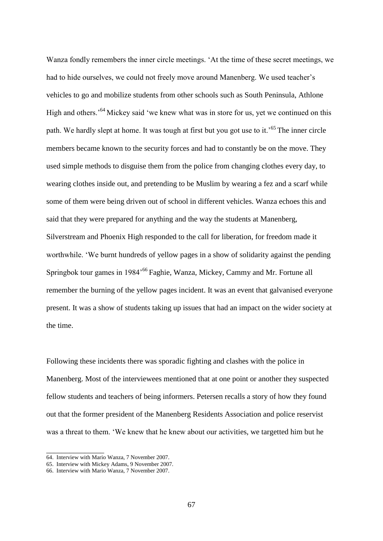Wanza fondly remembers the inner circle meetings. "At the time of these secret meetings, we had to hide ourselves, we could not freely move around Manenberg. We used teacher's vehicles to go and mobilize students from other schools such as South Peninsula, Athlone High and others.<sup>54</sup> Mickey said 'we knew what was in store for us, yet we continued on this path. We hardly slept at home. It was tough at first but you got use to it.<sup>565</sup> The inner circle members became known to the security forces and had to constantly be on the move. They used simple methods to disguise them from the police from changing clothes every day, to wearing clothes inside out, and pretending to be Muslim by wearing a fez and a scarf while some of them were being driven out of school in different vehicles. Wanza echoes this and said that they were prepared for anything and the way the students at Manenberg, Silverstream and Phoenix High responded to the call for liberation, for freedom made it worthwhile. "We burnt hundreds of yellow pages in a show of solidarity against the pending Springbok tour games in 1984<sup>,66</sup> Faghie, Wanza, Mickey, Cammy and Mr. Fortune all remember the burning of the yellow pages incident. It was an event that galvanised everyone present. It was a show of students taking up issues that had an impact on the wider society at the time.

Following these incidents there was sporadic fighting and clashes with the police in Manenberg. Most of the interviewees mentioned that at one point or another they suspected fellow students and teachers of being informers. Petersen recalls a story of how they found out that the former president of the Manenberg Residents Association and police reservist was a threat to them. "We knew that he knew about our activities, we targetted him but he

\_\_\_\_\_\_\_\_\_\_\_\_\_\_\_

<sup>64.</sup> Interview with Mario Wanza, 7 November 2007.

<sup>65.</sup> Interview with Mickey Adams, 9 November 2007.

<sup>66.</sup> Interview with Mario Wanza, 7 November 2007.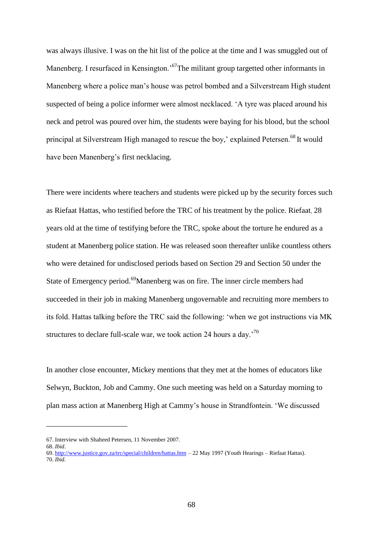was always illusive. I was on the hit list of the police at the time and I was smuggled out of Manenberg. I resurfaced in Kensington.<sup>57</sup>The militant group targetted other informants in Manenberg where a police man"s house was petrol bombed and a Silverstream High student suspected of being a police informer were almost necklaced. "A tyre was placed around his neck and petrol was poured over him, the students were baying for his blood, but the school principal at Silverstream High managed to rescue the boy,' explained Petersen.<sup>68</sup> It would have been Manenberg's first necklacing.

There were incidents where teachers and students were picked up by the security forces such as Riefaat Hattas, who testified before the TRC of his treatment by the police. Riefaat, 28 years old at the time of testifying before the TRC, spoke about the torture he endured as a student at Manenberg police station. He was released soon thereafter unlike countless others who were detained for undisclosed periods based on Section 29 and Section 50 under the State of Emergency period.<sup>69</sup>Manenberg was on fire. The inner circle members had succeeded in their job in making Manenberg ungovernable and recruiting more members to its fold. Hattas talking before the TRC said the following: "when we got instructions via MK structures to declare full-scale war, we took action 24 hours a day.<sup>70</sup>

In another close encounter, Mickey mentions that they met at the homes of educators like Selwyn, Buckton, Job and Cammy. One such meeting was held on a Saturday morning to plan mass action at Manenberg High at Cammy"s house in Strandfontein. "We discussed

\_\_\_\_\_\_\_\_\_\_\_\_\_\_\_\_\_\_\_\_\_

<sup>67.</sup> Interview with Shaheed Petersen, 11 November 2007.

<sup>68.</sup> *Ibid*.

<sup>69</sup>[. http://www.justice.gov.za/trc/special/children/hattas.htm](http://www.justice.gov.za/trc/special/children/hattas.htm) – 22 May 1997 (Youth Hearings – Riefaat Hattas). 70. *Ibid*.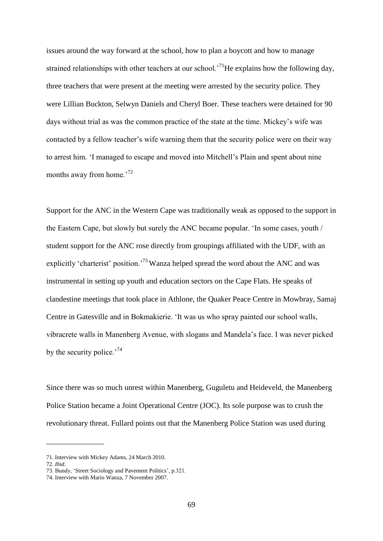issues around the way forward at the school, how to plan a boycott and how to manage strained relationships with other teachers at our school.<sup>71</sup>He explains how the following day, three teachers that were present at the meeting were arrested by the security police. They were Lillian Buckton, Selwyn Daniels and Cheryl Boer. These teachers were detained for 90 days without trial as was the common practice of the state at the time. Mickey"s wife was contacted by a fellow teacher"s wife warning them that the security police were on their way to arrest him. "I managed to escape and moved into Mitchell"s Plain and spent about nine months away from home.<sup>72</sup>

Support for the ANC in the Western Cape was traditionally weak as opposed to the support in the Eastern Cape, but slowly but surely the ANC became popular. "In some cases, youth / student support for the ANC rose directly from groupings affiliated with the UDF, with an explicitly 'charterist' position.<sup>73</sup> Wanza helped spread the word about the ANC and was instrumental in setting up youth and education sectors on the Cape Flats. He speaks of clandestine meetings that took place in Athlone, the Quaker Peace Centre in Mowbray, Samaj Centre in Gatesville and in Bokmakierie. "It was us who spray painted our school walls, vibracrete walls in Manenberg Avenue, with slogans and Mandela"s face. I was never picked by the security police.<sup> $74$ </sup>

Since there was so much unrest within Manenberg, Guguletu and Heideveld, the Manenberg Police Station became a Joint Operational Centre (JOC). Its sole purpose was to crush the revolutionary threat. Fullard points out that the Manenberg Police Station was used during

\_\_\_\_\_\_\_\_\_\_\_\_\_\_\_

<sup>71.</sup> Interview with Mickey Adams, 24 March 2010.

<sup>72.</sup> *Ibid*.

<sup>73.</sup> Bundy, "Street Sociology and Pavement Politics", p.321.

<sup>74.</sup> Interview with Mario Wanza, 7 November 2007.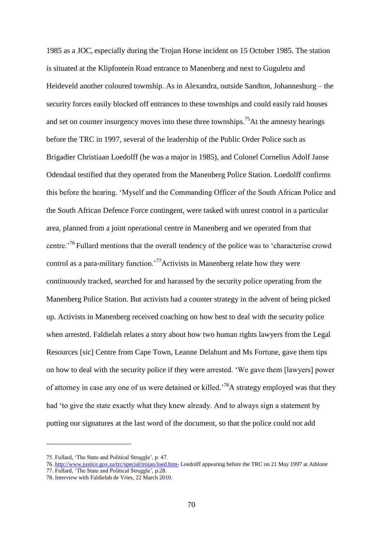1985 as a JOC, especially during the Trojan Horse incident on 15 October 1985. The station is situated at the Klipfontein Road entrance to Manenberg and next to Guguletu and Heideveld another coloured township. As in Alexandra, outside Sandton, Johannesburg – the security forces easily blocked off entrances to these townships and could easily raid houses and set on counter insurgency moves into these three townships.<sup>75</sup>At the amnesty hearings before the TRC in 1997, several of the leadership of the Public Order Police such as Brigadier Christiaan Loedolff (he was a major in 1985), and Colonel Cornelius Adolf Janse Odendaal testified that they operated from the Manenberg Police Station. Loedolff confirms this before the hearing. "Myself and the Commanding Officer of the South African Police and the South African Defence Force contingent, were tasked with unrest control in a particular area, planned from a joint operational centre in Manenberg and we operated from that centre.<sup>76</sup> Fullard mentions that the overall tendency of the police was to 'characterise crowd control as a para-military function.<sup>77</sup>Activists in Manenberg relate how they were continuously tracked, searched for and harassed by the security police operating from the Manenberg Police Station. But activists had a counter strategy in the advent of being picked up. Activists in Manenberg received coaching on how best to deal with the security police when arrested. Faldielah relates a story about how two human rights lawyers from the Legal Resources [sic] Centre from Cape Town, Leanne Delahunt and Ms Fortune, gave them tips on how to deal with the security police if they were arrested. "We gave them [lawyers] power of attorney in case any one of us were detained or killed.<sup>78</sup>A strategy employed was that they had "to give the state exactly what they knew already. And to always sign a statement by putting our signatures at the last word of the document, so that the police could not add

\_\_\_\_\_\_\_\_\_\_\_\_\_\_\_\_\_\_\_\_\_\_

<sup>75.</sup> Fullard, "The State and Political Struggle", p. 47.

<sup>76</sup>[. http://www.justice.gov.za/trc/special/trojan/loed.htm-](http://www.justice.gov.za/trc/special/trojan/loed.htm-) Loedolff appearing before the TRC on 21 May 1997 at Athlone

<sup>77.</sup> Fullard, 'The State and Political Struggle', p.28.

<sup>78.</sup> Interview with Faldielah de Vries, 22 March 2010.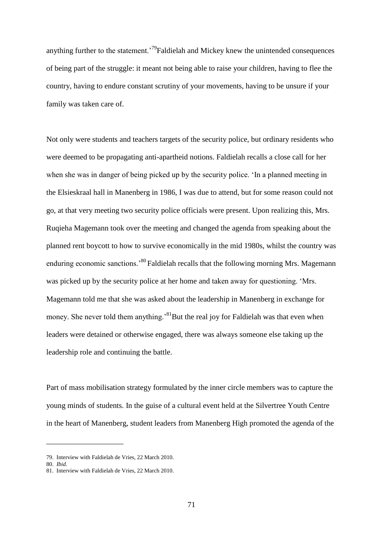anything further to the statement.<sup>79</sup>Faldielah and Mickey knew the unintended consequences of being part of the struggle: it meant not being able to raise your children, having to flee the country, having to endure constant scrutiny of your movements, having to be unsure if your family was taken care of.

Not only were students and teachers targets of the security police, but ordinary residents who were deemed to be propagating anti-apartheid notions. Faldielah recalls a close call for her when she was in danger of being picked up by the security police. "In a planned meeting in the Elsieskraal hall in Manenberg in 1986, I was due to attend, but for some reason could not go, at that very meeting two security police officials were present. Upon realizing this, Mrs. Ruqieha Magemann took over the meeting and changed the agenda from speaking about the planned rent boycott to how to survive economically in the mid 1980s, whilst the country was enduring economic sanctions.<sup>80</sup> Faldielah recalls that the following morning Mrs. Magemann was picked up by the security police at her home and taken away for questioning. "Mrs. Magemann told me that she was asked about the leadership in Manenberg in exchange for money. She never told them anything.<sup>81</sup>But the real joy for Faldielah was that even when leaders were detained or otherwise engaged, there was always someone else taking up the leadership role and continuing the battle.

Part of mass mobilisation strategy formulated by the inner circle members was to capture the young minds of students. In the guise of a cultural event held at the Silvertree Youth Centre in the heart of Manenberg, student leaders from Manenberg High promoted the agenda of the

\_\_\_\_\_\_\_\_\_\_\_\_\_\_\_\_\_\_\_\_

<sup>79.</sup> Interview with Faldielah de Vries, 22 March 2010.

<sup>80.</sup> *Ibid*.

<sup>81.</sup> Interview with Faldielah de Vries, 22 March 2010.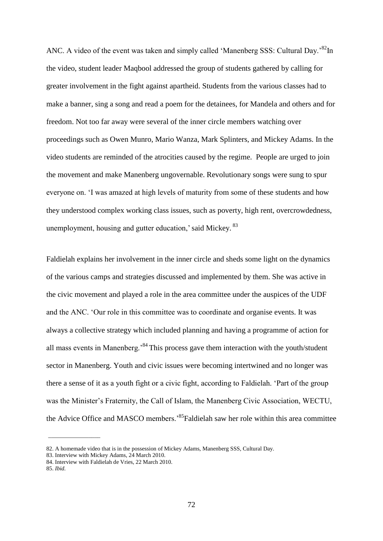ANC. A video of the event was taken and simply called 'Manenberg SSS: Cultural Day.'<sup>82</sup>In the video, student leader Maqbool addressed the group of students gathered by calling for greater involvement in the fight against apartheid. Students from the various classes had to make a banner, sing a song and read a poem for the detainees, for Mandela and others and for freedom. Not too far away were several of the inner circle members watching over proceedings such as Owen Munro, Mario Wanza, Mark Splinters, and Mickey Adams. In the video students are reminded of the atrocities caused by the regime. People are urged to join the movement and make Manenberg ungovernable. Revolutionary songs were sung to spur everyone on. "I was amazed at high levels of maturity from some of these students and how they understood complex working class issues, such as poverty, high rent, overcrowdedness, unemployment, housing and gutter education,' said Mickey. <sup>83</sup>

Faldielah explains her involvement in the inner circle and sheds some light on the dynamics of the various camps and strategies discussed and implemented by them. She was active in the civic movement and played a role in the area committee under the auspices of the UDF and the ANC. "Our role in this committee was to coordinate and organise events. It was always a collective strategy which included planning and having a programme of action for all mass events in Manenberg.<sup>84</sup> This process gave them interaction with the youth/student sector in Manenberg. Youth and civic issues were becoming intertwined and no longer was there a sense of it as a youth fight or a civic fight, according to Faldielah. "Part of the group was the Minister"s Fraternity, the Call of Islam, the Manenberg Civic Association, WECTU, the Advice Office and MASCO members.<sup>85</sup> Faldielah saw her role within this area committee

 $\overline{\phantom{a}}$  , where  $\overline{\phantom{a}}$  , where  $\overline{\phantom{a}}$  , where  $\overline{\phantom{a}}$ 

<sup>82.</sup> A homemade video that is in the possession of Mickey Adams, Manenberg SSS, Cultural Day.

<sup>83.</sup> Interview with Mickey Adams, 24 March 2010.

<sup>84.</sup> Interview with Faldielah de Vries, 22 March 2010.

<sup>85.</sup> *Ibid.*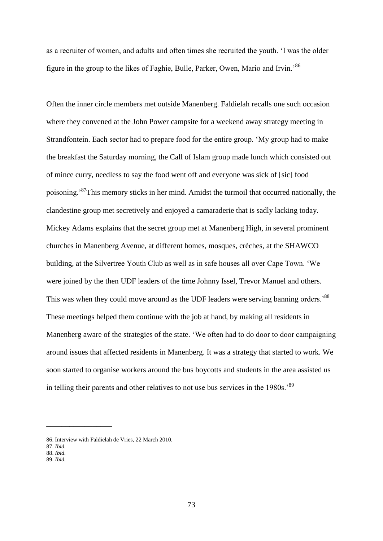as a recruiter of women, and adults and often times she recruited the youth. "I was the older figure in the group to the likes of Faghie, Bulle, Parker, Owen, Mario and Irvin."<sup>86</sup>

Often the inner circle members met outside Manenberg. Faldielah recalls one such occasion where they convened at the John Power campsite for a weekend away strategy meeting in Strandfontein. Each sector had to prepare food for the entire group. "My group had to make the breakfast the Saturday morning, the Call of Islam group made lunch which consisted out of mince curry, needless to say the food went off and everyone was sick of [sic] food poisoning.<sup>87</sup>This memory sticks in her mind. Amidst the turmoil that occurred nationally, the clandestine group met secretively and enjoyed a camaraderie that is sadly lacking today. Mickey Adams explains that the secret group met at Manenberg High, in several prominent churches in Manenberg Avenue, at different homes, mosques, crèches, at the SHAWCO building, at the Silvertree Youth Club as well as in safe houses all over Cape Town. "We were joined by the then UDF leaders of the time Johnny Issel, Trevor Manuel and others. This was when they could move around as the UDF leaders were serving banning orders.<sup>88</sup> These meetings helped them continue with the job at hand, by making all residents in Manenberg aware of the strategies of the state. "We often had to do door to door campaigning around issues that affected residents in Manenberg. It was a strategy that started to work. We soon started to organise workers around the bus boycotts and students in the area assisted us in telling their parents and other relatives to not use bus services in the 1980s.<sup>89</sup>

\_\_\_\_\_\_\_\_\_\_\_\_\_\_\_\_\_

89. *Ibid.*

<sup>86.</sup> Interview with Faldielah de Vries, 22 March 2010.

<sup>87.</sup> *Ibid.*

<sup>88.</sup> *Ibid.*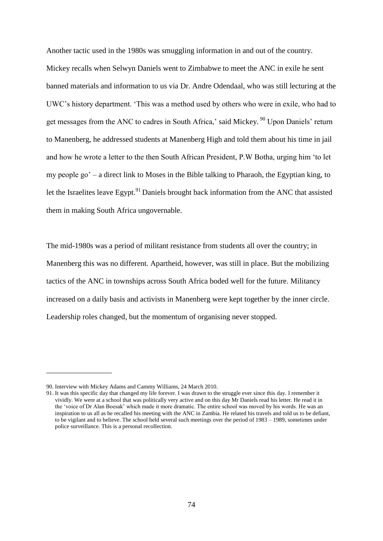Another tactic used in the 1980s was smuggling information in and out of the country.

Mickey recalls when Selwyn Daniels went to Zimbabwe to meet the ANC in exile he sent banned materials and information to us via Dr. Andre Odendaal, who was still lecturing at the UWC"s history department. "This was a method used by others who were in exile, who had to get messages from the ANC to cadres in South Africa,' said Mickey. <sup>90</sup> Upon Daniels' return to Manenberg, he addressed students at Manenberg High and told them about his time in jail and how he wrote a letter to the then South African President, P.W Botha, urging him "to let my people go" – a direct link to Moses in the Bible talking to Pharaoh, the Egyptian king, to let the Israelites leave Egypt.<sup>91</sup> Daniels brought back information from the ANC that assisted them in making South Africa ungovernable.

The mid-1980s was a period of militant resistance from students all over the country; in Manenberg this was no different. Apartheid, however, was still in place. But the mobilizing tactics of the ANC in townships across South Africa boded well for the future. Militancy increased on a daily basis and activists in Manenberg were kept together by the inner circle. Leadership roles changed, but the momentum of organising never stopped.

\_\_\_\_\_\_\_\_\_\_\_\_\_\_\_\_\_

<sup>90.</sup> Interview with Mickey Adams and Cammy Williams, 24 March 2010.

<sup>91.</sup> It was this specific day that changed my life forever. I was drawn to the struggle ever since this day. I remember it vividly. We were at a school that was politically very active and on this day Mr Daniels read his letter. He read it in the "voice of Dr Alan Boesak" which made it more dramatic. The entire school was moved by his words. He was an inspiration to us all as he recalled his meeting with the ANC in Zambia. He related his travels and told us to be defiant, to be vigilant and to believe. The school held several such meetings over the period of 1983 – 1989, sometimes under police surveillance. This is a personal recollection.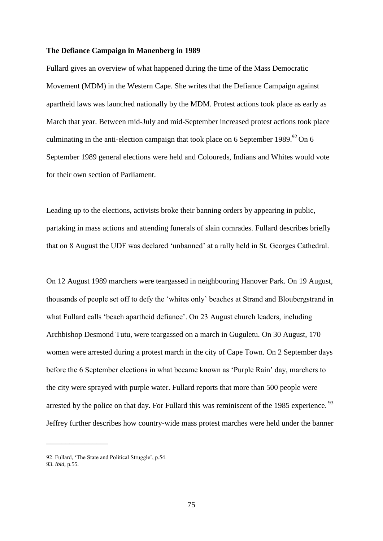#### **The Defiance Campaign in Manenberg in 1989**

Fullard gives an overview of what happened during the time of the Mass Democratic Movement (MDM) in the Western Cape. She writes that the Defiance Campaign against apartheid laws was launched nationally by the MDM. Protest actions took place as early as March that year. Between mid-July and mid-September increased protest actions took place culminating in the anti-election campaign that took place on 6 September 1989.<sup>92</sup> On 6 September 1989 general elections were held and Coloureds, Indians and Whites would vote for their own section of Parliament.

Leading up to the elections, activists broke their banning orders by appearing in public, partaking in mass actions and attending funerals of slain comrades. Fullard describes briefly that on 8 August the UDF was declared "unbanned" at a rally held in St. Georges Cathedral.

On 12 August 1989 marchers were teargassed in neighbouring Hanover Park. On 19 August, thousands of people set off to defy the "whites only" beaches at Strand and Bloubergstrand in what Fullard calls 'beach apartheid defiance'. On 23 August church leaders, including Archbishop Desmond Tutu, were teargassed on a march in Guguletu. On 30 August, 170 women were arrested during a protest march in the city of Cape Town. On 2 September days before the 6 September elections in what became known as "Purple Rain" day, marchers to the city were sprayed with purple water. Fullard reports that more than 500 people were arrested by the police on that day. For Fullard this was reminiscent of the 1985 experience.<sup>93</sup> Jeffrey further describes how country-wide mass protest marches were held under the banner

\_\_\_\_\_\_\_\_\_\_\_\_\_\_\_\_

<sup>92.</sup> Fullard, 'The State and Political Struggle', p.54.

<sup>93.</sup> *Ibid*, p.55.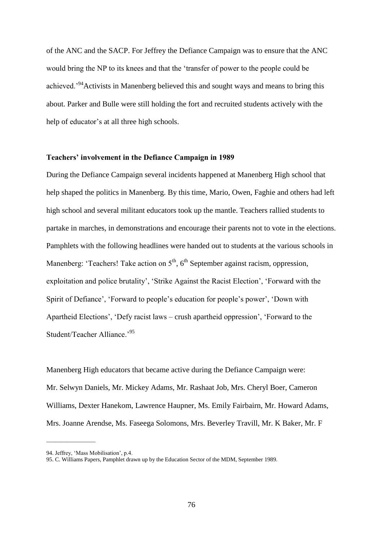of the ANC and the SACP. For Jeffrey the Defiance Campaign was to ensure that the ANC would bring the NP to its knees and that the "transfer of power to the people could be achieved.<sup>"94</sup>Activists in Manenberg believed this and sought ways and means to bring this about. Parker and Bulle were still holding the fort and recruited students actively with the help of educator's at all three high schools.

## **Teachers' involvement in the Defiance Campaign in 1989**

During the Defiance Campaign several incidents happened at Manenberg High school that help shaped the politics in Manenberg. By this time, Mario, Owen, Faghie and others had left high school and several militant educators took up the mantle. Teachers rallied students to partake in marches, in demonstrations and encourage their parents not to vote in the elections. Pamphlets with the following headlines were handed out to students at the various schools in Manenberg: 'Teachers! Take action on  $5<sup>th</sup>$ ,  $6<sup>th</sup>$  September against racism, oppression, exploitation and police brutality", "Strike Against the Racist Election", "Forward with the Spirit of Defiance", "Forward to people"s education for people"s power", "Down with Apartheid Elections', 'Defy racist laws – crush apartheid oppression', 'Forward to the Student/Teacher Alliance.<sup>95</sup>

Manenberg High educators that became active during the Defiance Campaign were: Mr. Selwyn Daniels, Mr. Mickey Adams, Mr. Rashaat Job, Mrs. Cheryl Boer, Cameron Williams, Dexter Hanekom, Lawrence Haupner, Ms. Emily Fairbairn, Mr. Howard Adams, Mrs. Joanne Arendse, Ms. Faseega Solomons, Mrs. Beverley Travill, Mr. K Baker, Mr. F

 $\overline{\phantom{a}}$  , where  $\overline{\phantom{a}}$  , where  $\overline{\phantom{a}}$  , where  $\overline{\phantom{a}}$ 

<sup>94.</sup> Jeffrey, "Mass Mobilisation", p.4.

<sup>95.</sup> C. Williams Papers, Pamphlet drawn up by the Education Sector of the MDM, September 1989.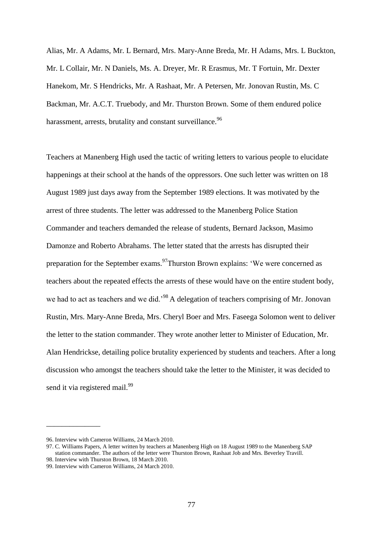Alias, Mr. A Adams, Mr. L Bernard, Mrs. Mary-Anne Breda, Mr. H Adams, Mrs. L Buckton, Mr. L Collair, Mr. N Daniels, Ms. A. Dreyer, Mr. R Erasmus, Mr. T Fortuin, Mr. Dexter Hanekom, Mr. S Hendricks, Mr. A Rashaat, Mr. A Petersen, Mr. Jonovan Rustin, Ms. C Backman, Mr. A.C.T. Truebody, and Mr. Thurston Brown. Some of them endured police harassment, arrests, brutality and constant surveillance.<sup>96</sup>

Teachers at Manenberg High used the tactic of writing letters to various people to elucidate happenings at their school at the hands of the oppressors. One such letter was written on 18 August 1989 just days away from the September 1989 elections. It was motivated by the arrest of three students. The letter was addressed to the Manenberg Police Station Commander and teachers demanded the release of students, Bernard Jackson, Masimo Damonze and Roberto Abrahams. The letter stated that the arrests has disrupted their preparation for the September exams.<sup>97</sup>Thurston Brown explains: 'We were concerned as teachers about the repeated effects the arrests of these would have on the entire student body, we had to act as teachers and we did.<sup>98</sup> A delegation of teachers comprising of Mr. Jonovan Rustin, Mrs. Mary-Anne Breda, Mrs. Cheryl Boer and Mrs. Faseega Solomon went to deliver the letter to the station commander. They wrote another letter to Minister of Education, Mr. Alan Hendrickse, detailing police brutality experienced by students and teachers. After a long discussion who amongst the teachers should take the letter to the Minister, it was decided to send it via registered mail.<sup>99</sup>

\_\_\_\_\_\_\_\_\_\_\_\_\_\_

<sup>96.</sup> Interview with Cameron Williams, 24 March 2010.

<sup>97.</sup> C. Williams Papers, A letter written by teachers at Manenberg High on 18 August 1989 to the Manenberg SAP station commander. The authors of the letter were Thurston Brown, Rashaat Job and Mrs. Beverley Travill. 98. Interview with Thurston Brown, 18 March 2010.

<sup>99.</sup> Interview with Cameron Williams, 24 March 2010.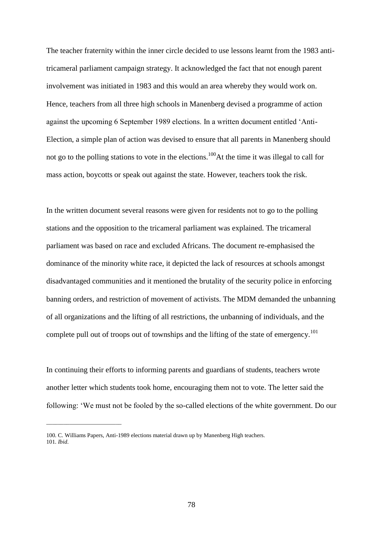The teacher fraternity within the inner circle decided to use lessons learnt from the 1983 antitricameral parliament campaign strategy. It acknowledged the fact that not enough parent involvement was initiated in 1983 and this would an area whereby they would work on. Hence, teachers from all three high schools in Manenberg devised a programme of action against the upcoming 6 September 1989 elections. In a written document entitled "Anti-Election, a simple plan of action was devised to ensure that all parents in Manenberg should not go to the polling stations to vote in the elections.<sup>100</sup>At the time it was illegal to call for mass action, boycotts or speak out against the state. However, teachers took the risk.

In the written document several reasons were given for residents not to go to the polling stations and the opposition to the tricameral parliament was explained. The tricameral parliament was based on race and excluded Africans. The document re-emphasised the dominance of the minority white race, it depicted the lack of resources at schools amongst disadvantaged communities and it mentioned the brutality of the security police in enforcing banning orders, and restriction of movement of activists. The MDM demanded the unbanning of all organizations and the lifting of all restrictions, the unbanning of individuals, and the complete pull out of troops out of townships and the lifting of the state of emergency.<sup>101</sup>

In continuing their efforts to informing parents and guardians of students, teachers wrote another letter which students took home, encouraging them not to vote. The letter said the following: "We must not be fooled by the so-called elections of the white government. Do our

\_\_\_\_\_\_\_\_\_\_\_\_\_\_\_\_\_\_\_\_\_\_\_\_\_\_

78

<sup>100.</sup> C. Williams Papers, Anti-1989 elections material drawn up by Manenberg High teachers. 101. *Ibid*.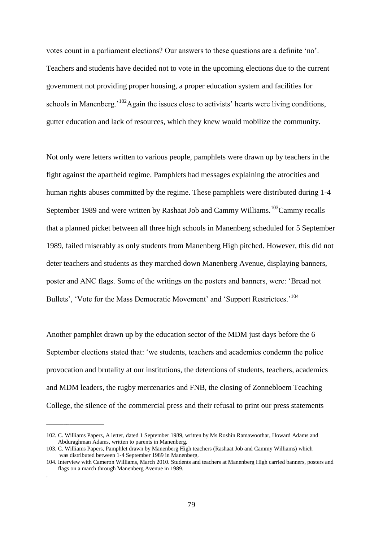votes count in a parliament elections? Our answers to these questions are a definite "no". Teachers and students have decided not to vote in the upcoming elections due to the current government not providing proper housing, a proper education system and facilities for schools in Manenberg.<sup> $102$ </sup>Again the issues close to activists' hearts were living conditions, gutter education and lack of resources, which they knew would mobilize the community.

Not only were letters written to various people, pamphlets were drawn up by teachers in the fight against the apartheid regime. Pamphlets had messages explaining the atrocities and human rights abuses committed by the regime. These pamphlets were distributed during 1-4 September 1989 and were written by Rashaat Job and Cammy Williams.<sup>103</sup>Cammy recalls that a planned picket between all three high schools in Manenberg scheduled for 5 September 1989, failed miserably as only students from Manenberg High pitched. However, this did not deter teachers and students as they marched down Manenberg Avenue, displaying banners, poster and ANC flags. Some of the writings on the posters and banners, were: "Bread not Bullets', 'Vote for the Mass Democratic Movement' and 'Support Restrictees.<sup>104</sup>

Another pamphlet drawn up by the education sector of the MDM just days before the 6 September elections stated that: "we students, teachers and academics condemn the police provocation and brutality at our institutions, the detentions of students, teachers, academics and MDM leaders, the rugby mercenaries and FNB, the closing of Zonnebloem Teaching College, the silence of the commercial press and their refusal to print our press statements

\_\_\_\_\_\_\_\_\_\_\_\_\_\_\_\_\_\_\_\_

.

<sup>102.</sup> C. Williams Papers, A letter, dated 1 September 1989, written by Ms Roshin Ramawoothar, Howard Adams and Abduraghman Adams, written to parents in Manenberg.

<sup>103.</sup> C. Williams Papers, Pamphlet drawn by Manenberg High teachers (Rashaat Job and Cammy Williams) which was distributed between 1-4 September 1989 in Manenberg.

<sup>104.</sup> Interview with Cameron Williams, March 2010. Students and teachers at Manenberg High carried banners, posters and flags on a march through Manenberg Avenue in 1989.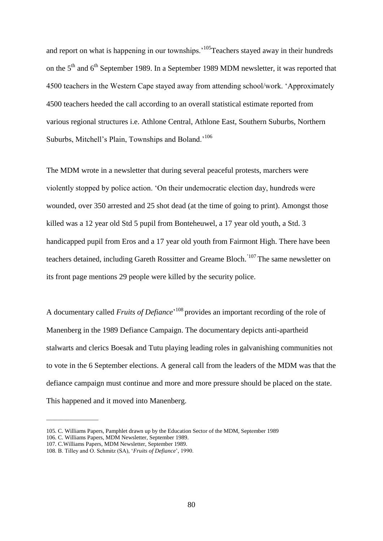and report on what is happening in our townships.<sup>105</sup>Teachers stayed away in their hundreds on the  $5<sup>th</sup>$  and  $6<sup>th</sup>$  September 1989. In a September 1989 MDM newsletter, it was reported that 4500 teachers in the Western Cape stayed away from attending school/work. "Approximately 4500 teachers heeded the call according to an overall statistical estimate reported from various regional structures i.e. Athlone Central, Athlone East, Southern Suburbs, Northern Suburbs, Mitchell's Plain, Townships and Boland.<sup>106</sup>

The MDM wrote in a newsletter that during several peaceful protests, marchers were violently stopped by police action. "On their undemocratic election day, hundreds were wounded, over 350 arrested and 25 shot dead (at the time of going to print). Amongst those killed was a 12 year old Std 5 pupil from Bonteheuwel, a 17 year old youth, a Std. 3 handicapped pupil from Eros and a 17 year old youth from Fairmont High. There have been teachers detained, including Gareth Rossitter and Greame Bloch.<sup>'107</sup> The same newsletter on its front page mentions 29 people were killed by the security police.

A documentary called *Fruits of Defiance*<sup>, 108</sup> provides an important recording of the role of Manenberg in the 1989 Defiance Campaign. The documentary depicts anti-apartheid stalwarts and clerics Boesak and Tutu playing leading roles in galvanishing communities not to vote in the 6 September elections. A general call from the leaders of the MDM was that the defiance campaign must continue and more and more pressure should be placed on the state. This happened and it moved into Manenberg.

 $\frac{1}{2}$  ,  $\frac{1}{2}$  ,  $\frac{1}{2}$  ,  $\frac{1}{2}$  ,  $\frac{1}{2}$  ,  $\frac{1}{2}$  ,  $\frac{1}{2}$  ,  $\frac{1}{2}$  ,  $\frac{1}{2}$  ,  $\frac{1}{2}$  ,  $\frac{1}{2}$  ,  $\frac{1}{2}$  ,  $\frac{1}{2}$  ,  $\frac{1}{2}$  ,  $\frac{1}{2}$  ,  $\frac{1}{2}$  ,  $\frac{1}{2}$  ,  $\frac{1}{2}$  ,  $\frac{1$ 

<sup>105.</sup> C. Williams Papers, Pamphlet drawn up by the Education Sector of the MDM, September 1989

<sup>106.</sup> C. Williams Papers, MDM Newsletter, September 1989.

<sup>107.</sup> C.Williams Papers, MDM Newsletter, September 1989.

<sup>108.</sup> B. Tilley and O. Schmitz (SA), "*Fruits of Defiance*", 1990.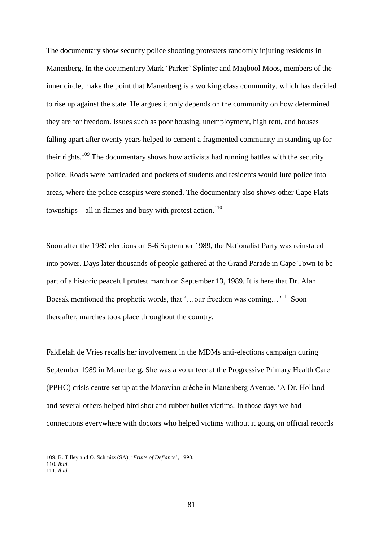The documentary show security police shooting protesters randomly injuring residents in Manenberg. In the documentary Mark "Parker" Splinter and Maqbool Moos, members of the inner circle, make the point that Manenberg is a working class community, which has decided to rise up against the state. He argues it only depends on the community on how determined they are for freedom. Issues such as poor housing, unemployment, high rent, and houses falling apart after twenty years helped to cement a fragmented community in standing up for their rights.<sup>109</sup> The documentary shows how activists had running battles with the security police. Roads were barricaded and pockets of students and residents would lure police into areas, where the police casspirs were stoned. The documentary also shows other Cape Flats townships – all in flames and busy with protest action.<sup>110</sup>

Soon after the 1989 elections on 5-6 September 1989, the Nationalist Party was reinstated into power. Days later thousands of people gathered at the Grand Parade in Cape Town to be part of a historic peaceful protest march on September 13, 1989. It is here that Dr. Alan Boesak mentioned the prophetic words, that '...our freedom was coming...'<sup>111</sup> Soon thereafter, marches took place throughout the country.

Faldielah de Vries recalls her involvement in the MDMs anti-elections campaign during September 1989 in Manenberg. She was a volunteer at the Progressive Primary Health Care (PPHC) crisis centre set up at the Moravian crèche in Manenberg Avenue. "A Dr. Holland and several others helped bird shot and rubber bullet victims. In those days we had connections everywhere with doctors who helped victims without it going on official records

\_\_\_\_\_\_\_\_\_\_\_\_\_\_\_\_

<sup>109.</sup> B. Tilley and O. Schmitz (SA), "*Fruits of Defiance*", 1990.

<sup>110.</sup> *Ibid*.

<sup>111.</sup> *Ibid*.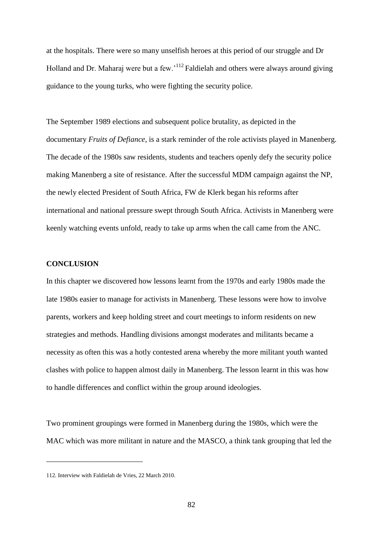at the hospitals. There were so many unselfish heroes at this period of our struggle and Dr Holland and Dr. Maharaj were but a few.<sup>112</sup> Faldielah and others were always around giving guidance to the young turks, who were fighting the security police.

The September 1989 elections and subsequent police brutality, as depicted in the documentary *Fruits of Defiance*, is a stark reminder of the role activists played in Manenberg. The decade of the 1980s saw residents, students and teachers openly defy the security police making Manenberg a site of resistance. After the successful MDM campaign against the NP, the newly elected President of South Africa, FW de Klerk began his reforms after international and national pressure swept through South Africa. Activists in Manenberg were keenly watching events unfold, ready to take up arms when the call came from the ANC.

# **CONCLUSION**

In this chapter we discovered how lessons learnt from the 1970s and early 1980s made the late 1980s easier to manage for activists in Manenberg. These lessons were how to involve parents, workers and keep holding street and court meetings to inform residents on new strategies and methods. Handling divisions amongst moderates and militants became a necessity as often this was a hotly contested arena whereby the more militant youth wanted clashes with police to happen almost daily in Manenberg. The lesson learnt in this was how to handle differences and conflict within the group around ideologies.

Two prominent groupings were formed in Manenberg during the 1980s, which were the MAC which was more militant in nature and the MASCO, a think tank grouping that led the

\_\_\_\_\_\_\_\_\_\_\_\_\_\_\_\_\_\_\_\_\_\_\_\_\_

<sup>112.</sup> Interview with Faldielah de Vries, 22 March 2010.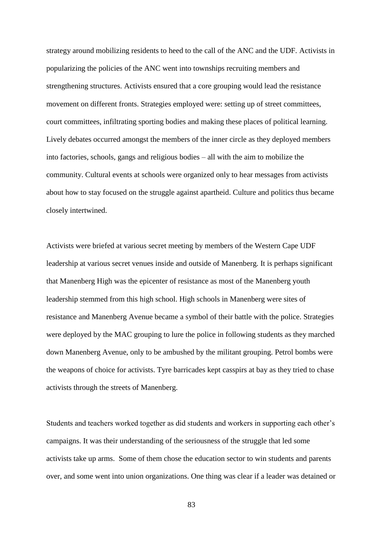strategy around mobilizing residents to heed to the call of the ANC and the UDF. Activists in popularizing the policies of the ANC went into townships recruiting members and strengthening structures. Activists ensured that a core grouping would lead the resistance movement on different fronts. Strategies employed were: setting up of street committees, court committees, infiltrating sporting bodies and making these places of political learning. Lively debates occurred amongst the members of the inner circle as they deployed members into factories, schools, gangs and religious bodies – all with the aim to mobilize the community. Cultural events at schools were organized only to hear messages from activists about how to stay focused on the struggle against apartheid. Culture and politics thus became closely intertwined.

Activists were briefed at various secret meeting by members of the Western Cape UDF leadership at various secret venues inside and outside of Manenberg. It is perhaps significant that Manenberg High was the epicenter of resistance as most of the Manenberg youth leadership stemmed from this high school. High schools in Manenberg were sites of resistance and Manenberg Avenue became a symbol of their battle with the police. Strategies were deployed by the MAC grouping to lure the police in following students as they marched down Manenberg Avenue, only to be ambushed by the militant grouping. Petrol bombs were the weapons of choice for activists. Tyre barricades kept casspirs at bay as they tried to chase activists through the streets of Manenberg.

Students and teachers worked together as did students and workers in supporting each other"s campaigns. It was their understanding of the seriousness of the struggle that led some activists take up arms. Some of them chose the education sector to win students and parents over, and some went into union organizations. One thing was clear if a leader was detained or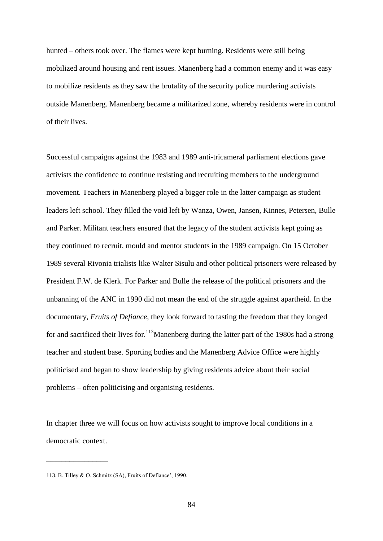hunted – others took over. The flames were kept burning. Residents were still being mobilized around housing and rent issues. Manenberg had a common enemy and it was easy to mobilize residents as they saw the brutality of the security police murdering activists outside Manenberg. Manenberg became a militarized zone, whereby residents were in control of their lives.

Successful campaigns against the 1983 and 1989 anti-tricameral parliament elections gave activists the confidence to continue resisting and recruiting members to the underground movement. Teachers in Manenberg played a bigger role in the latter campaign as student leaders left school. They filled the void left by Wanza, Owen, Jansen, Kinnes, Petersen, Bulle and Parker. Militant teachers ensured that the legacy of the student activists kept going as they continued to recruit, mould and mentor students in the 1989 campaign. On 15 October 1989 several Rivonia trialists like Walter Sisulu and other political prisoners were released by President F.W. de Klerk. For Parker and Bulle the release of the political prisoners and the unbanning of the ANC in 1990 did not mean the end of the struggle against apartheid. In the documentary, *Fruits of Defiance*, they look forward to tasting the freedom that they longed for and sacrificed their lives for.<sup>113</sup>Manenberg during the latter part of the 1980s had a strong teacher and student base. Sporting bodies and the Manenberg Advice Office were highly politicised and began to show leadership by giving residents advice about their social problems – often politicising and organising residents.

In chapter three we will focus on how activists sought to improve local conditions in a democratic context.

 $\overline{\phantom{a}}$  , where  $\overline{\phantom{a}}$ 

<sup>113.</sup> B. Tilley & O. Schmitz (SA), Fruits of Defiance', 1990.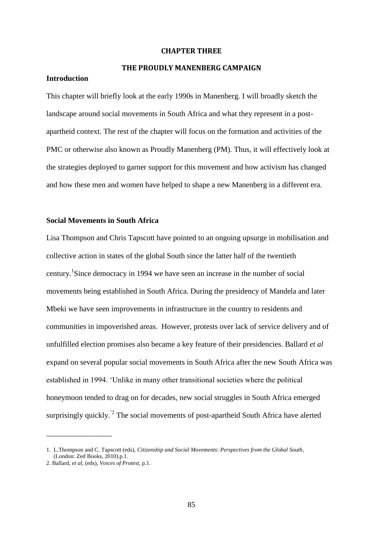#### **CHAPTER THREE**

# **THE PROUDLY MANENBERG CAMPAIGN**

## **Introduction**

This chapter will briefly look at the early 1990s in Manenberg. I will broadly sketch the landscape around social movements in South Africa and what they represent in a postapartheid context. The rest of the chapter will focus on the formation and activities of the PMC or otherwise also known as Proudly Manenberg (PM). Thus, it will effectively look at the strategies deployed to garner support for this movement and how activism has changed and how these men and women have helped to shape a new Manenberg in a different era.

## **Social Movements in South Africa**

Lisa Thompson and Chris Tapscott have pointed to an ongoing upsurge in mobilisation and collective action in states of the global South since the latter half of the twentieth century.<sup>1</sup>Since democracy in 1994 we have seen an increase in the number of social movements being established in South Africa. During the presidency of Mandela and later Mbeki we have seen improvements in infrastructure in the country to residents and communities in impoverished areas. However, protests over lack of service delivery and of unfulfilled election promises also became a key feature of their presidencies. Ballard *et al* expand on several popular social movements in South Africa after the new South Africa was established in 1994. "Unlike in many other transitional societies where the political honeymoon tended to drag on for decades, new social struggles in South Africa emerged surprisingly quickly.<sup>'2</sup> The social movements of post-apartheid South Africa have alerted

 $\overline{\phantom{a}}$  , where  $\overline{\phantom{a}}$ 

<sup>1.</sup> L.Thompson and C. Tapscott (eds), *Citizenship and Social Movements*: *Perspectives from the Global South*, (London: Zed Books, 2010).p.1.

<sup>2.</sup> Ballard, *et al,* (eds), *Voices of Protest,* p.1.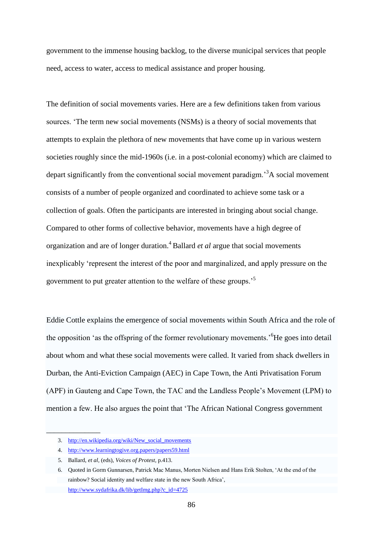government to the immense housing backlog, to the diverse municipal services that people need, access to water, access to medical assistance and proper housing.

The definition of social movements varies. Here are a few definitions taken from various sources. "The term new social movements (NSMs) is a theory of social movements that attempts to explain the plethora of new movements that have come up in various western societies roughly since the mid-1960s (i.e. in a post-colonial economy) which are claimed to depart significantly from the conventional social movement paradigm.<sup>3</sup>A social movement consists of a number of people organized and coordinated to achieve some task or a collection of goals. Often the participants are interested in bringing about social change. Compared to other forms of collective behavior, movements have a high degree of organization and are of longer duration.<sup>4</sup>Ballard *et al* argue that social movements inexplicably "represent the interest of the poor and marginalized, and apply pressure on the government to put greater attention to the welfare of these groups.<sup>5</sup>

Eddie Cottle explains the emergence of social movements within South Africa and the role of the opposition "as the offspring of the former revolutionary movements."<sup>6</sup>He goes into detail about whom and what these social movements were called. It varied from shack dwellers in Durban, the Anti-Eviction Campaign (AEC) in Cape Town, the Anti Privatisation Forum (APF) in Gauteng and Cape Town, the TAC and the Landless People"s Movement (LPM) to mention a few. He also argues the point that "The African National Congress government

\_\_\_\_\_\_\_\_\_\_\_\_\_\_

<sup>3.</sup> [http://en.wikipedia.org/wiki/New\\_social\\_movements](http://en.wikipedia.org/wiki/New_social_movements)

<sup>4.</sup> <http://www.learningtogive.org.papers/papers59.html>

 <sup>5.</sup> Ballard, *et al,* (eds), *Voices of Protest,* p.413.

 <sup>6.</sup> Quoted in Gorm Gunnarsen, Patrick Mac Manus, Morten Nielsen and Hans Erik Stolten, "At the end of the rainbow? Social identity and welfare state in the new South Africa", [http://www.sydafrika.dk/lib/getImg.php?c\\_id=4725](http://www.sydafrika.dk/lib/getImg.php?c_id=4725)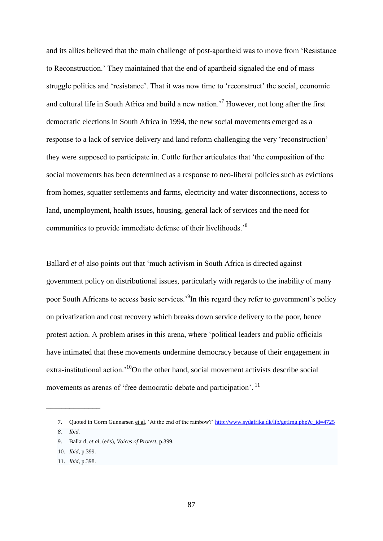and its allies believed that the main challenge of post-apartheid was to move from "Resistance to Reconstruction." They maintained that the end of apartheid signaled the end of mass struggle politics and 'resistance'. That it was now time to 'reconstruct' the social, economic and cultural life in South Africa and build a new nation.<sup> $7$ </sup> However, not long after the first democratic elections in South Africa in 1994, the new social movements emerged as a response to a lack of service delivery and land reform challenging the very "reconstruction" they were supposed to participate in. Cottle further articulates that "the composition of the social movements has been determined as a response to neo-liberal policies such as evictions from homes, squatter settlements and farms, electricity and water disconnections, access to land, unemployment, health issues, housing, general lack of services and the need for communities to provide immediate defense of their livelihoods."<sup>8</sup>

Ballard *et al* also points out that 'much activism in South Africa is directed against government policy on distributional issues, particularly with regards to the inability of many poor South Africans to access basic services.<sup>9</sup>In this regard they refer to government's policy on privatization and cost recovery which breaks down service delivery to the poor, hence protest action. A problem arises in this arena, where "political leaders and public officials have intimated that these movements undermine democracy because of their engagement in extra-institutional action.<sup>10</sup>On the other hand, social movement activists describe social movements as arenas of 'free democratic debate and participation'.<sup>11</sup>

\_\_\_\_\_\_\_\_\_\_\_\_\_\_

11. *Ibid,* p.398.

<sup>7.</sup> Quoted in Gorm Gunnarsen et al, "At the end of the rainbow?" [http://www.sydafrika.dk/lib/getImg.php?c\\_id=4725](http://www.sydafrika.dk/lib/getImg.php?c_id=4725)

*<sup>8.</sup> Ibid.*

<sup>9.</sup> Ballard, *et al*, (eds), *Voices of Protest,* p.399.

<sup>10.</sup> *Ibid,* p.399.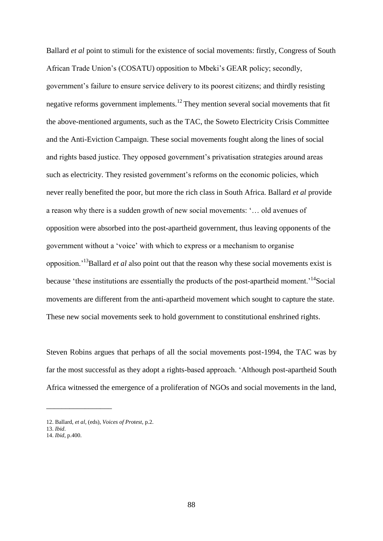Ballard *et al* point to stimuli for the existence of social movements: firstly, Congress of South African Trade Union"s (COSATU) opposition to Mbeki"s GEAR policy; secondly, government"s failure to ensure service delivery to its poorest citizens; and thirdly resisting negative reforms government implements.<sup>12</sup> They mention several social movements that fit the above-mentioned arguments, such as the TAC, the Soweto Electricity Crisis Committee and the Anti-Eviction Campaign. These social movements fought along the lines of social and rights based justice. They opposed government's privatisation strategies around areas such as electricity. They resisted government's reforms on the economic policies, which never really benefited the poor, but more the rich class in South Africa. Ballard *et al* provide a reason why there is a sudden growth of new social movements: "… old avenues of opposition were absorbed into the post-apartheid government, thus leaving opponents of the government without a "voice" with which to express or a mechanism to organise opposition."<sup>13</sup>Ballard *et al* also point out that the reason why these social movements exist is because 'these institutions are essentially the products of the post-apartheid moment.<sup>'14</sup>Social movements are different from the anti-apartheid movement which sought to capture the state. These new social movements seek to hold government to constitutional enshrined rights.

Steven Robins argues that perhaps of all the social movements post-1994, the TAC was by far the most successful as they adopt a rights-based approach. "Although post-apartheid South Africa witnessed the emergence of a proliferation of NGOs and social movements in the land,

\_\_\_\_\_\_\_\_\_\_\_\_\_\_\_\_\_

<sup>12.</sup> Ballard, *et al*, (eds), *Voices of Protest*, p.2.

<sup>13.</sup> *Ibid*.

<sup>14.</sup> *Ibid*, p.400.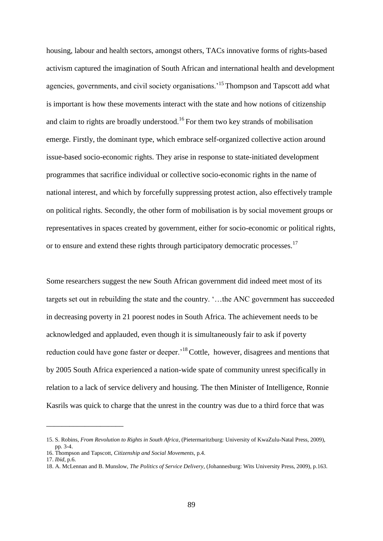housing, labour and health sectors, amongst others, TACs innovative forms of rights-based activism captured the imagination of South African and international health and development agencies, governments, and civil society organisations.<sup>15</sup> Thompson and Tapscott add what is important is how these movements interact with the state and how notions of citizenship and claim to rights are broadly understood.<sup>16</sup> For them two key strands of mobilisation emerge. Firstly, the dominant type, which embrace self-organized collective action around issue-based socio-economic rights. They arise in response to state-initiated development programmes that sacrifice individual or collective socio-economic rights in the name of national interest, and which by forcefully suppressing protest action, also effectively trample on political rights. Secondly, the other form of mobilisation is by social movement groups or representatives in spaces created by government, either for socio-economic or political rights, or to ensure and extend these rights through participatory democratic processes.<sup>17</sup>

Some researchers suggest the new South African government did indeed meet most of its targets set out in rebuilding the state and the country. "…the ANC government has succeeded in decreasing poverty in 21 poorest nodes in South Africa. The achievement needs to be acknowledged and applauded, even though it is simultaneously fair to ask if poverty reduction could have gone faster or deeper.<sup>18</sup> Cottle, however, disagrees and mentions that by 2005 South Africa experienced a nation-wide spate of community unrest specifically in relation to a lack of service delivery and housing. The then Minister of Intelligence, Ronnie Kasrils was quick to charge that the unrest in the country was due to a third force that was

\_\_\_\_\_\_\_\_\_\_\_\_\_\_\_\_\_\_\_\_

<sup>15.</sup> S. Robins, *From Revolution to Rights in South Africa*, (Pietermaritzburg: University of KwaZulu-Natal Press, 2009), pp. 3-4.

<sup>16.</sup> Thompson and Tapscott, *Citizenship and Social Movements*, p.4.

<sup>17.</sup> *Ibid*, p.6.

<sup>18.</sup> A. McLennan and B. Munslow, *The Politics of Service Delivery*, (Johannesburg: Wits University Press, 2009), p.163.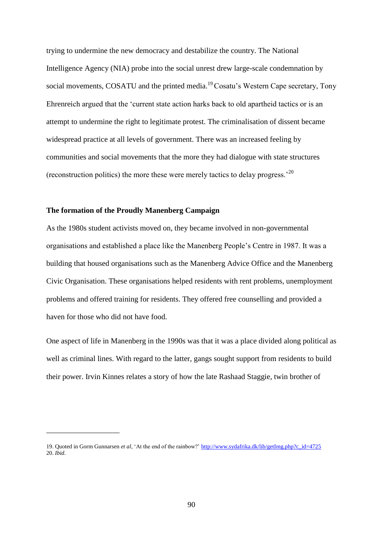trying to undermine the new democracy and destabilize the country. The National Intelligence Agency (NIA) probe into the social unrest drew large-scale condemnation by social movements, COSATU and the printed media.<sup>19</sup> Cosatu's Western Cape secretary, Tony Ehrenreich argued that the "current state action harks back to old apartheid tactics or is an attempt to undermine the right to legitimate protest. The criminalisation of dissent became widespread practice at all levels of government. There was an increased feeling by communities and social movements that the more they had dialogue with state structures (reconstruction politics) the more these were merely tactics to delay progress."<sup>20</sup>

## **The formation of the Proudly Manenberg Campaign**

\_\_\_\_\_\_\_\_\_\_\_\_\_\_\_\_\_\_\_

As the 1980s student activists moved on, they became involved in non-governmental organisations and established a place like the Manenberg People"s Centre in 1987. It was a building that housed organisations such as the Manenberg Advice Office and the Manenberg Civic Organisation. These organisations helped residents with rent problems, unemployment problems and offered training for residents. They offered free counselling and provided a haven for those who did not have food.

One aspect of life in Manenberg in the 1990s was that it was a place divided along political as well as criminal lines. With regard to the latter, gangs sought support from residents to build their power. Irvin Kinnes relates a story of how the late Rashaad Staggie, twin brother of

<sup>19.</sup> Quoted in Gorm Gunnarsen *et al*, "At the end of the rainbow?[" http://www.sydafrika.dk/lib/getImg.php?c\\_id=4725](http://www.sydafrika.dk/lib/getImg.php?c_id=4725) 20. *Ibid.*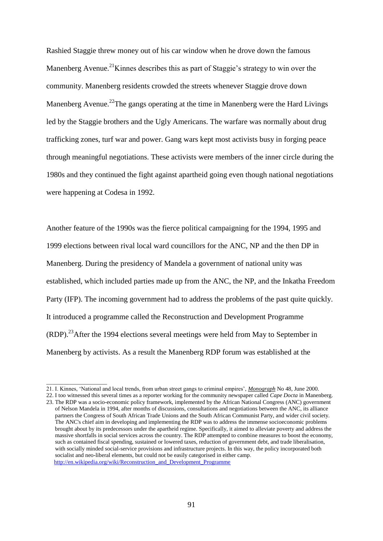Rashied Staggie threw money out of his car window when he drove down the famous Manenberg Avenue.<sup>21</sup>Kinnes describes this as part of Staggie's strategy to win over the community. Manenberg residents crowded the streets whenever Staggie drove down Manenberg Avenue.<sup>22</sup>The gangs operating at the time in Manenberg were the Hard Livings led by the Staggie brothers and the Ugly Americans. The warfare was normally about drug trafficking zones, turf war and power. Gang wars kept most activists busy in forging peace through meaningful negotiations. These activists were members of the inner circle during the 1980s and they continued the fight against apartheid going even though national negotiations were happening at Codesa in 1992.

Another feature of the 1990s was the fierce political campaigning for the 1994, 1995 and 1999 elections between rival local ward councillors for the ANC, NP and the then DP in Manenberg. During the presidency of Mandela a government of national unity was established, which included parties made up from the ANC, the NP, and the Inkatha Freedom Party (IFP). The incoming government had to address the problems of the past quite quickly. It introduced a programme called the Reconstruction and Development Programme (RDP).<sup>23</sup>After the 1994 elections several meetings were held from May to September in Manenberg by activists. As a result the Manenberg RDP forum was established at the

 $\overline{\phantom{a}}$  , we can consider the constraint of  $\overline{\phantom{a}}$ 

<sup>21.</sup> I. Kinnes, "National and local trends, from urban street gangs to criminal empires", *Monograph* No 48, June 2000.

<sup>22.</sup> I too witnessed this several times as a reporter working for the community newspaper called *Cape Docta* in Manenberg. 23. The RDP was a socio-economic policy framework, implemented by the African National Congress (ANC) government of Nelson Mandela in 1994, after months of discussions, consultations and negotiations between the ANC, its alliance partners the Congress of South African Trade Unions and the South African Communist Party, and wider civil society. The ANC's chief aim in developing and implementing the RDP was to address the immense socioeconomic problems brought about by its predecessors under the apartheid regime. Specifically, it aimed to alleviate poverty and address the massive shortfalls in social services across the country. The RDP attempted to combine measures to boost the economy, such as contained fiscal spending, sustained or lowered taxes, reduction of government debt, and trade liberalisation, with socially minded social-service provisions and infrastructure projects. In this way, the policy incorporated both socialist and neo-liberal elements, but could not be easily categorised in either camp. [http://en.wikipedia.org/wiki/Reconstruction\\_and\\_Development\\_Programme](http://en.wikipedia.org/wiki/Reconstruction_and_Development_Programme)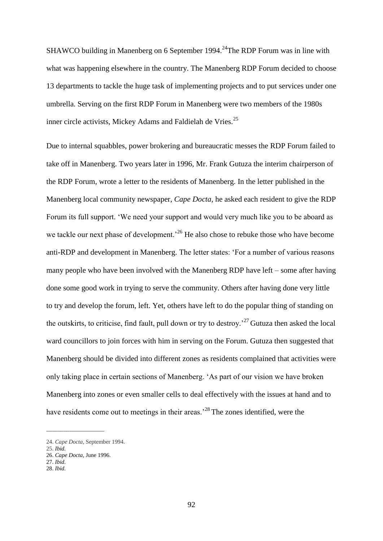SHAWCO building in Manenberg on 6 September 1994.<sup>24</sup>The RDP Forum was in line with what was happening elsewhere in the country. The Manenberg RDP Forum decided to choose 13 departments to tackle the huge task of implementing projects and to put services under one umbrella. Serving on the first RDP Forum in Manenberg were two members of the 1980s inner circle activists, Mickey Adams and Faldielah de Vries.<sup>25</sup>

Due to internal squabbles, power brokering and bureaucratic messes the RDP Forum failed to take off in Manenberg. Two years later in 1996, Mr. Frank Gutuza the interim chairperson of the RDP Forum, wrote a letter to the residents of Manenberg. In the letter published in the Manenberg local community newspaper, *Cape Docta*, he asked each resident to give the RDP Forum its full support. "We need your support and would very much like you to be aboard as we tackle our next phase of development.<sup>26</sup> He also chose to rebuke those who have become anti-RDP and development in Manenberg. The letter states: "For a number of various reasons many people who have been involved with the Manenberg RDP have left – some after having done some good work in trying to serve the community. Others after having done very little to try and develop the forum, left. Yet, others have left to do the popular thing of standing on the outskirts, to criticise, find fault, pull down or try to destroy.<sup> $27$ </sup> Gutuza then asked the local ward councillors to join forces with him in serving on the Forum. Gutuza then suggested that Manenberg should be divided into different zones as residents complained that activities were only taking place in certain sections of Manenberg. "As part of our vision we have broken Manenberg into zones or even smaller cells to deal effectively with the issues at hand and to have residents come out to meetings in their areas.<sup>28</sup>The zones identified, were the

\_\_\_\_\_\_\_\_\_\_\_\_\_\_\_\_\_\_\_\_

<sup>24.</sup> *Cape Docta*, September 1994.

<sup>25.</sup> *Ibid.*

<sup>26.</sup> *Cape Docta*, June 1996.

<sup>27.</sup> *Ibid.*

<sup>28.</sup> *Ibid.*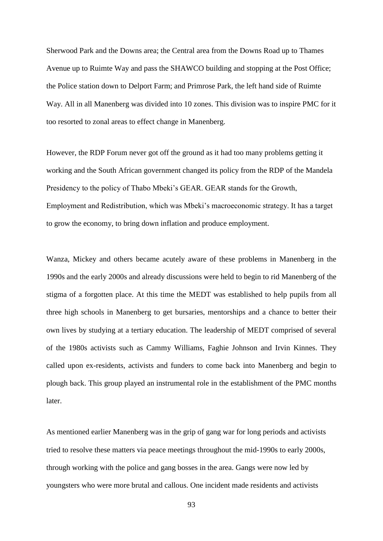Sherwood Park and the Downs area; the Central area from the Downs Road up to Thames Avenue up to Ruimte Way and pass the SHAWCO building and stopping at the Post Office; the Police station down to Delport Farm; and Primrose Park, the left hand side of Ruimte Way. All in all Manenberg was divided into 10 zones. This division was to inspire PMC for it too resorted to zonal areas to effect change in Manenberg.

However, the RDP Forum never got off the ground as it had too many problems getting it working and the South African government changed its policy from the RDP of the Mandela Presidency to the policy of Thabo Mbeki"s GEAR. GEAR stands for the Growth, Employment and Redistribution, which was Mbeki"s macroeconomic strategy. It has a target to grow the economy, to bring down inflation and produce employment.

Wanza, Mickey and others became acutely aware of these problems in Manenberg in the 1990s and the early 2000s and already discussions were held to begin to rid Manenberg of the stigma of a forgotten place. At this time the MEDT was established to help pupils from all three high schools in Manenberg to get bursaries, mentorships and a chance to better their own lives by studying at a tertiary education. The leadership of MEDT comprised of several of the 1980s activists such as Cammy Williams, Faghie Johnson and Irvin Kinnes. They called upon ex-residents, activists and funders to come back into Manenberg and begin to plough back. This group played an instrumental role in the establishment of the PMC months later.

As mentioned earlier Manenberg was in the grip of gang war for long periods and activists tried to resolve these matters via peace meetings throughout the mid-1990s to early 2000s, through working with the police and gang bosses in the area. Gangs were now led by youngsters who were more brutal and callous. One incident made residents and activists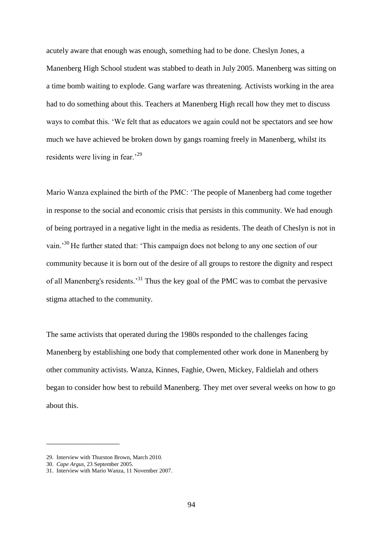acutely aware that enough was enough, something had to be done. Cheslyn Jones, a Manenberg High School student was stabbed to death in July 2005. Manenberg was sitting on a time bomb waiting to explode. Gang warfare was threatening. Activists working in the area had to do something about this. Teachers at Manenberg High recall how they met to discuss ways to combat this. "We felt that as educators we again could not be spectators and see how much we have achieved be broken down by gangs roaming freely in Manenberg, whilst its residents were living in fear.<sup>29</sup>

Mario Wanza explained the birth of the PMC: "The people of Manenberg had come together in response to the social and economic crisis that persists in this community. We had enough of being portrayed in a negative light in the media as residents. The death of Cheslyn is not in vain.<sup>30</sup>He further stated that: 'This campaign does not belong to any one section of our community because it is born out of the desire of all groups to restore the dignity and respect of all Manenberg's residents.<sup>31</sup> Thus the key goal of the PMC was to combat the pervasive stigma attached to the community.

The same activists that operated during the 1980s responded to the challenges facing Manenberg by establishing one body that complemented other work done in Manenberg by other community activists. Wanza, Kinnes, Faghie, Owen, Mickey, Faldielah and others began to consider how best to rebuild Manenberg. They met over several weeks on how to go about this.

\_\_\_\_\_\_\_\_\_\_\_\_\_\_\_\_\_\_\_

<sup>29.</sup> Interview with Thurston Brown, March 2010.

<sup>30.</sup> *Cape Argus*, 23 September 2005.

<sup>31.</sup> Interview with Mario Wanza, 11 November 2007.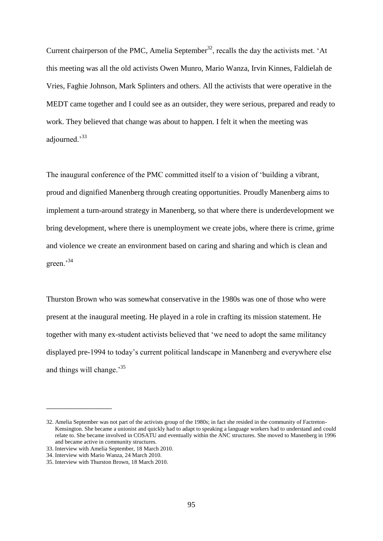Current chairperson of the PMC, Amelia September<sup>32</sup>, recalls the day the activists met. 'At this meeting was all the old activists Owen Munro, Mario Wanza, Irvin Kinnes, Faldielah de Vries, Faghie Johnson, Mark Splinters and others. All the activists that were operative in the MEDT came together and I could see as an outsider, they were serious, prepared and ready to work. They believed that change was about to happen. I felt it when the meeting was adjourned."<sup>33</sup>

The inaugural conference of the PMC committed itself to a vision of "building a vibrant, proud and dignified Manenberg through creating opportunities. Proudly Manenberg aims to implement a turn-around strategy in Manenberg, so that where there is underdevelopment we bring development, where there is unemployment we create jobs, where there is crime, grime and violence we create an environment based on caring and sharing and which is clean and green."<sup>34</sup>

Thurston Brown who was somewhat conservative in the 1980s was one of those who were present at the inaugural meeting. He played in a role in crafting its mission statement. He together with many ex-student activists believed that "we need to adopt the same militancy displayed pre-1994 to today"s current political landscape in Manenberg and everywhere else and things will change.<sup>35</sup>

\_\_\_\_\_\_\_\_\_\_\_\_\_\_\_\_\_

<sup>32.</sup> Amelia September was not part of the activists group of the 1980s; in fact she resided in the community of Factreton- Kensington. She became a unionist and quickly had to adapt to speaking a language workers had to understand and could relate to. She became involved in COSATU and eventually within the ANC structures. She moved to Manenberg in 1996 and became active in community structures.

<sup>33.</sup> Interview with Amelia September, 18 March 2010.

<sup>34.</sup> Interview with Mario Wanza, 24 March 2010.

<sup>35.</sup> Interview with Thurston Brown, 18 March 2010.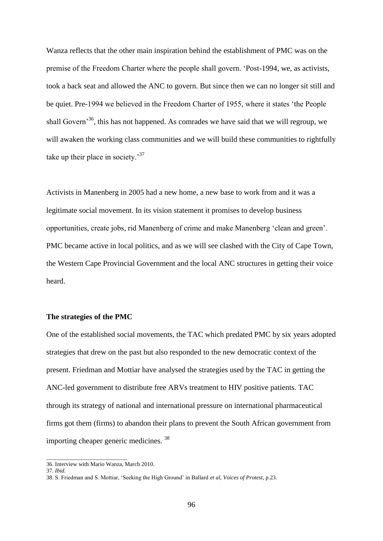Wanza reflects that the other main inspiration behind the establishment of PMC was on the premise of the Freedom Charter where the people shall govern. "Post-1994, we, as activists, took a back seat and allowed the ANC to govern. But since then we can no longer sit still and be quiet. Pre-1994 we believed in the Freedom Charter of 1955, where it states "the People shall Govern<sup>36</sup>, this has not happened. As comrades we have said that we will regroup, we will awaken the working class communities and we will build these communities to rightfully take up their place in society.<sup>37</sup>

Activists in Manenberg in 2005 had a new home, a new base to work from and it was a legitimate social movement. In its vision statement it promises to develop business opportunities, create jobs, rid Manenberg of crime and make Manenberg "clean and green". PMC became active in local politics, and as we will see clashed with the City of Cape Town, the Western Cape Provincial Government and the local ANC structures in getting their voice heard.

### **The strategies of the PMC**

One of the established social movements, the TAC which predated PMC by six years adopted strategies that drew on the past but also responded to the new democratic context of the present. Friedman and Mottiar have analysed the strategies used by the TAC in getting the ANC-led government to distribute free ARVs treatment to HIV positive patients. TAC through its strategy of national and international pressure on international pharmaceutical firms got them (firms) to abandon their plans to prevent the South African government from importing cheaper generic medicines. <sup>38</sup>

\_\_\_\_\_\_\_\_\_\_\_\_\_\_\_\_\_\_\_\_\_\_\_\_\_\_\_\_

<sup>36.</sup> Interview with Mario Wanza, March 2010.

<sup>37.</sup> *Ibid.*

<sup>38.</sup> S. Friedman and S. Mottiar, "Seeking the High Ground" in Ballard *et al*, *Voices of Protest,* p.23.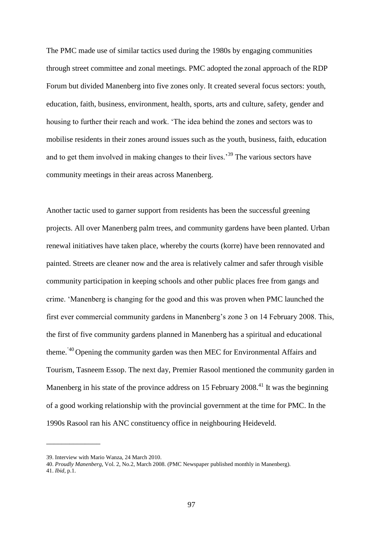The PMC made use of similar tactics used during the 1980s by engaging communities through street committee and zonal meetings. PMC adopted the zonal approach of the RDP Forum but divided Manenberg into five zones only. It created several focus sectors: youth, education, faith, business, environment, health, sports, arts and culture, safety, gender and housing to further their reach and work. "The idea behind the zones and sectors was to mobilise residents in their zones around issues such as the youth, business, faith, education and to get them involved in making changes to their lives.<sup>39</sup> The various sectors have community meetings in their areas across Manenberg.

Another tactic used to garner support from residents has been the successful greening projects. All over Manenberg palm trees, and community gardens have been planted. Urban renewal initiatives have taken place, whereby the courts (korre) have been rennovated and painted. Streets are cleaner now and the area is relatively calmer and safer through visible community participation in keeping schools and other public places free from gangs and crime. "Manenberg is changing for the good and this was proven when PMC launched the first ever commercial community gardens in Manenberg"s zone 3 on 14 February 2008. This, the first of five community gardens planned in Manenberg has a spiritual and educational theme."40 Opening the community garden was then MEC for Environmental Affairs and Tourism, Tasneem Essop. The next day, Premier Rasool mentioned the community garden in Manenberg in his state of the province address on 15 February 2008.<sup>41</sup> It was the beginning of a good working relationship with the provincial government at the time for PMC. In the 1990s Rasool ran his ANC constituency office in neighbouring Heideveld.

\_\_\_\_\_\_\_\_\_\_\_\_\_\_

<sup>39.</sup> Interview with Mario Wanza, 24 March 2010.

<sup>40.</sup> *Proudly Manenberg*, Vol. 2, No.2, March 2008. (PMC Newspaper published monthly in Manenberg). 41. *Ibid*, p.1.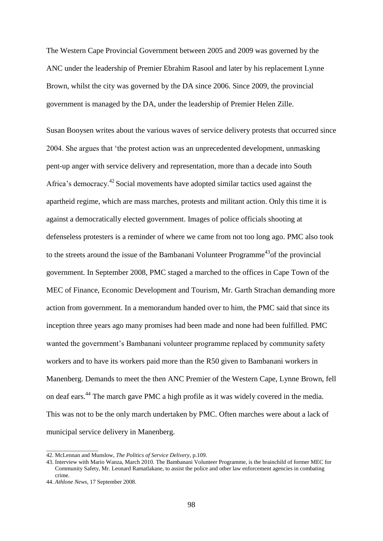The Western Cape Provincial Government between 2005 and 2009 was governed by the ANC under the leadership of Premier Ebrahim Rasool and later by his replacement Lynne Brown, whilst the city was governed by the DA since 2006. Since 2009, the provincial government is managed by the DA, under the leadership of Premier Helen Zille.

Susan Booysen writes about the various waves of service delivery protests that occurred since 2004. She argues that "the protest action was an unprecedented development, unmasking pent-up anger with service delivery and representation, more than a decade into South Africa's democracy.<sup>42</sup> Social movements have adopted similar tactics used against the apartheid regime, which are mass marches, protests and militant action. Only this time it is against a democratically elected government. Images of police officials shooting at defenseless protesters is a reminder of where we came from not too long ago. PMC also took to the streets around the issue of the Bambanani Volunteer Programme<sup>43</sup> of the provincial government. In September 2008, PMC staged a marched to the offices in Cape Town of the MEC of Finance, Economic Development and Tourism, Mr. Garth Strachan demanding more action from government. In a memorandum handed over to him, the PMC said that since its inception three years ago many promises had been made and none had been fulfilled. PMC wanted the government's Bambanani volunteer programme replaced by community safety workers and to have its workers paid more than the R50 given to Bambanani workers in Manenberg. Demands to meet the then ANC Premier of the Western Cape, Lynne Brown, fell on deaf ears.<sup>44</sup> The march gave PMC a high profile as it was widely covered in the media. This was not to be the only march undertaken by PMC. Often marches were about a lack of municipal service delivery in Manenberg.

 $\overline{\phantom{a}}$  , which is the set of the set of the set of the set of the set of the set of the set of the set of the set of the set of the set of the set of the set of the set of the set of the set of the set of the set of

<sup>42.</sup> McLennan and Munslow, *The Politics of Service Delivery*, p.109.

<sup>43.</sup> Interview with Mario Wanza, March 2010. The Bambanani Volunteer Programme, is the brainchild of former MEC for Community Safety, Mr. Leonard Ramatlakane, to assist the police and other law enforcement agencies in combating crime.

<sup>44.</sup> *Athlone News*, 17 September 2008.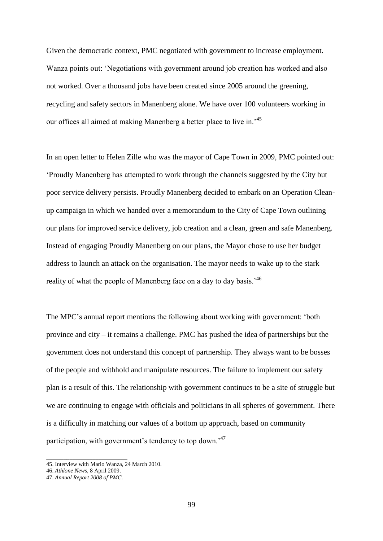Given the democratic context, PMC negotiated with government to increase employment. Wanza points out: "Negotiations with government around job creation has worked and also not worked. Over a thousand jobs have been created since 2005 around the greening, recycling and safety sectors in Manenberg alone. We have over 100 volunteers working in our offices all aimed at making Manenberg a better place to live in.<sup>45</sup>

In an open letter to Helen Zille who was the mayor of Cape Town in 2009, PMC pointed out: "Proudly Manenberg has attempted to work through the channels suggested by the City but poor service delivery persists. Proudly Manenberg decided to embark on an Operation Cleanup campaign in which we handed over a memorandum to the City of Cape Town outlining our plans for improved service delivery, job creation and a clean, green and safe Manenberg. Instead of engaging Proudly Manenberg on our plans, the Mayor chose to use her budget address to launch an attack on the organisation. The mayor needs to wake up to the stark reality of what the people of Manenberg face on a day to day basis.<sup>46</sup>

The MPC"s annual report mentions the following about working with government: "both province and city – it remains a challenge. PMC has pushed the idea of partnerships but the government does not understand this concept of partnership. They always want to be bosses of the people and withhold and manipulate resources. The failure to implement our safety plan is a result of this. The relationship with government continues to be a site of struggle but we are continuing to engage with officials and politicians in all spheres of government. There is a difficulty in matching our values of a bottom up approach, based on community participation, with government's tendency to top down.<sup>47</sup>

\_\_\_\_\_\_\_\_\_\_\_\_\_\_\_\_\_\_\_\_\_\_\_\_\_\_\_\_

<sup>45.</sup> Interview with Mario Wanza, 24 March 2010.

<sup>46.</sup> *Athlone News*, 8 April 2009.

<sup>47.</sup> *Annual Report 2008 of PMC.*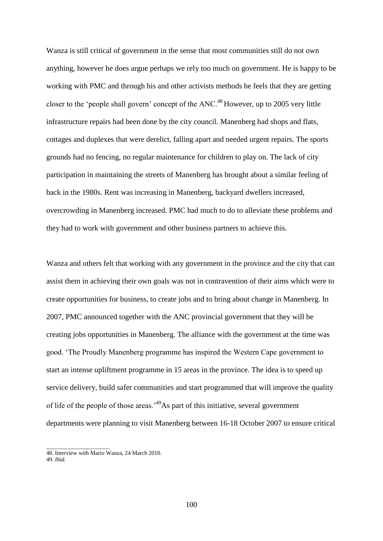Wanza is still critical of government in the sense that most communities still do not own anything, however he does argue perhaps we rely too much on government. He is happy to be working with PMC and through his and other activists methods he feels that they are getting closer to the 'people shall govern' concept of the  $ANC<sup>48</sup>$  However, up to 2005 very little infrastructure repairs had been done by the city council. Manenberg had shops and flats, cottages and duplexes that were derelict, falling apart and needed urgent repairs. The sports grounds had no fencing, no regular maintenance for children to play on. The lack of city participation in maintaining the streets of Manenberg has brought about a similar feeling of back in the 1980s. Rent was increasing in Manenberg, backyard dwellers increased, overcrowding in Manenberg increased. PMC had much to do to alleviate these problems and they had to work with government and other business partners to achieve this.

Wanza and others felt that working with any government in the province and the city that can assist them in achieving their own goals was not in contravention of their aims which were to create opportunities for business, to create jobs and to bring about change in Manenberg. In 2007, PMC announced together with the ANC provincial government that they will be creating jobs opportunities in Manenberg. The alliance with the government at the time was good. "The Proudly Manenberg programme has inspired the Western Cape government to start an intense upliftment programme in 15 areas in the province. The idea is to speed up service delivery, build safer communities and start programmed that will improve the quality of life of the people of those areas."<sup>49</sup>As part of this initiative, several government departments were planning to visit Manenberg between 16-18 October 2007 to ensure critical

\_\_\_\_\_\_\_\_\_\_\_\_\_\_\_\_\_\_\_\_\_\_

<sup>48.</sup> Interview with Mario Wanza, 24 March 2010.

<sup>49.</sup> *Ibid.*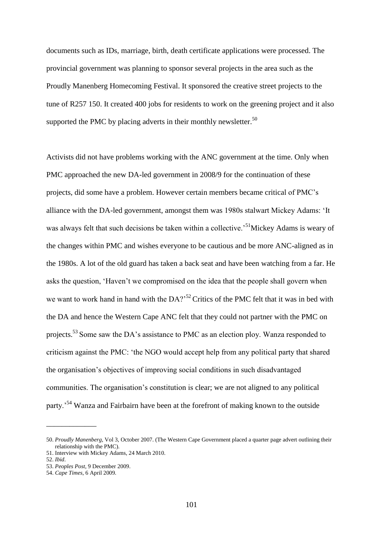documents such as IDs, marriage, birth, death certificate applications were processed. The provincial government was planning to sponsor several projects in the area such as the Proudly Manenberg Homecoming Festival. It sponsored the creative street projects to the tune of R257 150. It created 400 jobs for residents to work on the greening project and it also supported the PMC by placing adverts in their monthly newsletter.<sup>50</sup>

Activists did not have problems working with the ANC government at the time. Only when PMC approached the new DA-led government in 2008/9 for the continuation of these projects, did some have a problem. However certain members became critical of PMC"s alliance with the DA-led government, amongst them was 1980s stalwart Mickey Adams: "It was always felt that such decisions be taken within a collective.<sup>51</sup>Mickey Adams is weary of the changes within PMC and wishes everyone to be cautious and be more ANC-aligned as in the 1980s. A lot of the old guard has taken a back seat and have been watching from a far. He asks the question, "Haven"t we compromised on the idea that the people shall govern when we want to work hand in hand with the  $DA$ <sup>252</sup>Critics of the PMC felt that it was in bed with the DA and hence the Western Cape ANC felt that they could not partner with the PMC on projects.<sup>53</sup> Some saw the DA's assistance to PMC as an election ploy. Wanza responded to criticism against the PMC: "the NGO would accept help from any political party that shared the organisation"s objectives of improving social conditions in such disadvantaged communities. The organisation"s constitution is clear; we are not aligned to any political party.<sup>54</sup> Wanza and Fairbairn have been at the forefront of making known to the outside

\_\_\_\_\_\_\_\_\_\_\_\_\_

<sup>50.</sup> *Proudly Manenberg*, Vol 3, October 2007. (The Western Cape Government placed a quarter page advert outlining their relationship with the PMC).

<sup>51.</sup> Interview with Mickey Adams, 24 March 2010.

<sup>52.</sup> *Ibid*.

<sup>53.</sup> *Peoples Post*, 9 December 2009.

<sup>54.</sup> *Cape Times*, 6 April 2009.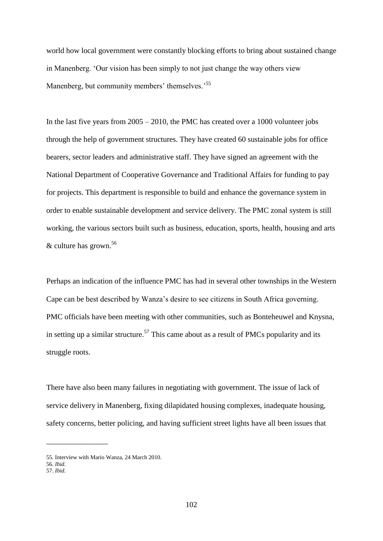world how local government were constantly blocking efforts to bring about sustained change in Manenberg. "Our vision has been simply to not just change the way others view Manenberg, but community members' themselves.<sup>55</sup>

In the last five years from 2005 – 2010, the PMC has created over a 1000 volunteer jobs through the help of government structures. They have created 60 sustainable jobs for office bearers, sector leaders and administrative staff. They have signed an agreement with the National Department of Cooperative Governance and Traditional Affairs for funding to pay for projects. This department is responsible to build and enhance the governance system in order to enable sustainable development and service delivery. The PMC zonal system is still working, the various sectors built such as business, education, sports, health, housing and arts & culture has grown.<sup>56</sup>

Perhaps an indication of the influence PMC has had in several other townships in the Western Cape can be best described by Wanza"s desire to see citizens in South Africa governing. PMC officials have been meeting with other communities, such as Bonteheuwel and Knysna, in setting up a similar structure.<sup>57</sup> This came about as a result of PMCs popularity and its struggle roots.

There have also been many failures in negotiating with government. The issue of lack of service delivery in Manenberg, fixing dilapidated housing complexes, inadequate housing, safety concerns, better policing, and having sufficient street lights have all been issues that

\_\_\_\_\_\_\_\_\_\_\_\_\_\_\_\_

<sup>55.</sup> Interview with Mario Wanza, 24 March 2010.

<sup>56.</sup> *Ibid.*

<sup>57.</sup> *Ibid.*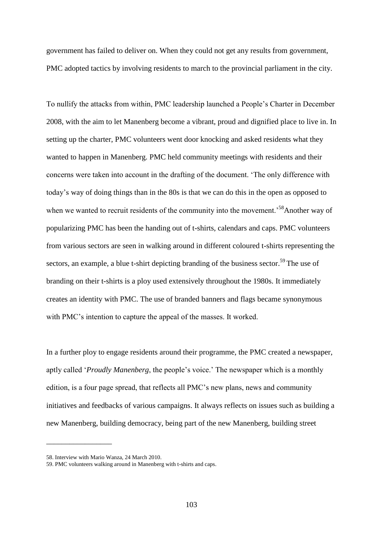government has failed to deliver on. When they could not get any results from government, PMC adopted tactics by involving residents to march to the provincial parliament in the city.

To nullify the attacks from within, PMC leadership launched a People"s Charter in December 2008, with the aim to let Manenberg become a vibrant, proud and dignified place to live in. In setting up the charter, PMC volunteers went door knocking and asked residents what they wanted to happen in Manenberg. PMC held community meetings with residents and their concerns were taken into account in the drafting of the document. "The only difference with today"s way of doing things than in the 80s is that we can do this in the open as opposed to when we wanted to recruit residents of the community into the movement.<sup>58</sup>Another way of popularizing PMC has been the handing out of t-shirts, calendars and caps. PMC volunteers from various sectors are seen in walking around in different coloured t-shirts representing the sectors, an example, a blue t-shirt depicting branding of the business sector.<sup>59</sup> The use of branding on their t-shirts is a ploy used extensively throughout the 1980s. It immediately creates an identity with PMC. The use of branded banners and flags became synonymous with PMC"s intention to capture the appeal of the masses. It worked.

In a further ploy to engage residents around their programme, the PMC created a newspaper, aptly called "*Proudly Manenberg*, the people"s voice." The newspaper which is a monthly edition, is a four page spread, that reflects all PMC"s new plans, news and community initiatives and feedbacks of various campaigns. It always reflects on issues such as building a new Manenberg, building democracy, being part of the new Manenberg, building street

\_\_\_\_\_\_\_\_\_\_\_\_\_\_\_\_\_

<sup>58.</sup> Interview with Mario Wanza, 24 March 2010.

<sup>59.</sup> PMC volunteers walking around in Manenberg with t-shirts and caps.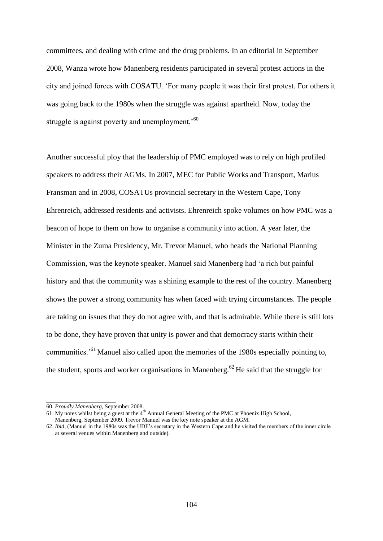committees, and dealing with crime and the drug problems. In an editorial in September 2008, Wanza wrote how Manenberg residents participated in several protest actions in the city and joined forces with COSATU. "For many people it was their first protest. For others it was going back to the 1980s when the struggle was against apartheid. Now, today the struggle is against poverty and unemployment.<sup>'60</sup>

Another successful ploy that the leadership of PMC employed was to rely on high profiled speakers to address their AGMs. In 2007, MEC for Public Works and Transport, Marius Fransman and in 2008, COSATUs provincial secretary in the Western Cape, Tony Ehrenreich, addressed residents and activists. Ehrenreich spoke volumes on how PMC was a beacon of hope to them on how to organise a community into action. A year later, the Minister in the Zuma Presidency, Mr. Trevor Manuel, who heads the National Planning Commission, was the keynote speaker. Manuel said Manenberg had "a rich but painful history and that the community was a shining example to the rest of the country. Manenberg shows the power a strong community has when faced with trying circumstances. The people are taking on issues that they do not agree with, and that is admirable. While there is still lots to be done, they have proven that unity is power and that democracy starts within their communities."<sup>61</sup> Manuel also called upon the memories of the 1980s especially pointing to, the student, sports and worker organisations in Manenberg.<sup>62</sup> He said that the struggle for

\_\_\_\_\_\_\_\_\_\_\_\_\_\_\_\_\_\_\_\_\_\_\_\_

<sup>60.</sup> *Proudly Manenberg*, September 2008.

<sup>61.</sup> My notes whilst being a guest at the  $4<sup>th</sup>$  Annual General Meeting of the PMC at Phoenix High School, Manenberg, September 2009. Trevor Manuel was the key note speaker at the AGM.

<sup>62.</sup> *Ibid*, (Manuel in the 1980s was the UDF"s secretary in the Western Cape and he visited the members of the inner circle at several venues within Manenberg and outside).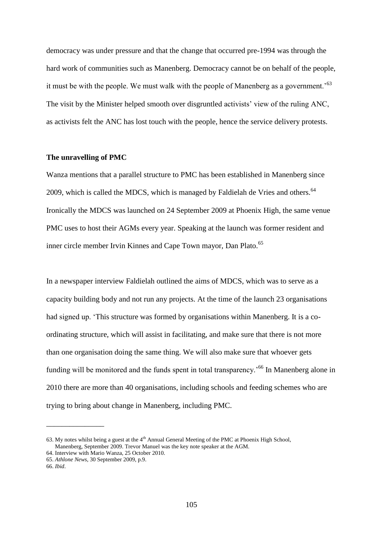democracy was under pressure and that the change that occurred pre-1994 was through the hard work of communities such as Manenberg. Democracy cannot be on behalf of the people, it must be with the people. We must walk with the people of Manenberg as a government.<sup>53</sup> The visit by the Minister helped smooth over disgruntled activists' view of the ruling ANC, as activists felt the ANC has lost touch with the people, hence the service delivery protests.

#### **The unravelling of PMC**

Wanza mentions that a parallel structure to PMC has been established in Manenberg since 2009, which is called the MDCS, which is managed by Faldielah de Vries and others.<sup>64</sup> Ironically the MDCS was launched on 24 September 2009 at Phoenix High, the same venue PMC uses to host their AGMs every year. Speaking at the launch was former resident and inner circle member Irvin Kinnes and Cape Town mayor, Dan Plato.<sup>65</sup>

In a newspaper interview Faldielah outlined the aims of MDCS, which was to serve as a capacity building body and not run any projects. At the time of the launch 23 organisations had signed up. "This structure was formed by organisations within Manenberg. It is a coordinating structure, which will assist in facilitating, and make sure that there is not more than one organisation doing the same thing. We will also make sure that whoever gets funding will be monitored and the funds spent in total transparency.<sup>'66</sup> In Manenberg alone in 2010 there are more than 40 organisations, including schools and feeding schemes who are trying to bring about change in Manenberg, including PMC.

\_\_\_\_\_\_\_\_\_\_\_\_\_\_\_

<sup>63.</sup> My notes whilst being a guest at the  $4<sup>th</sup>$  Annual General Meeting of the PMC at Phoenix High School, Manenberg, September 2009. Trevor Manuel was the key note speaker at the AGM.

<sup>64.</sup> Interview with Mario Wanza, 25 October 2010.

<sup>65.</sup> *Athlone News*, 30 September 2009, p.9.

<sup>66.</sup> *Ibid*.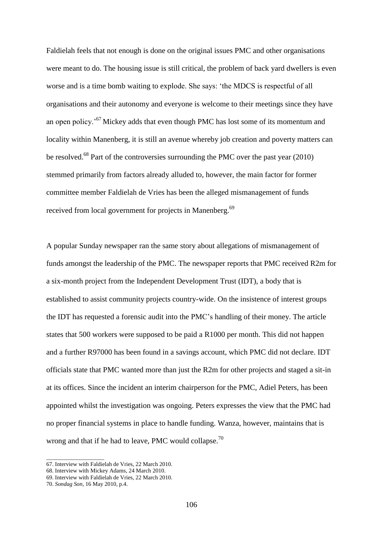Faldielah feels that not enough is done on the original issues PMC and other organisations were meant to do. The housing issue is still critical, the problem of back yard dwellers is even worse and is a time bomb waiting to explode. She says: "the MDCS is respectful of all organisations and their autonomy and everyone is welcome to their meetings since they have an open policy.<sup>'67</sup> Mickey adds that even though PMC has lost some of its momentum and locality within Manenberg, it is still an avenue whereby job creation and poverty matters can be resolved.<sup>68</sup> Part of the controversies surrounding the PMC over the past year (2010) stemmed primarily from factors already alluded to, however, the main factor for former committee member Faldielah de Vries has been the alleged mismanagement of funds received from local government for projects in Manenberg.<sup>69</sup>

A popular Sunday newspaper ran the same story about allegations of mismanagement of funds amongst the leadership of the PMC. The newspaper reports that PMC received R2m for a six-month project from the Independent Development Trust (IDT), a body that is established to assist community projects country-wide. On the insistence of interest groups the IDT has requested a forensic audit into the PMC"s handling of their money. The article states that 500 workers were supposed to be paid a R1000 per month. This did not happen and a further R97000 has been found in a savings account, which PMC did not declare. IDT officials state that PMC wanted more than just the R2m for other projects and staged a sit-in at its offices. Since the incident an interim chairperson for the PMC, Adiel Peters, has been appointed whilst the investigation was ongoing. Peters expresses the view that the PMC had no proper financial systems in place to handle funding. Wanza, however, maintains that is wrong and that if he had to leave, PMC would collapse.<sup>70</sup>

\_\_\_\_\_\_\_\_\_\_\_\_\_\_\_\_\_\_\_\_

<sup>67.</sup> Interview with Faldielah de Vries, 22 March 2010.

<sup>68.</sup> Interview with Mickey Adams, 24 March 2010.

<sup>69.</sup> Interview with Faldielah de Vries, 22 March 2010.

<sup>70.</sup> *Sondag Son*, 16 May 2010, p.4.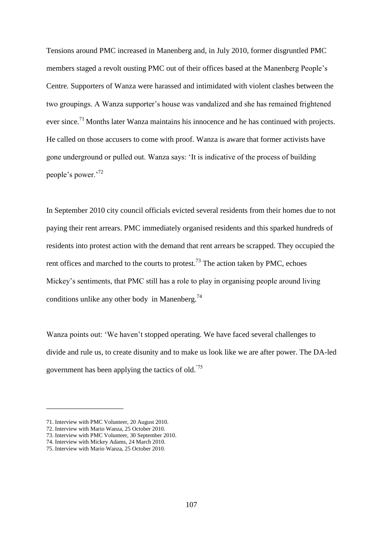Tensions around PMC increased in Manenberg and, in July 2010, former disgruntled PMC members staged a revolt ousting PMC out of their offices based at the Manenberg People"s Centre. Supporters of Wanza were harassed and intimidated with violent clashes between the two groupings. A Wanza supporter"s house was vandalized and she has remained frightened ever since.<sup>71</sup> Months later Wanza maintains his innocence and he has continued with projects. He called on those accusers to come with proof. Wanza is aware that former activists have gone underground or pulled out. Wanza says: "It is indicative of the process of building people"s power."<sup>72</sup>

In September 2010 city council officials evicted several residents from their homes due to not paying their rent arrears. PMC immediately organised residents and this sparked hundreds of residents into protest action with the demand that rent arrears be scrapped. They occupied the rent offices and marched to the courts to protest.<sup>73</sup> The action taken by PMC, echoes Mickey"s sentiments, that PMC still has a role to play in organising people around living conditions unlike any other body in Manenberg.<sup>74</sup>

Wanza points out: "We haven"t stopped operating. We have faced several challenges to divide and rule us, to create disunity and to make us look like we are after power. The DA-led government has been applying the tactics of old."75

\_\_\_\_\_\_\_\_\_\_\_\_\_\_\_\_\_\_\_\_

<sup>71.</sup> Interview with PMC Volunteer, 20 August 2010.

<sup>72.</sup> Interview with Mario Wanza, 25 October 2010.

<sup>73.</sup> Interview with PMC Volunteer, 30 September 2010.

<sup>74.</sup> Interview with Mickey Adams, 24 March 2010.

<sup>75.</sup> Interview with Mario Wanza, 25 October 2010.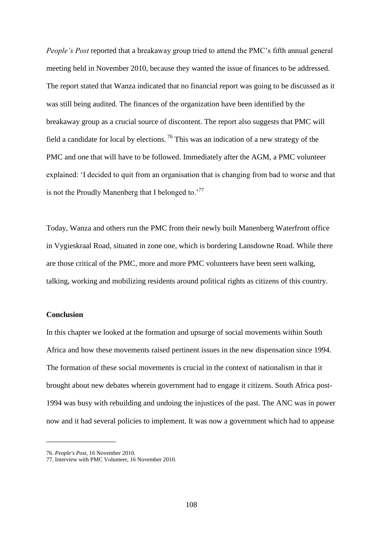*People's Post* reported that a breakaway group tried to attend the PMC"s fifth annual general meeting held in November 2010, because they wanted the issue of finances to be addressed. The report stated that Wanza indicated that no financial report was going to be discussed as it was still being audited. The finances of the organization have been identified by the breakaway group as a crucial source of discontent. The report also suggests that PMC will field a candidate for local by elections.  $\frac{76}{10}$  This was an indication of a new strategy of the PMC and one that will have to be followed. Immediately after the AGM, a PMC volunteer explained: "I decided to quit from an organisation that is changing from bad to worse and that is not the Proudly Manenberg that I belonged to. $177$ 

Today, Wanza and others run the PMC from their newly built Manenberg Waterfront office in Vygieskraal Road, situated in zone one, which is bordering Lansdowne Road. While there are those critical of the PMC, more and more PMC volunteers have been seen walking, talking, working and mobilizing residents around political rights as citizens of this country.

#### **Conclusion**

In this chapter we looked at the formation and upsurge of social movements within South Africa and how these movements raised pertinent issues in the new dispensation since 1994. The formation of these social movements is crucial in the context of nationalism in that it brought about new debates wherein government had to engage it citizens. South Africa post-1994 was busy with rebuilding and undoing the injustices of the past. The ANC was in power now and it had several policies to implement. It was now a government which had to appease

\_\_\_\_\_\_\_\_\_\_\_\_\_\_\_\_\_\_

<sup>76.</sup> *People's Post,* 16 November 2010.

<sup>77.</sup> Interview with PMC Volunteer, 16 November 2010.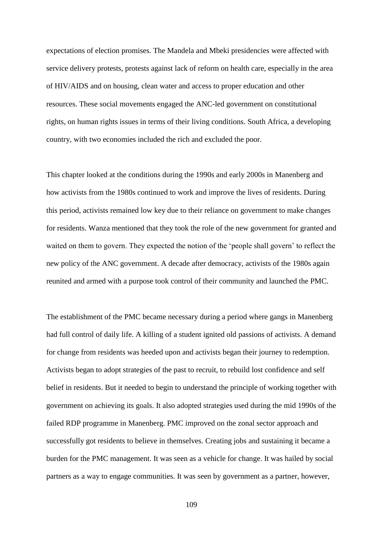expectations of election promises. The Mandela and Mbeki presidencies were affected with service delivery protests, protests against lack of reform on health care, especially in the area of HIV/AIDS and on housing, clean water and access to proper education and other resources. These social movements engaged the ANC-led government on constitutional rights, on human rights issues in terms of their living conditions. South Africa, a developing country, with two economies included the rich and excluded the poor.

This chapter looked at the conditions during the 1990s and early 2000s in Manenberg and how activists from the 1980s continued to work and improve the lives of residents. During this period, activists remained low key due to their reliance on government to make changes for residents. Wanza mentioned that they took the role of the new government for granted and waited on them to govern. They expected the notion of the 'people shall govern' to reflect the new policy of the ANC government. A decade after democracy, activists of the 1980s again reunited and armed with a purpose took control of their community and launched the PMC.

The establishment of the PMC became necessary during a period where gangs in Manenberg had full control of daily life. A killing of a student ignited old passions of activists. A demand for change from residents was heeded upon and activists began their journey to redemption. Activists began to adopt strategies of the past to recruit, to rebuild lost confidence and self belief in residents. But it needed to begin to understand the principle of working together with government on achieving its goals. It also adopted strategies used during the mid 1990s of the failed RDP programme in Manenberg. PMC improved on the zonal sector approach and successfully got residents to believe in themselves. Creating jobs and sustaining it became a burden for the PMC management. It was seen as a vehicle for change. It was hailed by social partners as a way to engage communities. It was seen by government as a partner, however,

109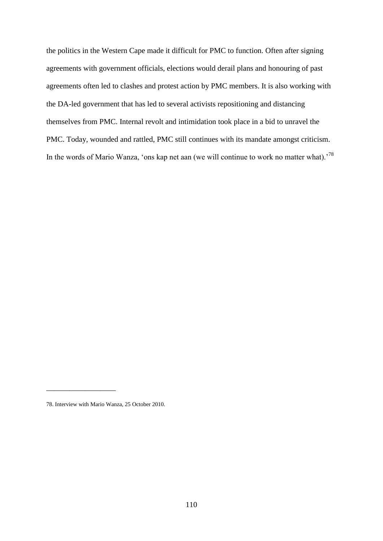the politics in the Western Cape made it difficult for PMC to function. Often after signing agreements with government officials, elections would derail plans and honouring of past agreements often led to clashes and protest action by PMC members. It is also working with the DA-led government that has led to several activists repositioning and distancing themselves from PMC. Internal revolt and intimidation took place in a bid to unravel the PMC. Today, wounded and rattled, PMC still continues with its mandate amongst criticism. In the words of Mario Wanza, 'ons kap net aan (we will continue to work no matter what).<sup>78</sup>

\_\_\_\_\_\_\_\_\_\_\_\_\_\_\_\_\_\_

<sup>78.</sup> Interview with Mario Wanza, 25 October 2010.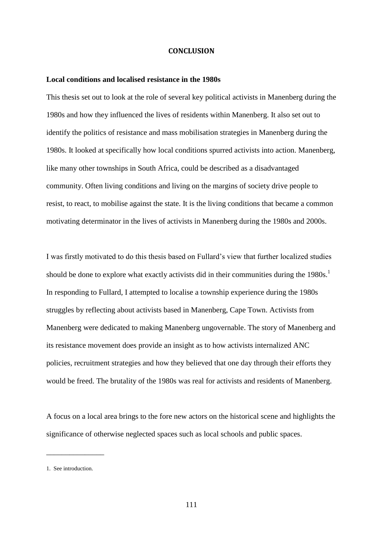#### **CONCLUSION**

#### **Local conditions and localised resistance in the 1980s**

This thesis set out to look at the role of several key political activists in Manenberg during the 1980s and how they influenced the lives of residents within Manenberg. It also set out to identify the politics of resistance and mass mobilisation strategies in Manenberg during the 1980s. It looked at specifically how local conditions spurred activists into action. Manenberg, like many other townships in South Africa, could be described as a disadvantaged community. Often living conditions and living on the margins of society drive people to resist, to react, to mobilise against the state. It is the living conditions that became a common motivating determinator in the lives of activists in Manenberg during the 1980s and 2000s.

I was firstly motivated to do this thesis based on Fullard"s view that further localized studies should be done to explore what exactly activists did in their communities during the 1980s.<sup>1</sup> In responding to Fullard, I attempted to localise a township experience during the 1980s struggles by reflecting about activists based in Manenberg, Cape Town. Activists from Manenberg were dedicated to making Manenberg ungovernable. The story of Manenberg and its resistance movement does provide an insight as to how activists internalized ANC policies, recruitment strategies and how they believed that one day through their efforts they would be freed. The brutality of the 1980s was real for activists and residents of Manenberg.

A focus on a local area brings to the fore new actors on the historical scene and highlights the significance of otherwise neglected spaces such as local schools and public spaces.

\_\_\_\_\_\_\_\_\_\_\_\_\_\_\_

<sup>1.</sup> See introduction.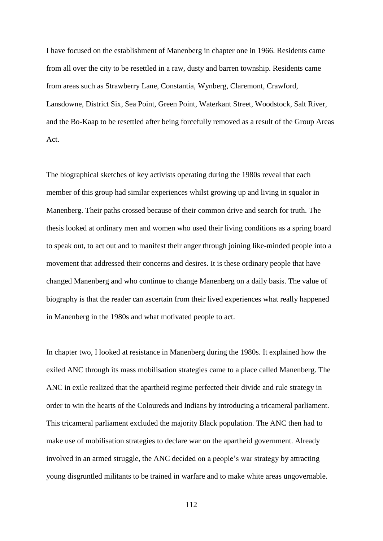I have focused on the establishment of Manenberg in chapter one in 1966. Residents came from all over the city to be resettled in a raw, dusty and barren township. Residents came from areas such as Strawberry Lane, Constantia, Wynberg, Claremont, Crawford, Lansdowne, District Six, Sea Point, Green Point, Waterkant Street, Woodstock, Salt River, and the Bo-Kaap to be resettled after being forcefully removed as a result of the Group Areas Act.

The biographical sketches of key activists operating during the 1980s reveal that each member of this group had similar experiences whilst growing up and living in squalor in Manenberg. Their paths crossed because of their common drive and search for truth. The thesis looked at ordinary men and women who used their living conditions as a spring board to speak out, to act out and to manifest their anger through joining like-minded people into a movement that addressed their concerns and desires. It is these ordinary people that have changed Manenberg and who continue to change Manenberg on a daily basis. The value of biography is that the reader can ascertain from their lived experiences what really happened in Manenberg in the 1980s and what motivated people to act.

In chapter two, I looked at resistance in Manenberg during the 1980s. It explained how the exiled ANC through its mass mobilisation strategies came to a place called Manenberg. The ANC in exile realized that the apartheid regime perfected their divide and rule strategy in order to win the hearts of the Coloureds and Indians by introducing a tricameral parliament. This tricameral parliament excluded the majority Black population. The ANC then had to make use of mobilisation strategies to declare war on the apartheid government. Already involved in an armed struggle, the ANC decided on a people"s war strategy by attracting young disgruntled militants to be trained in warfare and to make white areas ungovernable.

112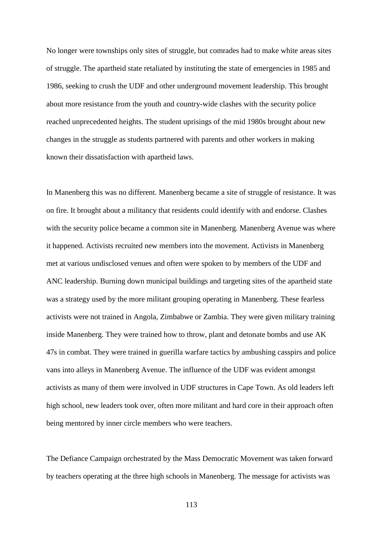No longer were townships only sites of struggle, but comrades had to make white areas sites of struggle. The apartheid state retaliated by instituting the state of emergencies in 1985 and 1986, seeking to crush the UDF and other underground movement leadership. This brought about more resistance from the youth and country-wide clashes with the security police reached unprecedented heights. The student uprisings of the mid 1980s brought about new changes in the struggle as students partnered with parents and other workers in making known their dissatisfaction with apartheid laws.

In Manenberg this was no different. Manenberg became a site of struggle of resistance. It was on fire. It brought about a militancy that residents could identify with and endorse. Clashes with the security police became a common site in Manenberg. Manenberg Avenue was where it happened. Activists recruited new members into the movement. Activists in Manenberg met at various undisclosed venues and often were spoken to by members of the UDF and ANC leadership. Burning down municipal buildings and targeting sites of the apartheid state was a strategy used by the more militant grouping operating in Manenberg. These fearless activists were not trained in Angola, Zimbabwe or Zambia. They were given military training inside Manenberg. They were trained how to throw, plant and detonate bombs and use AK 47s in combat. They were trained in guerilla warfare tactics by ambushing casspirs and police vans into alleys in Manenberg Avenue. The influence of the UDF was evident amongst activists as many of them were involved in UDF structures in Cape Town. As old leaders left high school, new leaders took over, often more militant and hard core in their approach often being mentored by inner circle members who were teachers.

The Defiance Campaign orchestrated by the Mass Democratic Movement was taken forward by teachers operating at the three high schools in Manenberg. The message for activists was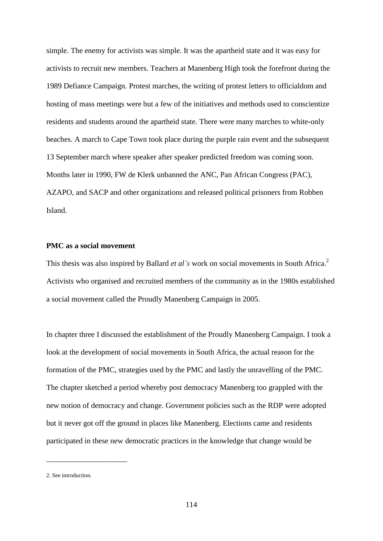simple. The enemy for activists was simple. It was the apartheid state and it was easy for activists to recruit new members. Teachers at Manenberg High took the forefront during the 1989 Defiance Campaign. Protest marches, the writing of protest letters to officialdom and hosting of mass meetings were but a few of the initiatives and methods used to conscientize residents and students around the apartheid state. There were many marches to white-only beaches. A march to Cape Town took place during the purple rain event and the subsequent 13 September march where speaker after speaker predicted freedom was coming soon. Months later in 1990, FW de Klerk unbanned the ANC, Pan African Congress (PAC), AZAPO, and SACP and other organizations and released political prisoners from Robben Island.

# **PMC as a social movement**

This thesis was also inspired by Ballard *et al's* work on social movements in South Africa.<sup>2</sup> Activists who organised and recruited members of the community as in the 1980s established a social movement called the Proudly Manenberg Campaign in 2005.

In chapter three I discussed the establishment of the Proudly Manenberg Campaign. I took a look at the development of social movements in South Africa, the actual reason for the formation of the PMC, strategies used by the PMC and lastly the unravelling of the PMC. The chapter sketched a period whereby post democracy Manenberg too grappled with the new notion of democracy and change. Government policies such as the RDP were adopted but it never got off the ground in places like Manenberg. Elections came and residents participated in these new democratic practices in the knowledge that change would be

\_\_\_\_\_\_\_\_\_\_\_\_\_\_\_\_\_\_\_\_\_

<sup>2.</sup> See introduction.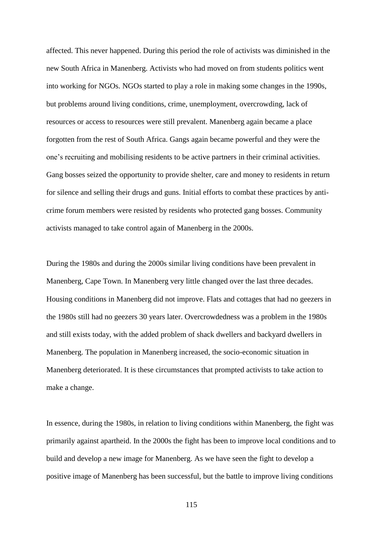affected. This never happened. During this period the role of activists was diminished in the new South Africa in Manenberg. Activists who had moved on from students politics went into working for NGOs. NGOs started to play a role in making some changes in the 1990s, but problems around living conditions, crime, unemployment, overcrowding, lack of resources or access to resources were still prevalent. Manenberg again became a place forgotten from the rest of South Africa. Gangs again became powerful and they were the one"s recruiting and mobilising residents to be active partners in their criminal activities. Gang bosses seized the opportunity to provide shelter, care and money to residents in return for silence and selling their drugs and guns. Initial efforts to combat these practices by anticrime forum members were resisted by residents who protected gang bosses. Community activists managed to take control again of Manenberg in the 2000s.

During the 1980s and during the 2000s similar living conditions have been prevalent in Manenberg, Cape Town. In Manenberg very little changed over the last three decades. Housing conditions in Manenberg did not improve. Flats and cottages that had no geezers in the 1980s still had no geezers 30 years later. Overcrowdedness was a problem in the 1980s and still exists today, with the added problem of shack dwellers and backyard dwellers in Manenberg. The population in Manenberg increased, the socio-economic situation in Manenberg deteriorated. It is these circumstances that prompted activists to take action to make a change.

In essence, during the 1980s, in relation to living conditions within Manenberg, the fight was primarily against apartheid. In the 2000s the fight has been to improve local conditions and to build and develop a new image for Manenberg. As we have seen the fight to develop a positive image of Manenberg has been successful, but the battle to improve living conditions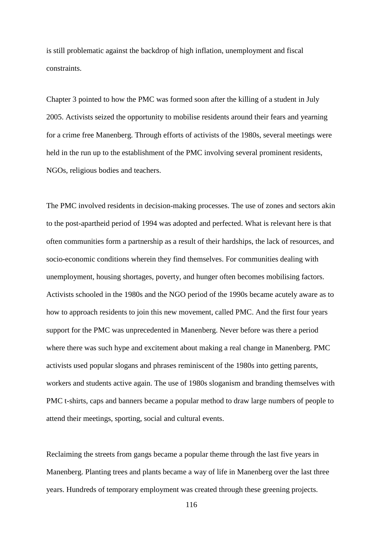is still problematic against the backdrop of high inflation, unemployment and fiscal constraints.

Chapter 3 pointed to how the PMC was formed soon after the killing of a student in July 2005. Activists seized the opportunity to mobilise residents around their fears and yearning for a crime free Manenberg. Through efforts of activists of the 1980s, several meetings were held in the run up to the establishment of the PMC involving several prominent residents, NGOs, religious bodies and teachers.

The PMC involved residents in decision-making processes. The use of zones and sectors akin to the post-apartheid period of 1994 was adopted and perfected. What is relevant here is that often communities form a partnership as a result of their hardships, the lack of resources, and socio-economic conditions wherein they find themselves. For communities dealing with unemployment, housing shortages, poverty, and hunger often becomes mobilising factors. Activists schooled in the 1980s and the NGO period of the 1990s became acutely aware as to how to approach residents to join this new movement, called PMC. And the first four years support for the PMC was unprecedented in Manenberg. Never before was there a period where there was such hype and excitement about making a real change in Manenberg. PMC activists used popular slogans and phrases reminiscent of the 1980s into getting parents, workers and students active again. The use of 1980s sloganism and branding themselves with PMC t-shirts, caps and banners became a popular method to draw large numbers of people to attend their meetings, sporting, social and cultural events.

Reclaiming the streets from gangs became a popular theme through the last five years in Manenberg. Planting trees and plants became a way of life in Manenberg over the last three years. Hundreds of temporary employment was created through these greening projects.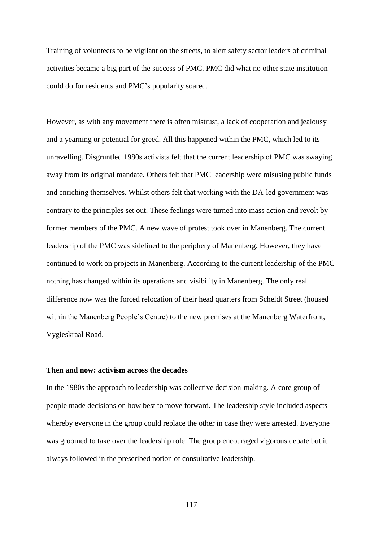Training of volunteers to be vigilant on the streets, to alert safety sector leaders of criminal activities became a big part of the success of PMC. PMC did what no other state institution could do for residents and PMC"s popularity soared.

However, as with any movement there is often mistrust, a lack of cooperation and jealousy and a yearning or potential for greed. All this happened within the PMC, which led to its unravelling. Disgruntled 1980s activists felt that the current leadership of PMC was swaying away from its original mandate. Others felt that PMC leadership were misusing public funds and enriching themselves. Whilst others felt that working with the DA-led government was contrary to the principles set out. These feelings were turned into mass action and revolt by former members of the PMC. A new wave of protest took over in Manenberg. The current leadership of the PMC was sidelined to the periphery of Manenberg. However, they have continued to work on projects in Manenberg. According to the current leadership of the PMC nothing has changed within its operations and visibility in Manenberg. The only real difference now was the forced relocation of their head quarters from Scheldt Street (housed within the Manenberg People's Centre) to the new premises at the Manenberg Waterfront, Vygieskraal Road.

#### **Then and now: activism across the decades**

In the 1980s the approach to leadership was collective decision-making. A core group of people made decisions on how best to move forward. The leadership style included aspects whereby everyone in the group could replace the other in case they were arrested. Everyone was groomed to take over the leadership role. The group encouraged vigorous debate but it always followed in the prescribed notion of consultative leadership.

117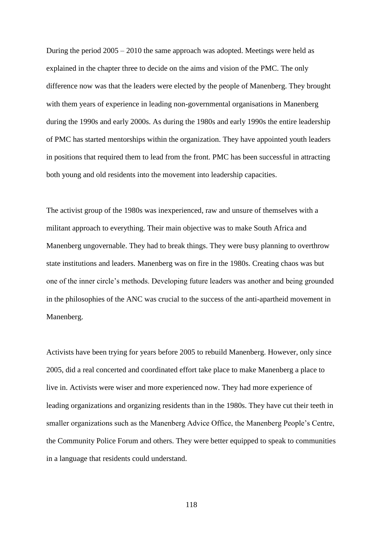During the period 2005 – 2010 the same approach was adopted. Meetings were held as explained in the chapter three to decide on the aims and vision of the PMC. The only difference now was that the leaders were elected by the people of Manenberg. They brought with them years of experience in leading non-governmental organisations in Manenberg during the 1990s and early 2000s. As during the 1980s and early 1990s the entire leadership of PMC has started mentorships within the organization. They have appointed youth leaders in positions that required them to lead from the front. PMC has been successful in attracting both young and old residents into the movement into leadership capacities.

The activist group of the 1980s was inexperienced, raw and unsure of themselves with a militant approach to everything. Their main objective was to make South Africa and Manenberg ungovernable. They had to break things. They were busy planning to overthrow state institutions and leaders. Manenberg was on fire in the 1980s. Creating chaos was but one of the inner circle"s methods. Developing future leaders was another and being grounded in the philosophies of the ANC was crucial to the success of the anti-apartheid movement in Manenberg.

Activists have been trying for years before 2005 to rebuild Manenberg. However, only since 2005, did a real concerted and coordinated effort take place to make Manenberg a place to live in. Activists were wiser and more experienced now. They had more experience of leading organizations and organizing residents than in the 1980s. They have cut their teeth in smaller organizations such as the Manenberg Advice Office, the Manenberg People"s Centre, the Community Police Forum and others. They were better equipped to speak to communities in a language that residents could understand.

118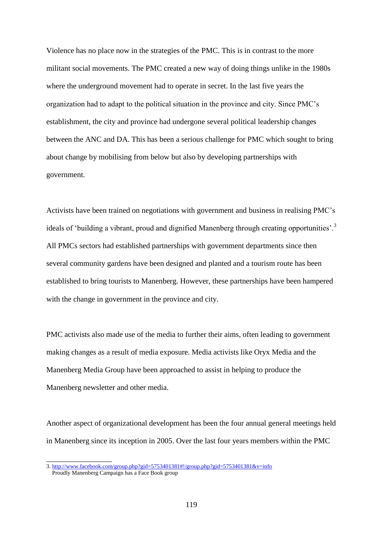Violence has no place now in the strategies of the PMC. This is in contrast to the more militant social movements. The PMC created a new way of doing things unlike in the 1980s where the underground movement had to operate in secret. In the last five years the organization had to adapt to the political situation in the province and city. Since PMC"s establishment, the city and province had undergone several political leadership changes between the ANC and DA. This has been a serious challenge for PMC which sought to bring about change by mobilising from below but also by developing partnerships with government.

Activists have been trained on negotiations with government and business in realising PMC"s ideals of 'building a vibrant, proud and dignified Manenberg through creating opportunities'.<sup>3</sup> All PMCs sectors had established partnerships with government departments since then several community gardens have been designed and planted and a tourism route has been established to bring tourists to Manenberg. However, these partnerships have been hampered with the change in government in the province and city.

PMC activists also made use of the media to further their aims, often leading to government making changes as a result of media exposure. Media activists like Oryx Media and the Manenberg Media Group have been approached to assist in helping to produce the Manenberg newsletter and other media.

Another aspect of organizational development has been the four annual general meetings held in Manenberg since its inception in 2005. Over the last four years members within the PMC

 $\overline{\phantom{a}}$  , where  $\overline{\phantom{a}}$ 

<sup>3.</sup><http://www.facebook.com/group.php?gid=5753401381#!/group.php?gid=5753401381&v=info> Proudly Manenberg Campaign has a Face Book group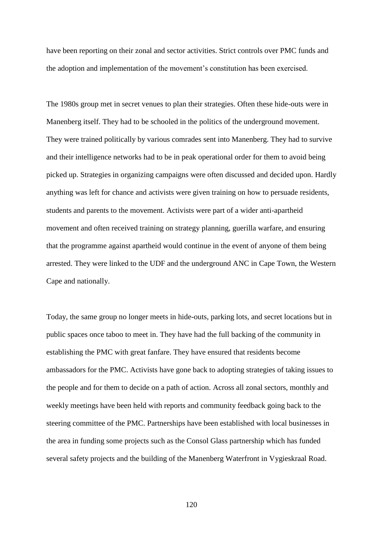have been reporting on their zonal and sector activities. Strict controls over PMC funds and the adoption and implementation of the movement"s constitution has been exercised.

The 1980s group met in secret venues to plan their strategies. Often these hide-outs were in Manenberg itself. They had to be schooled in the politics of the underground movement. They were trained politically by various comrades sent into Manenberg. They had to survive and their intelligence networks had to be in peak operational order for them to avoid being picked up. Strategies in organizing campaigns were often discussed and decided upon. Hardly anything was left for chance and activists were given training on how to persuade residents, students and parents to the movement. Activists were part of a wider anti-apartheid movement and often received training on strategy planning, guerilla warfare, and ensuring that the programme against apartheid would continue in the event of anyone of them being arrested. They were linked to the UDF and the underground ANC in Cape Town, the Western Cape and nationally.

Today, the same group no longer meets in hide-outs, parking lots, and secret locations but in public spaces once taboo to meet in. They have had the full backing of the community in establishing the PMC with great fanfare. They have ensured that residents become ambassadors for the PMC. Activists have gone back to adopting strategies of taking issues to the people and for them to decide on a path of action. Across all zonal sectors, monthly and weekly meetings have been held with reports and community feedback going back to the steering committee of the PMC. Partnerships have been established with local businesses in the area in funding some projects such as the Consol Glass partnership which has funded several safety projects and the building of the Manenberg Waterfront in Vygieskraal Road.

120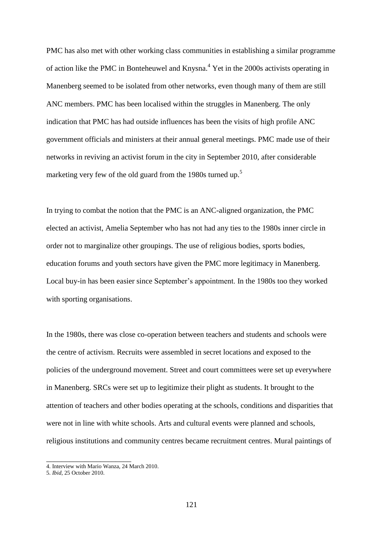PMC has also met with other working class communities in establishing a similar programme of action like the PMC in Bonteheuwel and Knysna.<sup>4</sup> Yet in the 2000s activists operating in Manenberg seemed to be isolated from other networks, even though many of them are still ANC members. PMC has been localised within the struggles in Manenberg. The only indication that PMC has had outside influences has been the visits of high profile ANC government officials and ministers at their annual general meetings. PMC made use of their networks in reviving an activist forum in the city in September 2010, after considerable marketing very few of the old guard from the 1980s turned up.<sup>5</sup>

In trying to combat the notion that the PMC is an ANC-aligned organization, the PMC elected an activist, Amelia September who has not had any ties to the 1980s inner circle in order not to marginalize other groupings. The use of religious bodies, sports bodies, education forums and youth sectors have given the PMC more legitimacy in Manenberg. Local buy-in has been easier since September"s appointment. In the 1980s too they worked with sporting organisations.

In the 1980s, there was close co-operation between teachers and students and schools were the centre of activism. Recruits were assembled in secret locations and exposed to the policies of the underground movement. Street and court committees were set up everywhere in Manenberg. SRCs were set up to legitimize their plight as students. It brought to the attention of teachers and other bodies operating at the schools, conditions and disparities that were not in line with white schools. Arts and cultural events were planned and schools, religious institutions and community centres became recruitment centres. Mural paintings of

\_\_\_\_\_\_\_\_\_\_\_\_\_\_\_\_\_\_\_\_\_\_

<sup>4.</sup> Interview with Mario Wanza, 24 March 2010.

<sup>5.</sup> *Ibid*, 25 October 2010.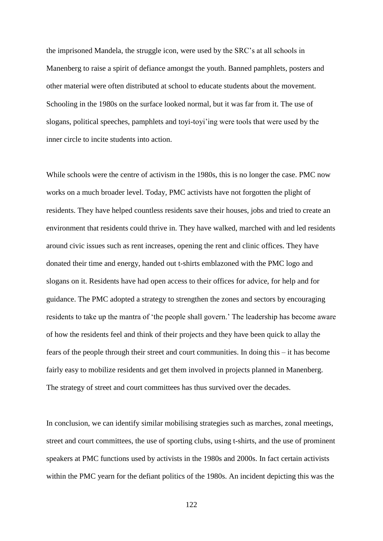the imprisoned Mandela, the struggle icon, were used by the SRC"s at all schools in Manenberg to raise a spirit of defiance amongst the youth. Banned pamphlets, posters and other material were often distributed at school to educate students about the movement. Schooling in the 1980s on the surface looked normal, but it was far from it. The use of slogans, political speeches, pamphlets and toyi-toyi"ing were tools that were used by the inner circle to incite students into action.

While schools were the centre of activism in the 1980s, this is no longer the case. PMC now works on a much broader level. Today, PMC activists have not forgotten the plight of residents. They have helped countless residents save their houses, jobs and tried to create an environment that residents could thrive in. They have walked, marched with and led residents around civic issues such as rent increases, opening the rent and clinic offices. They have donated their time and energy, handed out t-shirts emblazoned with the PMC logo and slogans on it. Residents have had open access to their offices for advice, for help and for guidance. The PMC adopted a strategy to strengthen the zones and sectors by encouraging residents to take up the mantra of "the people shall govern." The leadership has become aware of how the residents feel and think of their projects and they have been quick to allay the fears of the people through their street and court communities. In doing this – it has become fairly easy to mobilize residents and get them involved in projects planned in Manenberg. The strategy of street and court committees has thus survived over the decades.

In conclusion, we can identify similar mobilising strategies such as marches, zonal meetings, street and court committees, the use of sporting clubs, using t-shirts, and the use of prominent speakers at PMC functions used by activists in the 1980s and 2000s. In fact certain activists within the PMC yearn for the defiant politics of the 1980s. An incident depicting this was the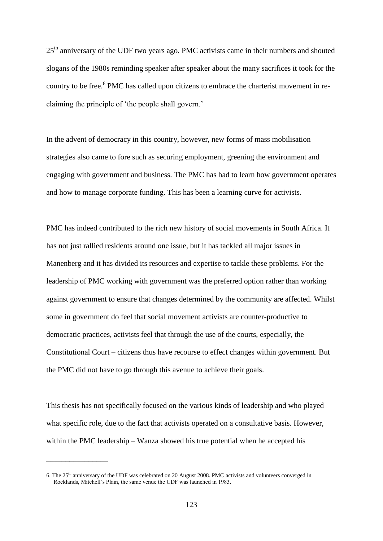25<sup>th</sup> anniversary of the UDF two years ago. PMC activists came in their numbers and shouted slogans of the 1980s reminding speaker after speaker about the many sacrifices it took for the country to be free.<sup>6</sup> PMC has called upon citizens to embrace the charterist movement in reclaiming the principle of 'the people shall govern.'

In the advent of democracy in this country, however, new forms of mass mobilisation strategies also came to fore such as securing employment, greening the environment and engaging with government and business. The PMC has had to learn how government operates and how to manage corporate funding. This has been a learning curve for activists.

PMC has indeed contributed to the rich new history of social movements in South Africa. It has not just rallied residents around one issue, but it has tackled all major issues in Manenberg and it has divided its resources and expertise to tackle these problems. For the leadership of PMC working with government was the preferred option rather than working against government to ensure that changes determined by the community are affected. Whilst some in government do feel that social movement activists are counter-productive to democratic practices, activists feel that through the use of the courts, especially, the Constitutional Court – citizens thus have recourse to effect changes within government. But the PMC did not have to go through this avenue to achieve their goals.

This thesis has not specifically focused on the various kinds of leadership and who played what specific role, due to the fact that activists operated on a consultative basis. However, within the PMC leadership – Wanza showed his true potential when he accepted his

 $\overline{\phantom{a}}$  , where  $\overline{\phantom{a}}$ 

<sup>6.</sup> The 25th anniversary of the UDF was celebrated on 20 August 2008. PMC activists and volunteers converged in Rocklands, Mitchell"s Plain, the same venue the UDF was launched in 1983.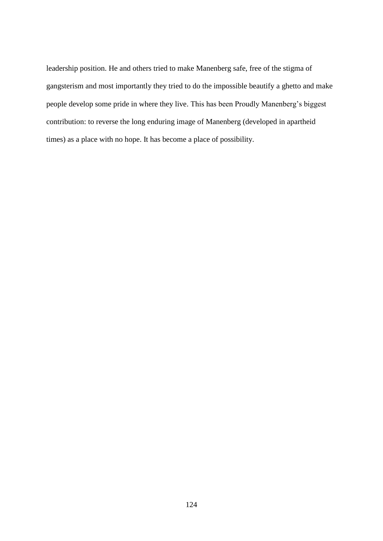leadership position. He and others tried to make Manenberg safe, free of the stigma of gangsterism and most importantly they tried to do the impossible beautify a ghetto and make people develop some pride in where they live. This has been Proudly Manenberg"s biggest contribution: to reverse the long enduring image of Manenberg (developed in apartheid times) as a place with no hope. It has become a place of possibility.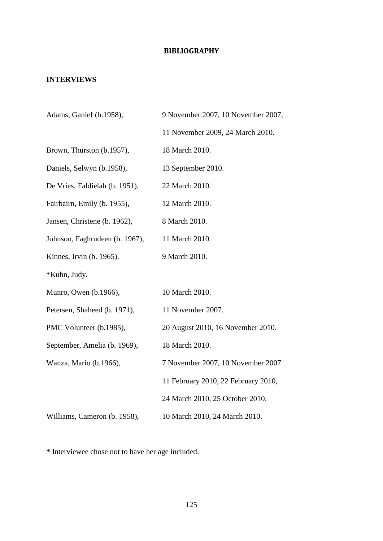# **BIBLIOGRAPHY**

# **INTERVIEWS**

| Adams, Ganief (b.1958),        | 9 November 2007, 10 November 2007,  |
|--------------------------------|-------------------------------------|
|                                | 11 November 2009, 24 March 2010.    |
| Brown, Thurston (b.1957),      | 18 March 2010.                      |
| Daniels, Selwyn (b.1958),      | 13 September 2010.                  |
| De Vries, Faldielah (b. 1951), | 22 March 2010.                      |
| Fairbairn, Emily (b. 1955),    | 12 March 2010.                      |
| Jansen, Christene (b. 1962),   | 8 March 2010.                       |
| Johnson, Faghrudeen (b. 1967), | 11 March 2010.                      |
| Kinnes, Irvin (b. 1965),       | 9 March 2010.                       |
| *Kuhn, Judy.                   |                                     |
| Munro, Owen (b.1966),          | 10 March 2010.                      |
| Petersen, Shaheed (b. 1971),   | 11 November 2007.                   |
| PMC Volunteer (b.1985),        | 20 August 2010, 16 November 2010.   |
| September, Amelia (b. 1969),   | 18 March 2010.                      |
| Wanza, Mario (b.1966),         | 7 November 2007, 10 November 2007   |
|                                | 11 February 2010, 22 February 2010, |
|                                | 24 March 2010, 25 October 2010.     |
| Williams, Cameron (b. 1958),   | 10 March 2010, 24 March 2010.       |

**\*** Interviewee chose not to have her age included.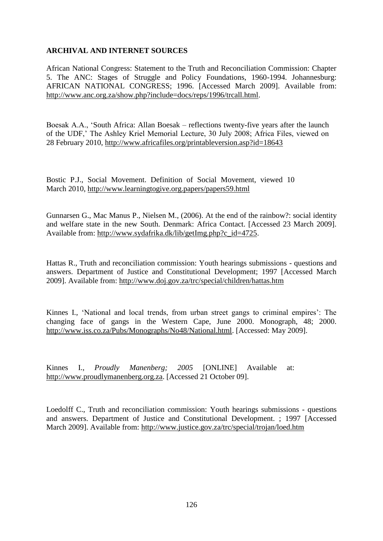# **ARCHIVAL AND INTERNET SOURCES**

African National Congress: Statement to the Truth and Reconciliation Commission: Chapter 5. The ANC: Stages of Struggle and Policy Foundations, 1960-1994. Johannesburg: AFRICAN NATIONAL CONGRESS; 1996. [Accessed March 2009]. Available from: [http://www.anc.org.za/show.php?include=docs/reps/1996/trcall.html.](http://www.anc.org.za/show.php?include=docs/reps/1996/trcall.html)

Boesak A.A., "South Africa: Allan Boesak – reflections twenty-five years after the launch of the UDF," The Ashley Kriel Memorial Lecture, 30 July 2008; Africa Files, viewed on 28 February 2010,<http://www.africafiles.org/printableversion.asp?id=18643>

Bostic P.J., Social Movement. Definition of Social Movement, viewed 10 March 2010,<http://www.learningtogive.org.papers/papers59.html>

Gunnarsen G., Mac Manus P., Nielsen M., (2006). At the end of the rainbow?: social identity and welfare state in the new South. Denmark: Africa Contact. [Accessed 23 March 2009]. Available from: [http://www.sydafrika.dk/lib/getImg.php?c\\_id=4725.](http://www.sydafrika.dk/lib/getImg.php?c_id=4725)

Hattas R., Truth and reconciliation commission: Youth hearings submissions - questions and answers. Department of Justice and Constitutional Development; 1997 [Accessed March 2009]. Available from:<http://www.doj.gov.za/trc/special/children/hattas.htm>

Kinnes I., "National and local trends, from urban street gangs to criminal empires": The changing face of gangs in the Western Cape, June 2000. Monograph, 48; 2000. [http://www.iss.co.za/Pubs/Monographs/No48/National.html.](http://www.iss.co.za/Pubs/Monographs/No48/National.html) [Accessed: May 2009].

Kinnes I., *Proudly Manenberg; 2005* [ONLINE] Available at: [http://www.proudlymanenberg.org.za.](http://www.proudlymanenberg.org.za/) [Accessed 21 October 09].

Loedolff C., Truth and reconciliation commission: Youth hearings submissions - questions and answers. Department of Justice and Constitutional Development. ; 1997 [Accessed March 2009]. Available from:<http://www.justice.gov.za/trc/special/trojan/loed.htm>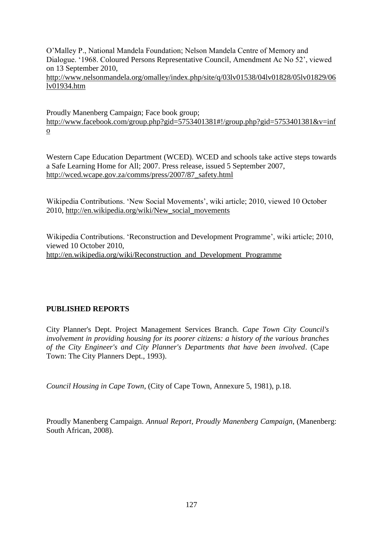O"Malley P., National Mandela Foundation; Nelson Mandela Centre of Memory and Dialogue. "1968. Coloured Persons Representative Council, Amendment Ac No 52", viewed on 13 September 2010,

[http://www.nelsonmandela.org/omalley/index.php/site/q/03lv01538/04lv01828/05lv01829/06](http://www.nelsonmandela.org/omalley/index.php/site/q/03lv01538/04lv01828/05lv01829/06lv01934.htm) [lv01934.htm](http://www.nelsonmandela.org/omalley/index.php/site/q/03lv01538/04lv01828/05lv01829/06lv01934.htm)

Proudly Manenberg Campaign; Face book group; [http://www.facebook.com/group.php?gid=5753401381#!/group.php?gid=5753401381&v=inf](http://www.facebook.com/group.php?gid=5753401381#!/group.php?gid=5753401381&v=info) [o](http://www.facebook.com/group.php?gid=5753401381#!/group.php?gid=5753401381&v=info)

Western Cape Education Department (WCED). WCED and schools take active steps towards a Safe Learning Home for All; 2007. Press release, issued 5 September 2007, http://wced.wcape.gov.za/comms/press/2007/87\_safety.html

Wikipedia Contributions. "New Social Movements", wiki article; 2010, viewed 10 October 2010, [http://en.wikipedia.org/wiki/New\\_social\\_movements](http://en.wikipedia.org/wiki/New_social_movements)

Wikipedia Contributions. 'Reconstruction and Development Programme', wiki article; 2010, viewed 10 October 2010, [http://en.wikipedia.org/wiki/Reconstruction\\_and\\_Development\\_Programme](http://en.wikipedia.org/wiki/Reconstruction_and_Development_Programme)

# **PUBLISHED REPORTS**

City Planner's Dept. Project Management Services Branch. *Cape Town City Council's involvement in providing housing for its poorer citizens: a history of the various branches of the City Engineer's and City Planner's Departments that have been involved*. (Cape Town: The City Planners Dept., 1993).

*Council Housing in Cape Town*, (City of Cape Town, Annexure 5, 1981), p.18.

Proudly Manenberg Campaign. *Annual Report, Proudly Manenberg Campaign*, (Manenberg: South African, 2008).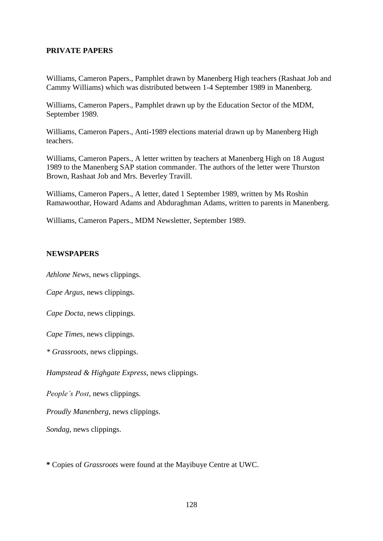### **PRIVATE PAPERS**

Williams, Cameron Papers., Pamphlet drawn by Manenberg High teachers (Rashaat Job and Cammy Williams) which was distributed between 1-4 September 1989 in Manenberg.

Williams, Cameron Papers., Pamphlet drawn up by the Education Sector of the MDM, September 1989.

Williams, Cameron Papers., Anti-1989 elections material drawn up by Manenberg High teachers.

Williams, Cameron Papers., A letter written by teachers at Manenberg High on 18 August 1989 to the Manenberg SAP station commander. The authors of the letter were Thurston Brown, Rashaat Job and Mrs. Beverley Travill.

Williams, Cameron Papers., A letter, dated 1 September 1989, written by Ms Roshin Ramawoothar, Howard Adams and Abduraghman Adams, written to parents in Manenberg.

Williams, Cameron Papers., MDM Newsletter, September 1989.

# **NEWSPAPERS**

*Athlone News*, news clippings.

*Cape Argus*, news clippings.

*Cape Docta*, news clippings.

*Cape Times*, news clippings.

*\* Grassroots*, news clippings.

*Hampstead & Highgate Express*, news clippings.

*People's Post*, news clippings.

*Proudly Manenberg*, news clippings.

*Sondag*, news clippings.

**\*** Copies of *Grassroots* were found at the Mayibuye Centre at UWC.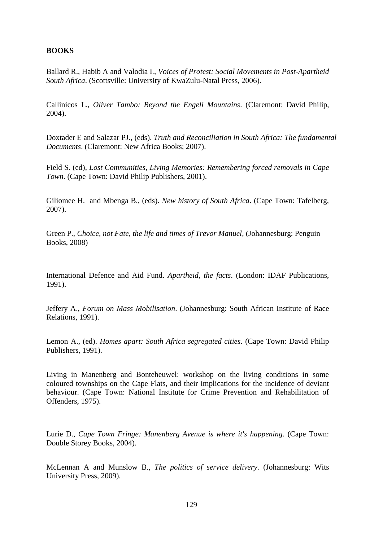## **BOOKS**

Ballard R., Habib A and Valodia I., *Voices of Protest: Social Movements in Post-Apartheid South Africa*. (Scottsville: University of KwaZulu-Natal Press, 2006).

Callinicos L., *Oliver Tambo: Beyond the Engeli Mountains*. (Claremont: David Philip, 2004).

Doxtader E and Salazar PJ., (eds). *Truth and Reconciliation in South Africa: The fundamental Documents*. (Claremont: New Africa Books; 2007).

Field S. (ed), *Lost Communities, Living Memories: Remembering forced removals in Cape Town*. (Cape Town: David Philip Publishers, 2001).

Giliomee H. and Mbenga B., (eds). *New history of South Africa*. (Cape Town: Tafelberg, 2007).

Green P., *Choice, not Fate, the life and times of Trevor Manuel,* (Johannesburg: Penguin Books, 2008)

International Defence and Aid Fund. *Apartheid, the facts*. (London: IDAF Publications, 1991).

Jeffery A., *Forum on Mass Mobilisation*. (Johannesburg: South African Institute of Race Relations, 1991).

Lemon A., (ed). *Homes apart: South Africa segregated cities*. (Cape Town: David Philip Publishers, 1991).

Living in Manenberg and Bonteheuwel: workshop on the living conditions in some coloured townships on the Cape Flats, and their implications for the incidence of deviant behaviour. (Cape Town: National Institute for Crime Prevention and Rehabilitation of Offenders, 1975).

Lurie D., *Cape Town Fringe: Manenberg Avenue is where it's happening*. (Cape Town: Double Storey Books, 2004).

McLennan A and Munslow B., *The politics of service delivery*. (Johannesburg: Wits University Press, 2009).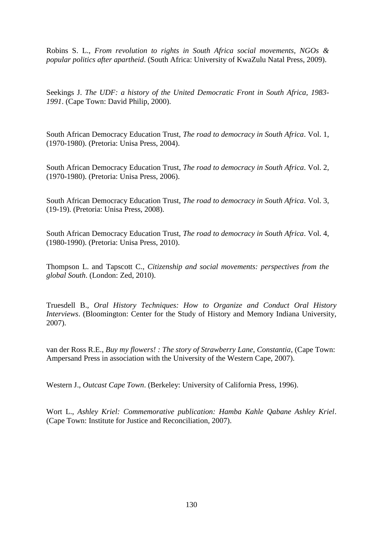Robins S. L., *From revolution to rights in South Africa social movements, NGOs & popular politics after apartheid*. (South Africa: University of KwaZulu Natal Press, 2009).

Seekings J. *The UDF: a history of the United Democratic Front in South Africa, 1983- 1991*. (Cape Town: David Philip, 2000).

South African Democracy Education Trust, *The road to democracy in South Africa*. Vol. 1, (1970-1980). (Pretoria: Unisa Press, 2004).

South African Democracy Education Trust, *The road to democracy in South Africa*. Vol. 2, (1970-1980). (Pretoria: Unisa Press, 2006).

South African Democracy Education Trust, *The road to democracy in South Africa*. Vol. 3, (19-19). (Pretoria: Unisa Press, 2008).

South African Democracy Education Trust, *The road to democracy in South Africa*. Vol. 4, (1980-1990). (Pretoria: Unisa Press, 2010).

Thompson L. and Tapscott C., *Citizenship and social movements: perspectives from the global South*. (London: Zed, 2010).

Truesdell B., *Oral History Techniques: How to Organize and Conduct Oral History Interviews*. (Bloomington: Center for the Study of History and Memory Indiana University, 2007).

van der Ross R.E., *Buy my flowers! : The story of Strawberry Lane, Constantia*, (Cape Town: Ampersand Press in association with the University of the Western Cape, 2007).

Western J., *Outcast Cape Town*. (Berkeley: University of California Press, 1996).

Wort L., *Ashley Kriel: Commemorative publication: Hamba Kahle Qabane Ashley Kriel*. (Cape Town: Institute for Justice and Reconciliation, 2007).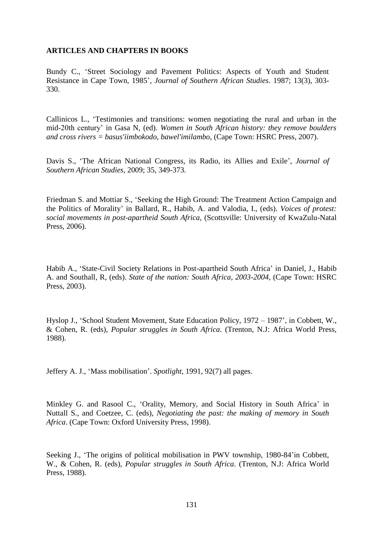### **ARTICLES AND CHAPTERS IN BOOKS**

Bundy C., "Street Sociology and Pavement Politics: Aspects of Youth and Student Resistance in Cape Town, 1985", *Journal of Southern African Studies*. 1987; 13(3), 303- 330.

Callinicos L., "Testimonies and transitions: women negotiating the rural and urban in the mid-20th century" in Gasa N, (ed). *Women in South African history: they remove boulders and cross rivers = basus'iimbokodo, bawel'imilambo*, (Cape Town: HSRC Press, 2007).

Davis S., 'The African National Congress, its Radio, its Allies and Exile', *Journal of Southern African Studies*, 2009; 35, 349-373.

Friedman S. and Mottiar S., "Seeking the High Ground: The Treatment Action Campaign and the Politics of Morality" in Ballard, R., Habib, A. and Valodia, I., (eds). *Voices of protest: social movements in post-apartheid South Africa*, (Scottsville: University of KwaZulu-Natal Press, 2006).

Habib A., "State-Civil Society Relations in Post-apartheid South Africa" in Daniel, J., Habib A. and Southall, R, (eds). *State of the nation: South Africa, 2003-2004*, (Cape Town: HSRC Press, 2003).

Hyslop J., "School Student Movement, State Education Policy, 1972 – 1987", in Cobbett, W., & Cohen, R. (eds), *Popular struggles in South Africa.* (Trenton, N.J: Africa World Press, 1988).

Jeffery A. J., "Mass mobilisation". *Spotlight*, 1991, 92(7) all pages.

Minkley G. and Rasool C., 'Orality, Memory, and Social History in South Africa' in Nuttall S., and Coetzee, C. (eds), *Negotiating the past: the making of memory in South Africa*. (Cape Town: Oxford University Press, 1998).

Seeking J., "The origins of political mobilisation in PWV township, 1980-84"in Cobbett, W., & Cohen, R. (eds), *Popular struggles in South Africa*. (Trenton, N.J: Africa World Press, 1988).